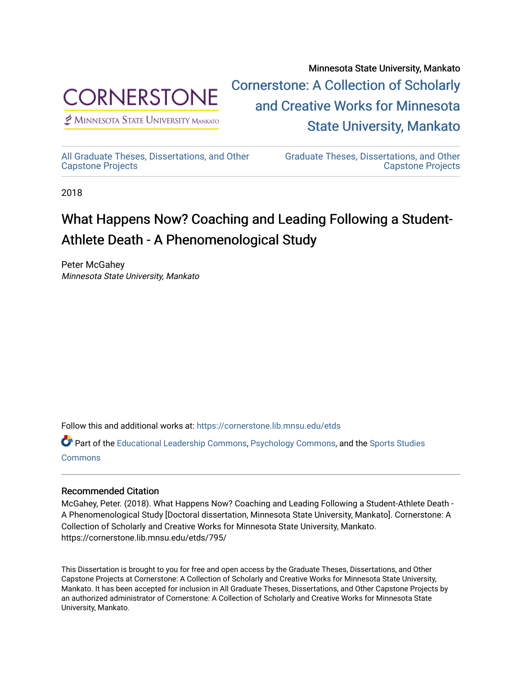

 $<sup>2</sup>$  Minnesota State University Mankato</sup>

Minnesota State University, Mankato [Cornerstone: A Collection of Scholarly](https://cornerstone.lib.mnsu.edu/)  [and Creative Works for Minnesota](https://cornerstone.lib.mnsu.edu/)  [State University, Mankato](https://cornerstone.lib.mnsu.edu/) 

[All Graduate Theses, Dissertations, and Other](https://cornerstone.lib.mnsu.edu/etds)  [Capstone Projects](https://cornerstone.lib.mnsu.edu/etds) 

[Graduate Theses, Dissertations, and Other](https://cornerstone.lib.mnsu.edu/theses_dissertations-capstone)  [Capstone Projects](https://cornerstone.lib.mnsu.edu/theses_dissertations-capstone) 

2018

# What Happens Now? Coaching and Leading Following a Student-Athlete Death - A Phenomenological Study

Peter McGahey Minnesota State University, Mankato

Follow this and additional works at: [https://cornerstone.lib.mnsu.edu/etds](https://cornerstone.lib.mnsu.edu/etds?utm_source=cornerstone.lib.mnsu.edu%2Fetds%2F795&utm_medium=PDF&utm_campaign=PDFCoverPages) 

Part of the [Educational Leadership Commons,](http://network.bepress.com/hgg/discipline/1230?utm_source=cornerstone.lib.mnsu.edu%2Fetds%2F795&utm_medium=PDF&utm_campaign=PDFCoverPages) [Psychology Commons,](http://network.bepress.com/hgg/discipline/404?utm_source=cornerstone.lib.mnsu.edu%2Fetds%2F795&utm_medium=PDF&utm_campaign=PDFCoverPages) and the [Sports Studies](http://network.bepress.com/hgg/discipline/1198?utm_source=cornerstone.lib.mnsu.edu%2Fetds%2F795&utm_medium=PDF&utm_campaign=PDFCoverPages)  [Commons](http://network.bepress.com/hgg/discipline/1198?utm_source=cornerstone.lib.mnsu.edu%2Fetds%2F795&utm_medium=PDF&utm_campaign=PDFCoverPages)

## Recommended Citation

McGahey, Peter. (2018). What Happens Now? Coaching and Leading Following a Student-Athlete Death - A Phenomenological Study [Doctoral dissertation, Minnesota State University, Mankato]. Cornerstone: A Collection of Scholarly and Creative Works for Minnesota State University, Mankato. https://cornerstone.lib.mnsu.edu/etds/795/

This Dissertation is brought to you for free and open access by the Graduate Theses, Dissertations, and Other Capstone Projects at Cornerstone: A Collection of Scholarly and Creative Works for Minnesota State University, Mankato. It has been accepted for inclusion in All Graduate Theses, Dissertations, and Other Capstone Projects by an authorized administrator of Cornerstone: A Collection of Scholarly and Creative Works for Minnesota State University, Mankato.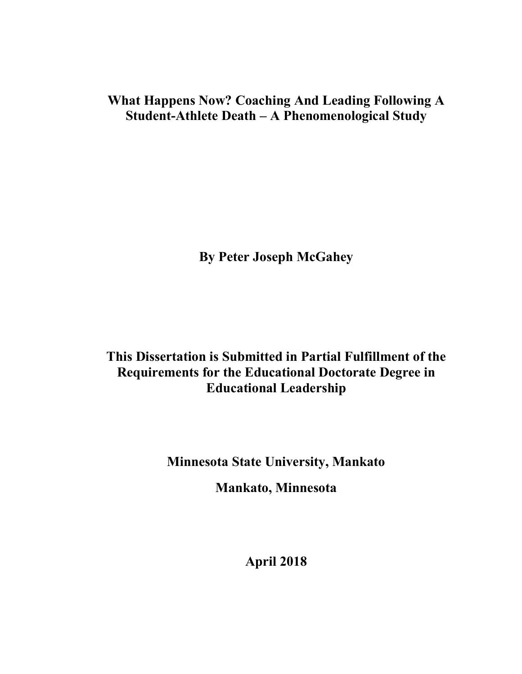## **What Happens Now? Coaching And Leading Following A Student-Athlete Death – A Phenomenological Study**

**By Peter Joseph McGahey**

## **This Dissertation is Submitted in Partial Fulfillment of the Requirements for the Educational Doctorate Degree in Educational Leadership**

**Minnesota State University, Mankato** 

**Mankato, Minnesota**

**April 2018**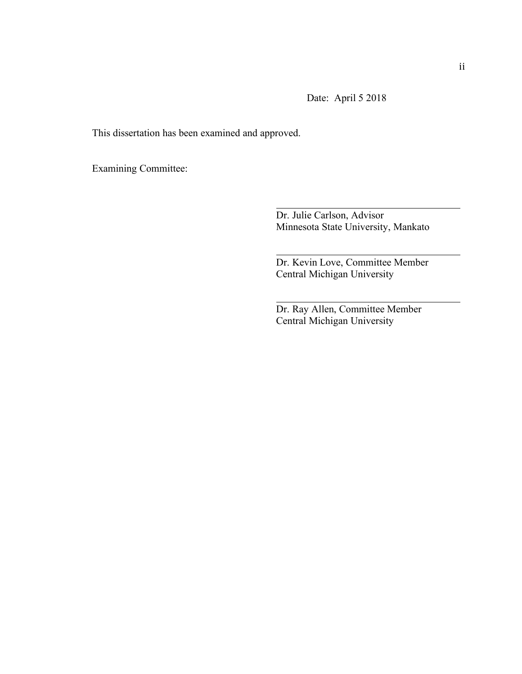Date: April 5 2018

This dissertation has been examined and approved.

Examining Committee:

Dr. Julie Carlson, Advisor Minnesota State University, Mankato

Dr. Kevin Love, Committee Member Central Michigan University

Dr. Ray Allen, Committee Member Central Michigan University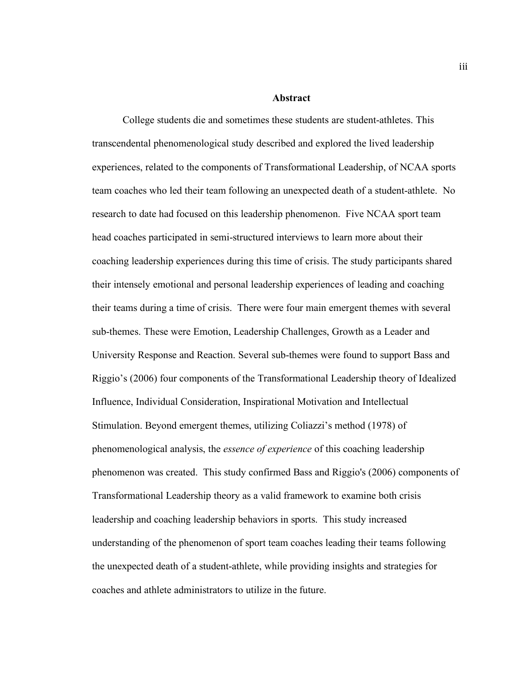### **Abstract**

College students die and sometimes these students are student-athletes. This transcendental phenomenological study described and explored the lived leadership experiences, related to the components of Transformational Leadership, of NCAA sports team coaches who led their team following an unexpected death of a student-athlete. No research to date had focused on this leadership phenomenon. Five NCAA sport team head coaches participated in semi-structured interviews to learn more about their coaching leadership experiences during this time of crisis. The study participants shared their intensely emotional and personal leadership experiences of leading and coaching their teams during a time of crisis. There were four main emergent themes with several sub-themes. These were Emotion, Leadership Challenges, Growth as a Leader and University Response and Reaction. Several sub-themes were found to support Bass and Riggio's (2006) four components of the Transformational Leadership theory of Idealized Influence, Individual Consideration, Inspirational Motivation and Intellectual Stimulation. Beyond emergent themes, utilizing Coliazzi's method (1978) of phenomenological analysis, the *essence of experience* of this coaching leadership phenomenon was created. This study confirmed Bass and Riggio's (2006) components of Transformational Leadership theory as a valid framework to examine both crisis leadership and coaching leadership behaviors in sports. This study increased understanding of the phenomenon of sport team coaches leading their teams following the unexpected death of a student-athlete, while providing insights and strategies for coaches and athlete administrators to utilize in the future.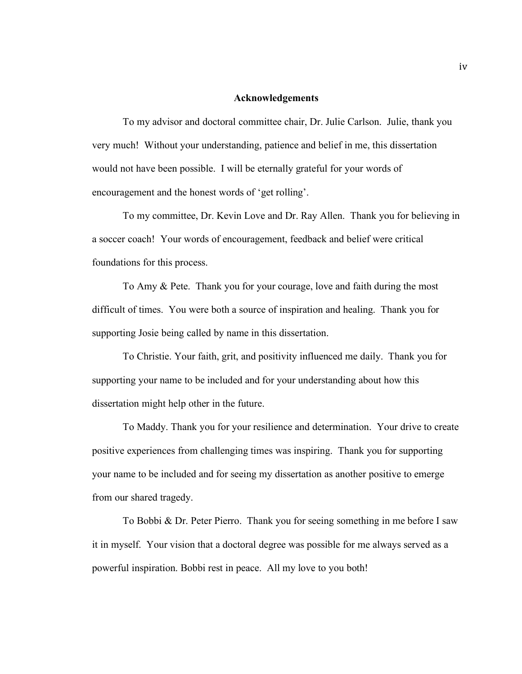#### **Acknowledgements**

To my advisor and doctoral committee chair, Dr. Julie Carlson. Julie, thank you very much! Without your understanding, patience and belief in me, this dissertation would not have been possible. I will be eternally grateful for your words of encouragement and the honest words of 'get rolling'.

To my committee, Dr. Kevin Love and Dr. Ray Allen. Thank you for believing in a soccer coach! Your words of encouragement, feedback and belief were critical foundations for this process.

To Amy & Pete. Thank you for your courage, love and faith during the most difficult of times. You were both a source of inspiration and healing. Thank you for supporting Josie being called by name in this dissertation.

To Christie. Your faith, grit, and positivity influenced me daily. Thank you for supporting your name to be included and for your understanding about how this dissertation might help other in the future.

To Maddy. Thank you for your resilience and determination. Your drive to create positive experiences from challenging times was inspiring. Thank you for supporting your name to be included and for seeing my dissertation as another positive to emerge from our shared tragedy.

To Bobbi & Dr. Peter Pierro. Thank you for seeing something in me before I saw it in myself. Your vision that a doctoral degree was possible for me always served as a powerful inspiration. Bobbi rest in peace. All my love to you both!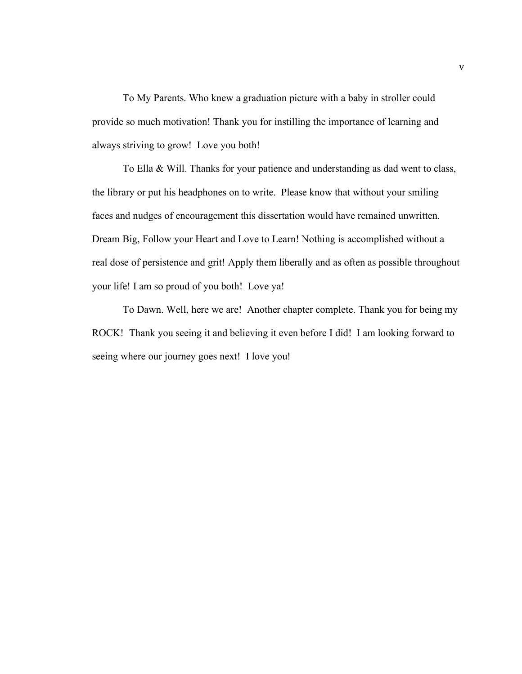To My Parents. Who knew a graduation picture with a baby in stroller could provide so much motivation! Thank you for instilling the importance of learning and always striving to grow! Love you both!

 To Ella & Will. Thanks for your patience and understanding as dad went to class, the library or put his headphones on to write. Please know that without your smiling faces and nudges of encouragement this dissertation would have remained unwritten. Dream Big, Follow your Heart and Love to Learn! Nothing is accomplished without a real dose of persistence and grit! Apply them liberally and as often as possible throughout your life! I am so proud of you both! Love ya!

To Dawn. Well, here we are! Another chapter complete. Thank you for being my ROCK! Thank you seeing it and believing it even before I did! I am looking forward to seeing where our journey goes next! I love you!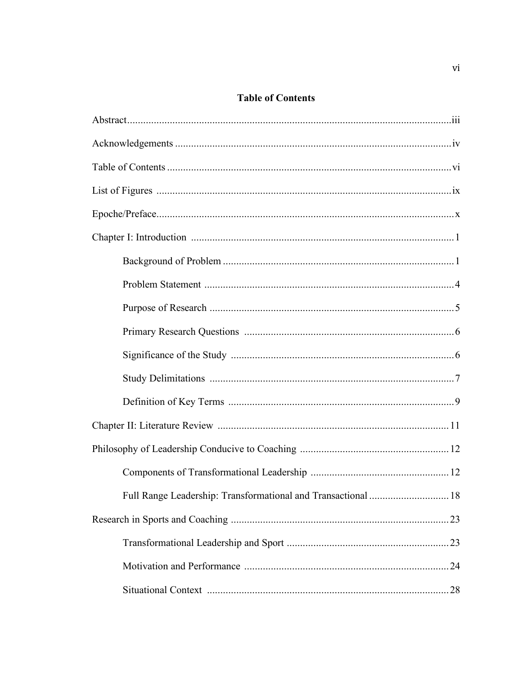## **Table of Contents**

| Full Range Leadership: Transformational and Transactional  18 |  |
|---------------------------------------------------------------|--|
|                                                               |  |
|                                                               |  |
|                                                               |  |
|                                                               |  |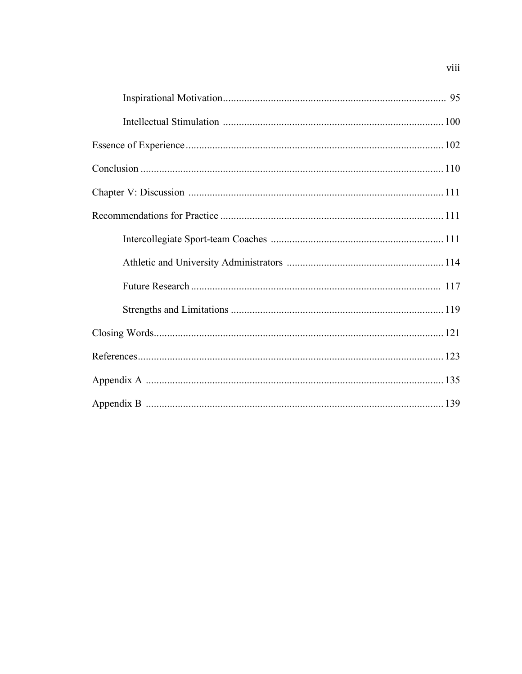## viii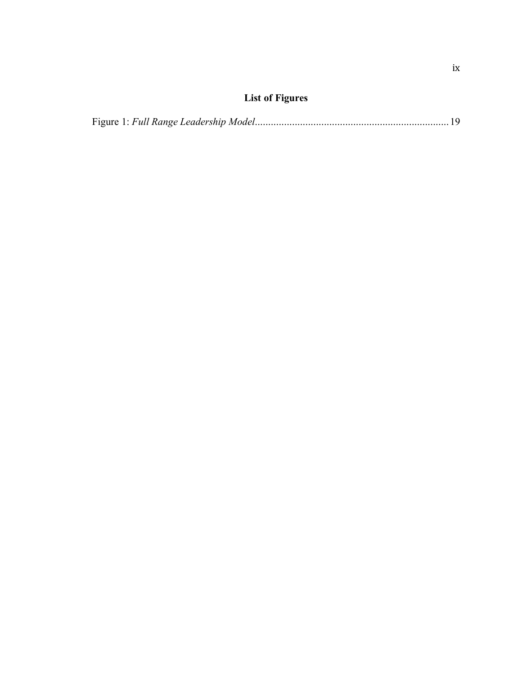## **List of Figures**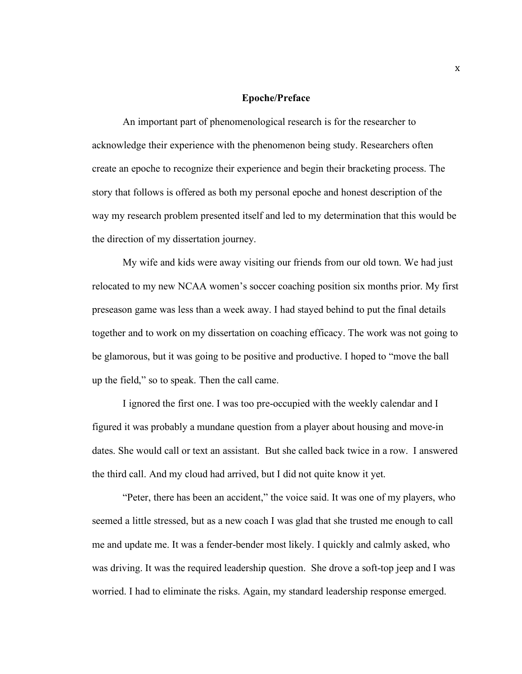#### **Epoche/Preface**

An important part of phenomenological research is for the researcher to acknowledge their experience with the phenomenon being study. Researchers often create an epoche to recognize their experience and begin their bracketing process. The story that follows is offered as both my personal epoche and honest description of the way my research problem presented itself and led to my determination that this would be the direction of my dissertation journey.

My wife and kids were away visiting our friends from our old town. We had just relocated to my new NCAA women's soccer coaching position six months prior. My first preseason game was less than a week away. I had stayed behind to put the final details together and to work on my dissertation on coaching efficacy. The work was not going to be glamorous, but it was going to be positive and productive. I hoped to "move the ball up the field," so to speak. Then the call came.

I ignored the first one. I was too pre-occupied with the weekly calendar and I figured it was probably a mundane question from a player about housing and move-in dates. She would call or text an assistant. But she called back twice in a row. I answered the third call. And my cloud had arrived, but I did not quite know it yet.

"Peter, there has been an accident," the voice said. It was one of my players, who seemed a little stressed, but as a new coach I was glad that she trusted me enough to call me and update me. It was a fender-bender most likely. I quickly and calmly asked, who was driving. It was the required leadership question. She drove a soft-top jeep and I was worried. I had to eliminate the risks. Again, my standard leadership response emerged.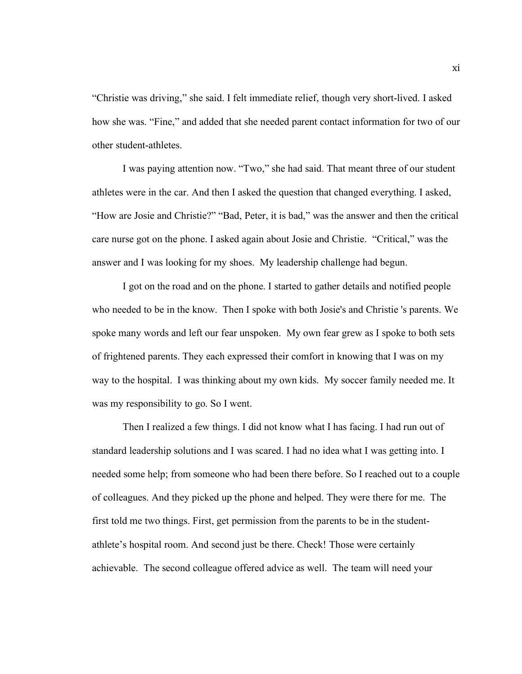"Christie was driving," she said. I felt immediate relief, though very short-lived. I asked how she was. "Fine," and added that she needed parent contact information for two of our other student-athletes.

I was paying attention now. "Two," she had said. That meant three of our student athletes were in the car. And then I asked the question that changed everything. I asked, "How are Josie and Christie?" "Bad, Peter, it is bad," was the answer and then the critical care nurse got on the phone. I asked again about Josie and Christie. "Critical," was the answer and I was looking for my shoes. My leadership challenge had begun.

I got on the road and on the phone. I started to gather details and notified people who needed to be in the know. Then I spoke with both Josie's and Christie 's parents. We spoke many words and left our fear unspoken. My own fear grew as I spoke to both sets of frightened parents. They each expressed their comfort in knowing that I was on my way to the hospital. I was thinking about my own kids. My soccer family needed me. It was my responsibility to go. So I went.

Then I realized a few things. I did not know what I has facing. I had run out of standard leadership solutions and I was scared. I had no idea what I was getting into. I needed some help; from someone who had been there before. So I reached out to a couple of colleagues. And they picked up the phone and helped. They were there for me. The first told me two things. First, get permission from the parents to be in the studentathlete's hospital room. And second just be there. Check! Those were certainly achievable. The second colleague offered advice as well. The team will need your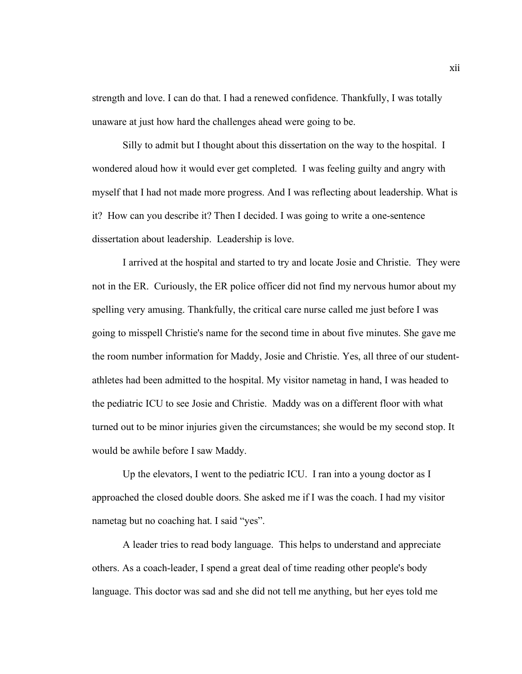strength and love. I can do that. I had a renewed confidence. Thankfully, I was totally unaware at just how hard the challenges ahead were going to be.

Silly to admit but I thought about this dissertation on the way to the hospital. I wondered aloud how it would ever get completed. I was feeling guilty and angry with myself that I had not made more progress. And I was reflecting about leadership. What is it? How can you describe it? Then I decided. I was going to write a one-sentence dissertation about leadership. Leadership is love.

I arrived at the hospital and started to try and locate Josie and Christie. They were not in the ER. Curiously, the ER police officer did not find my nervous humor about my spelling very amusing. Thankfully, the critical care nurse called me just before I was going to misspell Christie's name for the second time in about five minutes. She gave me the room number information for Maddy, Josie and Christie. Yes, all three of our studentathletes had been admitted to the hospital. My visitor nametag in hand, I was headed to the pediatric ICU to see Josie and Christie. Maddy was on a different floor with what turned out to be minor injuries given the circumstances; she would be my second stop. It would be awhile before I saw Maddy.

Up the elevators, I went to the pediatric ICU. I ran into a young doctor as I approached the closed double doors. She asked me if I was the coach. I had my visitor nametag but no coaching hat. I said "yes".

A leader tries to read body language. This helps to understand and appreciate others. As a coach-leader, I spend a great deal of time reading other people's body language. This doctor was sad and she did not tell me anything, but her eyes told me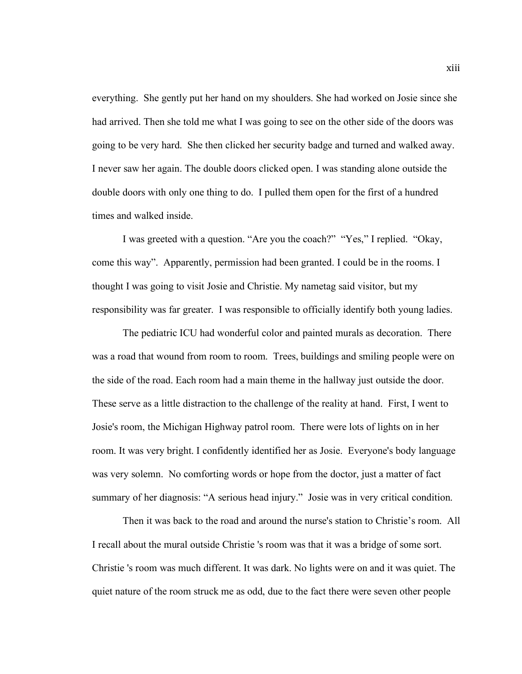everything. She gently put her hand on my shoulders. She had worked on Josie since she had arrived. Then she told me what I was going to see on the other side of the doors was going to be very hard. She then clicked her security badge and turned and walked away. I never saw her again. The double doors clicked open. I was standing alone outside the double doors with only one thing to do. I pulled them open for the first of a hundred times and walked inside.

I was greeted with a question. "Are you the coach?" "Yes," I replied. "Okay, come this way". Apparently, permission had been granted. I could be in the rooms. I thought I was going to visit Josie and Christie. My nametag said visitor, but my responsibility was far greater. I was responsible to officially identify both young ladies.

The pediatric ICU had wonderful color and painted murals as decoration. There was a road that wound from room to room. Trees, buildings and smiling people were on the side of the road. Each room had a main theme in the hallway just outside the door. These serve as a little distraction to the challenge of the reality at hand. First, I went to Josie's room, the Michigan Highway patrol room. There were lots of lights on in her room. It was very bright. I confidently identified her as Josie. Everyone's body language was very solemn. No comforting words or hope from the doctor, just a matter of fact summary of her diagnosis: "A serious head injury." Josie was in very critical condition.

Then it was back to the road and around the nurse's station to Christie's room. All I recall about the mural outside Christie 's room was that it was a bridge of some sort. Christie 's room was much different. It was dark. No lights were on and it was quiet. The quiet nature of the room struck me as odd, due to the fact there were seven other people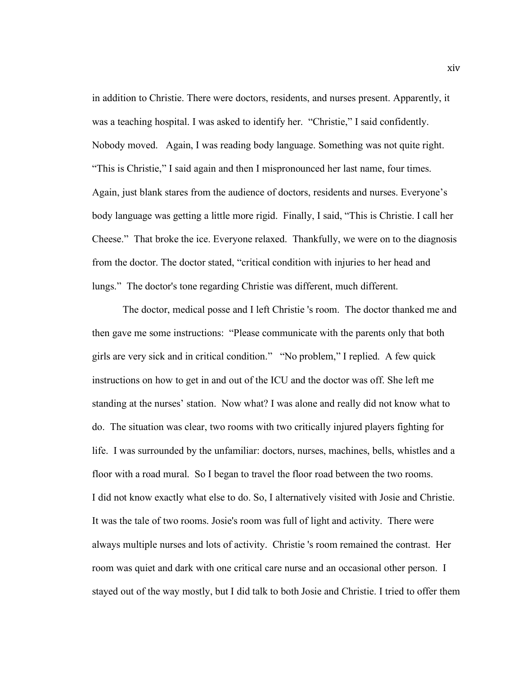in addition to Christie. There were doctors, residents, and nurses present. Apparently, it was a teaching hospital. I was asked to identify her. "Christie," I said confidently. Nobody moved. Again, I was reading body language. Something was not quite right. "This is Christie," I said again and then I mispronounced her last name, four times. Again, just blank stares from the audience of doctors, residents and nurses. Everyone's body language was getting a little more rigid. Finally, I said, "This is Christie. I call her Cheese." That broke the ice. Everyone relaxed. Thankfully, we were on to the diagnosis from the doctor. The doctor stated, "critical condition with injuries to her head and lungs." The doctor's tone regarding Christie was different, much different.

The doctor, medical posse and I left Christie 's room. The doctor thanked me and then gave me some instructions: "Please communicate with the parents only that both girls are very sick and in critical condition." "No problem," I replied. A few quick instructions on how to get in and out of the ICU and the doctor was off. She left me standing at the nurses' station. Now what? I was alone and really did not know what to do. The situation was clear, two rooms with two critically injured players fighting for life. I was surrounded by the unfamiliar: doctors, nurses, machines, bells, whistles and a floor with a road mural. So I began to travel the floor road between the two rooms. I did not know exactly what else to do. So, I alternatively visited with Josie and Christie. It was the tale of two rooms. Josie's room was full of light and activity. There were always multiple nurses and lots of activity. Christie 's room remained the contrast. Her room was quiet and dark with one critical care nurse and an occasional other person. I stayed out of the way mostly, but I did talk to both Josie and Christie. I tried to offer them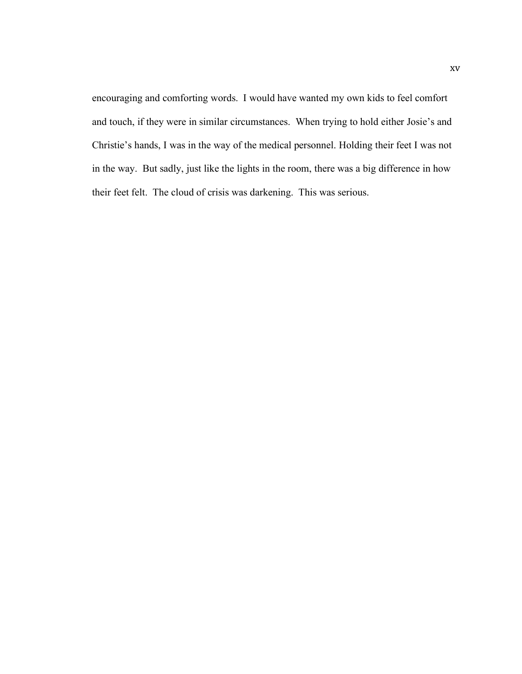encouraging and comforting words. I would have wanted my own kids to feel comfort and touch, if they were in similar circumstances. When trying to hold either Josie's and Christie's hands, I was in the way of the medical personnel. Holding their feet I was not in the way. But sadly, just like the lights in the room, there was a big difference in how their feet felt. The cloud of crisis was darkening. This was serious.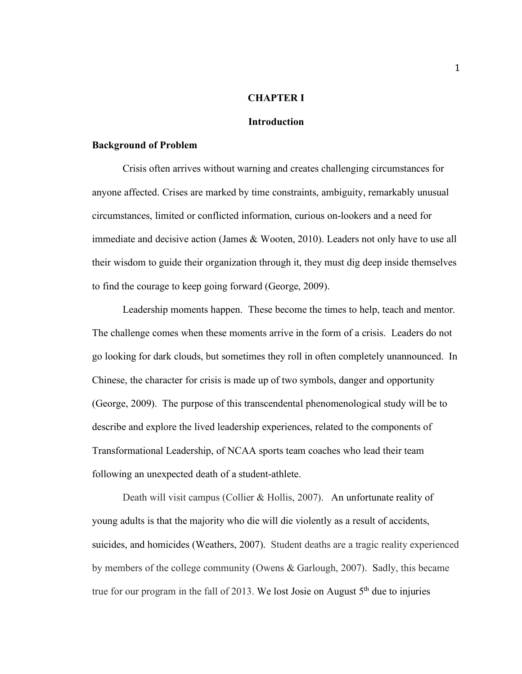## **CHAPTER I**

#### **Introduction**

## **Background of Problem**

Crisis often arrives without warning and creates challenging circumstances for anyone affected. Crises are marked by time constraints, ambiguity, remarkably unusual circumstances, limited or conflicted information, curious on-lookers and a need for immediate and decisive action (James & Wooten, 2010). Leaders not only have to use all their wisdom to guide their organization through it, they must dig deep inside themselves to find the courage to keep going forward (George, 2009).

Leadership moments happen. These become the times to help, teach and mentor. The challenge comes when these moments arrive in the form of a crisis. Leaders do not go looking for dark clouds, but sometimes they roll in often completely unannounced. In Chinese, the character for crisis is made up of two symbols, danger and opportunity (George, 2009). The purpose of this transcendental phenomenological study will be to describe and explore the lived leadership experiences, related to the components of Transformational Leadership, of NCAA sports team coaches who lead their team following an unexpected death of a student-athlete.

Death will visit campus (Collier & Hollis, 2007). An unfortunate reality of young adults is that the majority who die will die violently as a result of accidents, suicides, and homicides (Weathers, 2007). Student deaths are a tragic reality experienced by members of the college community (Owens & Garlough, 2007). Sadly, this became true for our program in the fall of 2013. We lost Josie on August  $5<sup>th</sup>$  due to injuries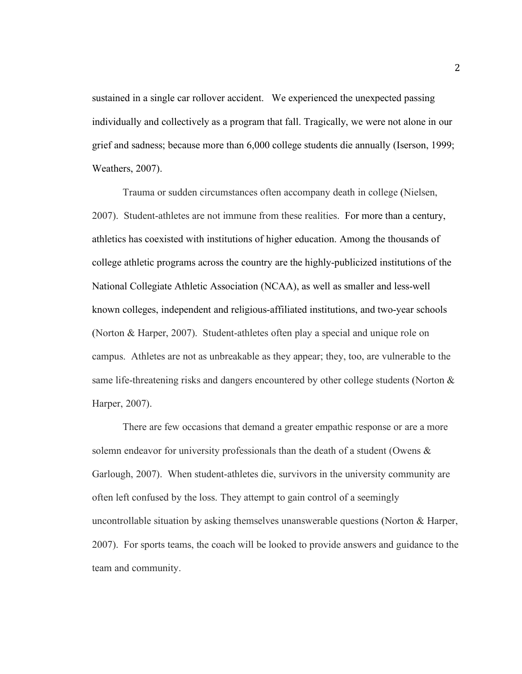sustained in a single car rollover accident. We experienced the unexpected passing individually and collectively as a program that fall. Tragically, we were not alone in our grief and sadness; because more than 6,000 college students die annually (Iserson, 1999; Weathers, 2007).

Trauma or sudden circumstances often accompany death in college (Nielsen, 2007). Student-athletes are not immune from these realities. For more than a century, athletics has coexisted with institutions of higher education. Among the thousands of college athletic programs across the country are the highly-publicized institutions of the National Collegiate Athletic Association (NCAA), as well as smaller and less-well known colleges, independent and religious-affiliated institutions, and two-year schools (Norton & Harper, 2007). Student-athletes often play a special and unique role on campus. Athletes are not as unbreakable as they appear; they, too, are vulnerable to the same life-threatening risks and dangers encountered by other college students (Norton & Harper, 2007).

There are few occasions that demand a greater empathic response or are a more solemn endeavor for university professionals than the death of a student (Owens & Garlough, 2007). When student-athletes die, survivors in the university community are often left confused by the loss. They attempt to gain control of a seemingly uncontrollable situation by asking themselves unanswerable questions (Norton & Harper, 2007). For sports teams, the coach will be looked to provide answers and guidance to the team and community.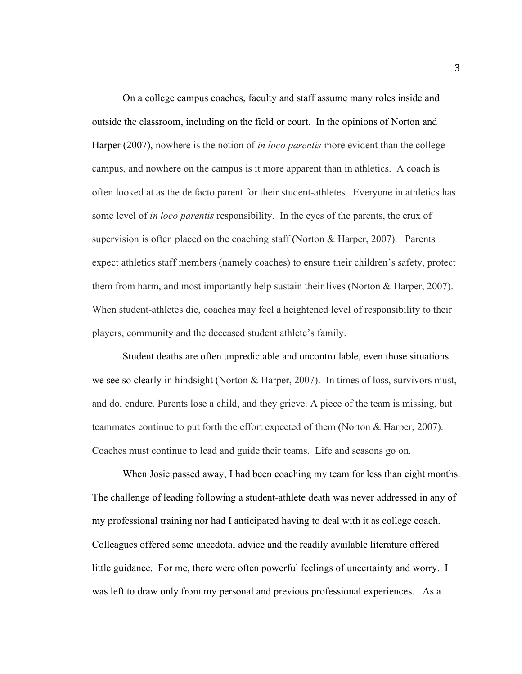On a college campus coaches, faculty and staff assume many roles inside and outside the classroom, including on the field or court. In the opinions of Norton and Harper (2007), nowhere is the notion of *in loco parentis* more evident than the college campus, and nowhere on the campus is it more apparent than in athletics. A coach is often looked at as the de facto parent for their student-athletes. Everyone in athletics has some level of *in loco parentis* responsibility*.* In the eyes of the parents, the crux of supervision is often placed on the coaching staff (Norton  $& Harper, 2007$ ). Parents expect athletics staff members (namely coaches) to ensure their children's safety, protect them from harm, and most importantly help sustain their lives (Norton & Harper, 2007). When student-athletes die, coaches may feel a heightened level of responsibility to their players, community and the deceased student athlete's family.

Student deaths are often unpredictable and uncontrollable, even those situations we see so clearly in hindsight (Norton & Harper, 2007). In times of loss, survivors must, and do, endure. Parents lose a child, and they grieve. A piece of the team is missing, but teammates continue to put forth the effort expected of them (Norton & Harper, 2007). Coaches must continue to lead and guide their teams. Life and seasons go on.

When Josie passed away, I had been coaching my team for less than eight months. The challenge of leading following a student-athlete death was never addressed in any of my professional training nor had I anticipated having to deal with it as college coach. Colleagues offered some anecdotal advice and the readily available literature offered little guidance. For me, there were often powerful feelings of uncertainty and worry. I was left to draw only from my personal and previous professional experiences. As a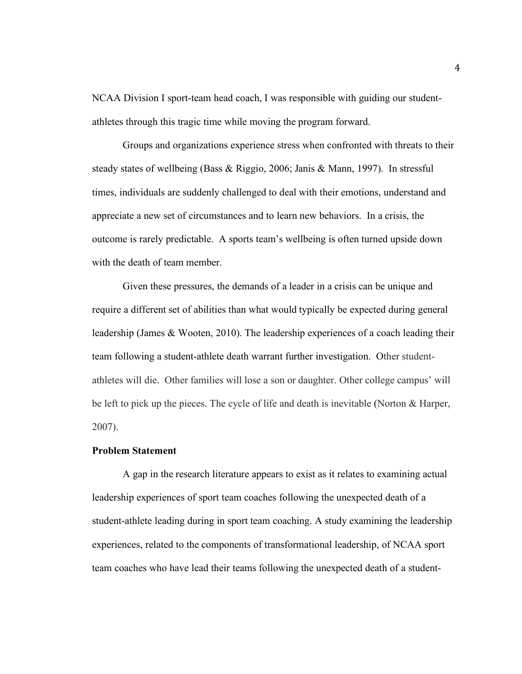NCAA Division I sport-team head coach, I was responsible with guiding our studentathletes through this tragic time while moving the program forward.

Groups and organizations experience stress when confronted with threats to their steady states of wellbeing (Bass & Riggio, 2006; Janis & Mann, 1997). In stressful times, individuals are suddenly challenged to deal with their emotions, understand and appreciate a new set of circumstances and to learn new behaviors. In a crisis, the outcome is rarely predictable. A sports team's wellbeing is often turned upside down with the death of team member.

Given these pressures, the demands of a leader in a crisis can be unique and require a different set of abilities than what would typically be expected during general leadership (James & Wooten, 2010). The leadership experiences of a coach leading their team following a student-athlete death warrant further investigation. Other studentathletes will die. Other families will lose a son or daughter. Other college campus' will be left to pick up the pieces. The cycle of life and death is inevitable (Norton & Harper, 2007).

## **Problem Statement**

A gap in the research literature appears to exist as it relates to examining actual leadership experiences of sport team coaches following the unexpected death of a student-athlete leading during in sport team coaching. A study examining the leadership experiences, related to the components of transformational leadership, of NCAA sport team coaches who have lead their teams following the unexpected death of a student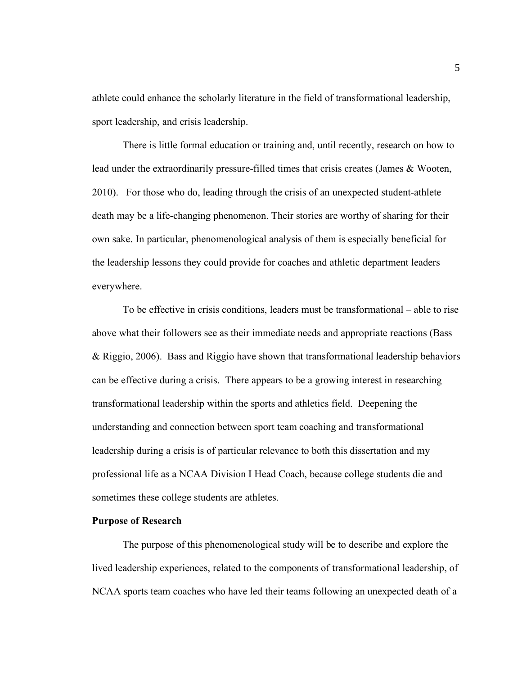athlete could enhance the scholarly literature in the field of transformational leadership, sport leadership, and crisis leadership.

There is little formal education or training and, until recently, research on how to lead under the extraordinarily pressure-filled times that crisis creates (James & Wooten, 2010). For those who do, leading through the crisis of an unexpected student-athlete death may be a life-changing phenomenon. Their stories are worthy of sharing for their own sake. In particular, phenomenological analysis of them is especially beneficial for the leadership lessons they could provide for coaches and athletic department leaders everywhere.

To be effective in crisis conditions, leaders must be transformational – able to rise above what their followers see as their immediate needs and appropriate reactions (Bass & Riggio, 2006). Bass and Riggio have shown that transformational leadership behaviors can be effective during a crisis. There appears to be a growing interest in researching transformational leadership within the sports and athletics field. Deepening the understanding and connection between sport team coaching and transformational leadership during a crisis is of particular relevance to both this dissertation and my professional life as a NCAA Division I Head Coach, because college students die and sometimes these college students are athletes.

### **Purpose of Research**

The purpose of this phenomenological study will be to describe and explore the lived leadership experiences, related to the components of transformational leadership, of NCAA sports team coaches who have led their teams following an unexpected death of a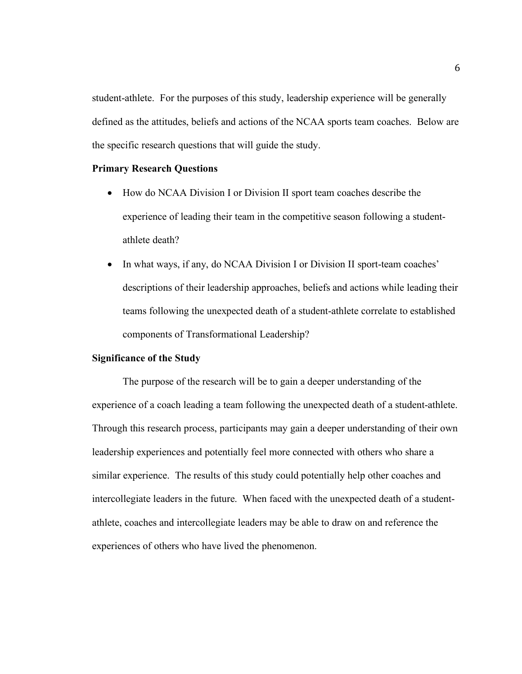student-athlete. For the purposes of this study, leadership experience will be generally defined as the attitudes, beliefs and actions of the NCAA sports team coaches. Below are the specific research questions that will guide the study.

## **Primary Research Questions**

- How do NCAA Division I or Division II sport team coaches describe the experience of leading their team in the competitive season following a studentathlete death?
- In what ways, if any, do NCAA Division I or Division II sport-team coaches' descriptions of their leadership approaches, beliefs and actions while leading their teams following the unexpected death of a student-athlete correlate to established components of Transformational Leadership?

## **Significance of the Study**

The purpose of the research will be to gain a deeper understanding of the experience of a coach leading a team following the unexpected death of a student-athlete. Through this research process, participants may gain a deeper understanding of their own leadership experiences and potentially feel more connected with others who share a similar experience. The results of this study could potentially help other coaches and intercollegiate leaders in the future. When faced with the unexpected death of a studentathlete, coaches and intercollegiate leaders may be able to draw on and reference the experiences of others who have lived the phenomenon.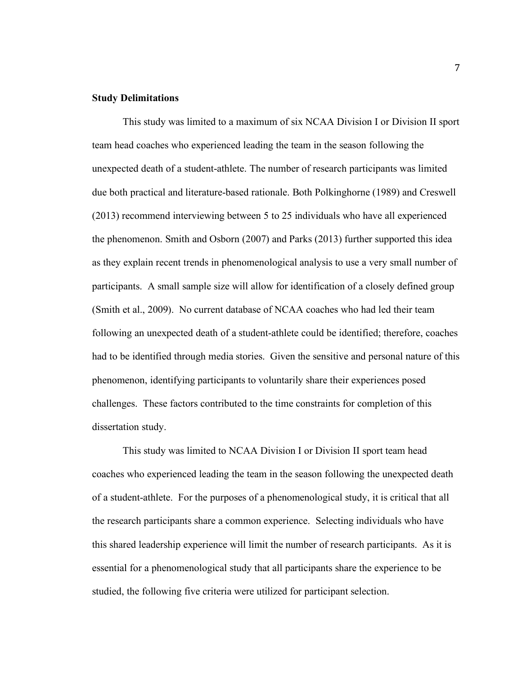### **Study Delimitations**

This study was limited to a maximum of six NCAA Division I or Division II sport team head coaches who experienced leading the team in the season following the unexpected death of a student-athlete. The number of research participants was limited due both practical and literature-based rationale. Both Polkinghorne (1989) and Creswell (2013) recommend interviewing between 5 to 25 individuals who have all experienced the phenomenon. Smith and Osborn (2007) and Parks (2013) further supported this idea as they explain recent trends in phenomenological analysis to use a very small number of participants. A small sample size will allow for identification of a closely defined group (Smith et al., 2009). No current database of NCAA coaches who had led their team following an unexpected death of a student-athlete could be identified; therefore, coaches had to be identified through media stories. Given the sensitive and personal nature of this phenomenon, identifying participants to voluntarily share their experiences posed challenges. These factors contributed to the time constraints for completion of this dissertation study.

This study was limited to NCAA Division I or Division II sport team head coaches who experienced leading the team in the season following the unexpected death of a student-athlete. For the purposes of a phenomenological study, it is critical that all the research participants share a common experience. Selecting individuals who have this shared leadership experience will limit the number of research participants. As it is essential for a phenomenological study that all participants share the experience to be studied, the following five criteria were utilized for participant selection.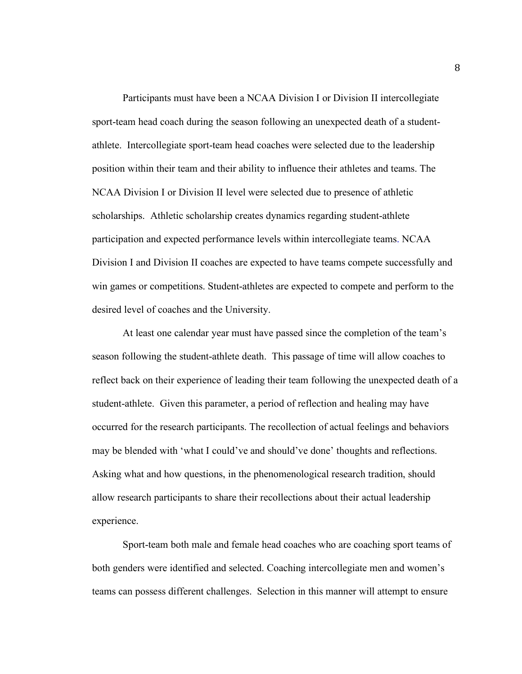Participants must have been a NCAA Division I or Division II intercollegiate sport-team head coach during the season following an unexpected death of a studentathlete. Intercollegiate sport-team head coaches were selected due to the leadership position within their team and their ability to influence their athletes and teams. The NCAA Division I or Division II level were selected due to presence of athletic scholarships. Athletic scholarship creates dynamics regarding student-athlete participation and expected performance levels within intercollegiate teams. NCAA Division I and Division II coaches are expected to have teams compete successfully and win games or competitions. Student-athletes are expected to compete and perform to the desired level of coaches and the University.

At least one calendar year must have passed since the completion of the team's season following the student-athlete death. This passage of time will allow coaches to reflect back on their experience of leading their team following the unexpected death of a student-athlete. Given this parameter, a period of reflection and healing may have occurred for the research participants. The recollection of actual feelings and behaviors may be blended with 'what I could've and should've done' thoughts and reflections. Asking what and how questions, in the phenomenological research tradition, should allow research participants to share their recollections about their actual leadership experience.

Sport-team both male and female head coaches who are coaching sport teams of both genders were identified and selected. Coaching intercollegiate men and women's teams can possess different challenges. Selection in this manner will attempt to ensure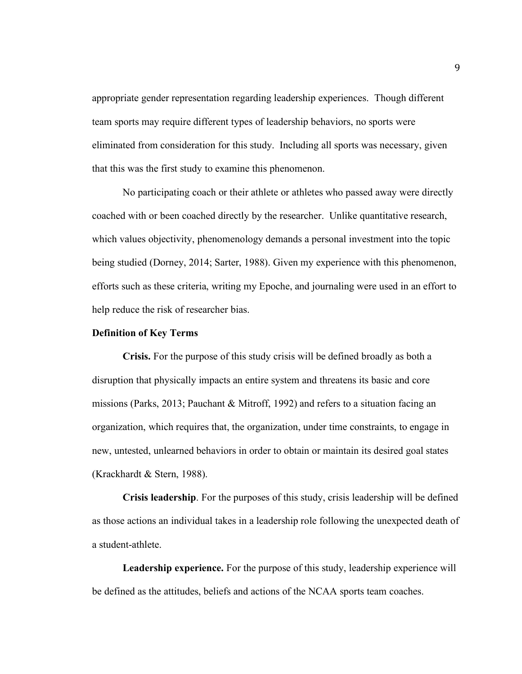appropriate gender representation regarding leadership experiences. Though different team sports may require different types of leadership behaviors, no sports were eliminated from consideration for this study. Including all sports was necessary, given that this was the first study to examine this phenomenon.

No participating coach or their athlete or athletes who passed away were directly coached with or been coached directly by the researcher. Unlike quantitative research, which values objectivity, phenomenology demands a personal investment into the topic being studied (Dorney, 2014; Sarter, 1988). Given my experience with this phenomenon, efforts such as these criteria, writing my Epoche, and journaling were used in an effort to help reduce the risk of researcher bias.

### **Definition of Key Terms**

**Crisis.** For the purpose of this study crisis will be defined broadly as both a disruption that physically impacts an entire system and threatens its basic and core missions (Parks, 2013; Pauchant & Mitroff, 1992) and refers to a situation facing an organization, which requires that, the organization, under time constraints, to engage in new, untested, unlearned behaviors in order to obtain or maintain its desired goal states (Krackhardt & Stern, 1988).

**Crisis leadership**. For the purposes of this study, crisis leadership will be defined as those actions an individual takes in a leadership role following the unexpected death of a student-athlete.

**Leadership experience.** For the purpose of this study, leadership experience will be defined as the attitudes, beliefs and actions of the NCAA sports team coaches.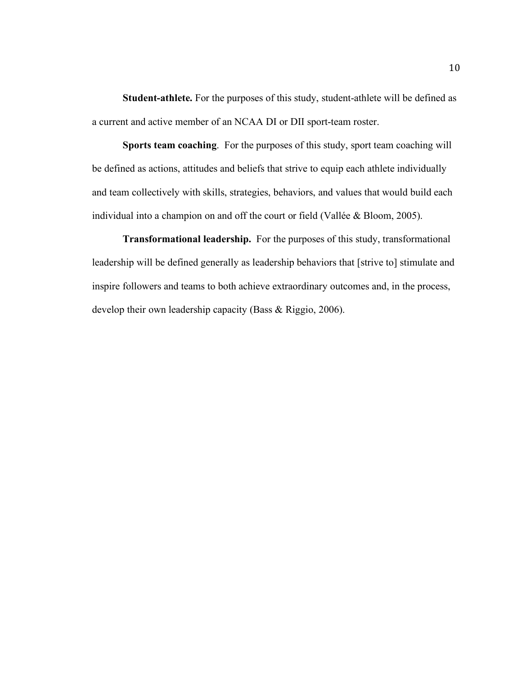**Student-athlete.** For the purposes of this study, student-athlete will be defined as a current and active member of an NCAA DI or DII sport-team roster.

**Sports team coaching**.For the purposes of this study, sport team coaching will be defined as actions, attitudes and beliefs that strive to equip each athlete individually and team collectively with skills, strategies, behaviors, and values that would build each individual into a champion on and off the court or field (Vallée & Bloom, 2005).

**Transformational leadership.** For the purposes of this study, transformational leadership will be defined generally as leadership behaviors that [strive to] stimulate and inspire followers and teams to both achieve extraordinary outcomes and, in the process, develop their own leadership capacity (Bass & Riggio, 2006).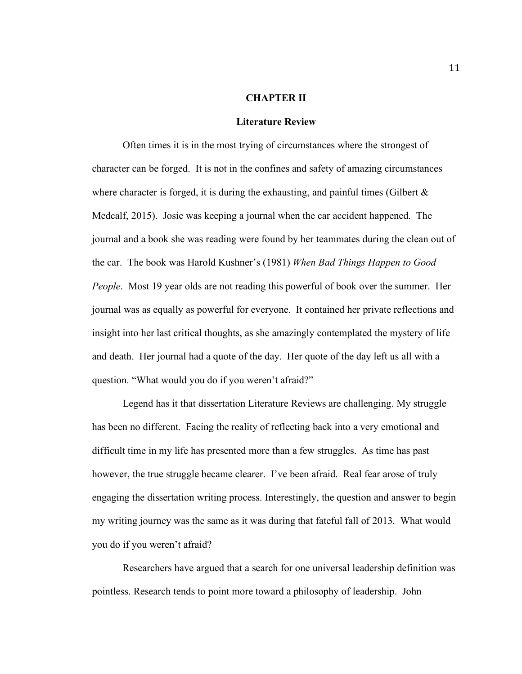## **CHAPTER II**

#### **Literature Review**

Often times it is in the most trying of circumstances where the strongest of character can be forged. It is not in the confines and safety of amazing circumstances where character is forged, it is during the exhausting, and painful times (Gilbert  $\&$ Medcalf, 2015). Josie was keeping a journal when the car accident happened. The journal and a book she was reading were found by her teammates during the clean out of the car. The book was Harold Kushner's (1981) *When Bad Things Happen to Good People*. Most 19 year olds are not reading this powerful of book over the summer. Her journal was as equally as powerful for everyone. It contained her private reflections and insight into her last critical thoughts, as she amazingly contemplated the mystery of life and death. Her journal had a quote of the day. Her quote of the day left us all with a question. "What would you do if you weren't afraid?"

Legend has it that dissertation Literature Reviews are challenging. My struggle has been no different. Facing the reality of reflecting back into a very emotional and difficult time in my life has presented more than a few struggles. As time has past however, the true struggle became clearer. I've been afraid. Real fear arose of truly engaging the dissertation writing process. Interestingly, the question and answer to begin my writing journey was the same as it was during that fateful fall of 2013. What would you do if you weren't afraid?

Researchers have argued that a search for one universal leadership definition was pointless. Research tends to point more toward a philosophy of leadership. John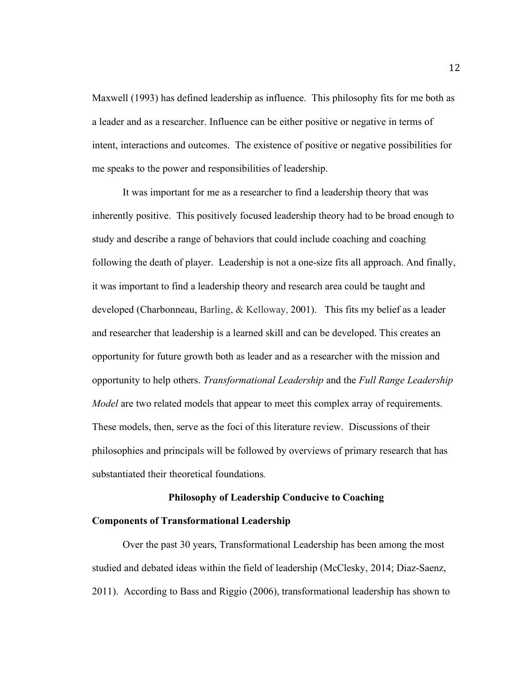Maxwell (1993) has defined leadership as influence. This philosophy fits for me both as a leader and as a researcher. Influence can be either positive or negative in terms of intent, interactions and outcomes. The existence of positive or negative possibilities for me speaks to the power and responsibilities of leadership.

It was important for me as a researcher to find a leadership theory that was inherently positive. This positively focused leadership theory had to be broad enough to study and describe a range of behaviors that could include coaching and coaching following the death of player. Leadership is not a one-size fits all approach. And finally, it was important to find a leadership theory and research area could be taught and developed (Charbonneau, Barling, & Kelloway, 2001). This fits my belief as a leader and researcher that leadership is a learned skill and can be developed. This creates an opportunity for future growth both as leader and as a researcher with the mission and opportunity to help others. *Transformational Leadership* and the *Full Range Leadership Model* are two related models that appear to meet this complex array of requirements. These models, then, serve as the foci of this literature review. Discussions of their philosophies and principals will be followed by overviews of primary research that has substantiated their theoretical foundations*.*

## **Philosophy of Leadership Conducive to Coaching**

## **Components of Transformational Leadership**

Over the past 30 years, Transformational Leadership has been among the most studied and debated ideas within the field of leadership (McClesky, 2014; Diaz-Saenz, 2011). According to Bass and Riggio (2006), transformational leadership has shown to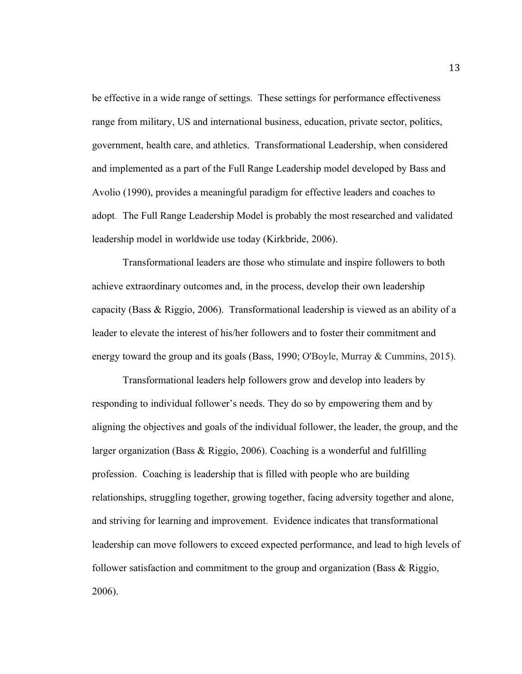be effective in a wide range of settings. These settings for performance effectiveness range from military, US and international business, education, private sector, politics, government, health care, and athletics. Transformational Leadership, when considered and implemented as a part of the Full Range Leadership model developed by Bass and Avolio (1990), provides a meaningful paradigm for effective leaders and coaches to adopt. The Full Range Leadership Model is probably the most researched and validated leadership model in worldwide use today (Kirkbride, 2006).

Transformational leaders are those who stimulate and inspire followers to both achieve extraordinary outcomes and, in the process, develop their own leadership capacity (Bass & Riggio, 2006). Transformational leadership is viewed as an ability of a leader to elevate the interest of his/her followers and to foster their commitment and energy toward the group and its goals (Bass, 1990; O'Boyle, Murray & Cummins, 2015).

Transformational leaders help followers grow and develop into leaders by responding to individual follower's needs. They do so by empowering them and by aligning the objectives and goals of the individual follower, the leader, the group, and the larger organization (Bass & Riggio, 2006). Coaching is a wonderful and fulfilling profession. Coaching is leadership that is filled with people who are building relationships, struggling together, growing together, facing adversity together and alone, and striving for learning and improvement. Evidence indicates that transformational leadership can move followers to exceed expected performance, and lead to high levels of follower satisfaction and commitment to the group and organization (Bass & Riggio, 2006).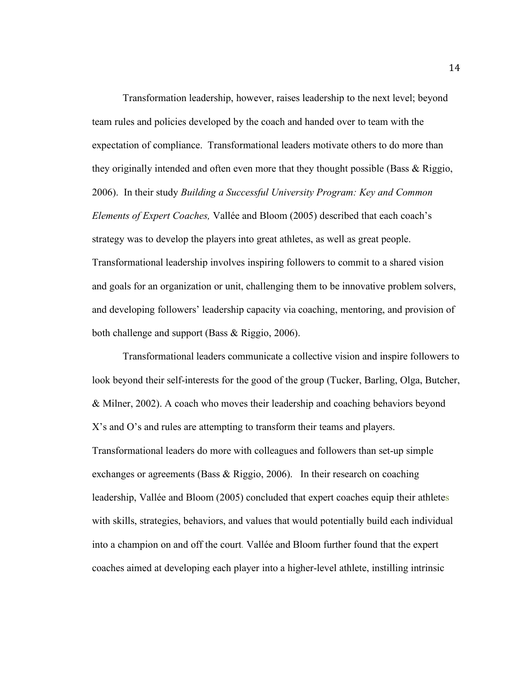Transformation leadership, however, raises leadership to the next level; beyond team rules and policies developed by the coach and handed over to team with the expectation of compliance. Transformational leaders motivate others to do more than they originally intended and often even more that they thought possible (Bass & Riggio, 2006). In their study *Building a Successful University Program: Key and Common Elements of Expert Coaches,* Vallée and Bloom (2005) described that each coach's strategy was to develop the players into great athletes, as well as great people. Transformational leadership involves inspiring followers to commit to a shared vision and goals for an organization or unit, challenging them to be innovative problem solvers, and developing followers' leadership capacity via coaching, mentoring, and provision of both challenge and support (Bass & Riggio, 2006).

Transformational leaders communicate a collective vision and inspire followers to look beyond their self-interests for the good of the group (Tucker, Barling, Olga, Butcher, & Milner, 2002). A coach who moves their leadership and coaching behaviors beyond X's and O's and rules are attempting to transform their teams and players. Transformational leaders do more with colleagues and followers than set-up simple exchanges or agreements (Bass & Riggio, 2006). In their research on coaching leadership, Vallée and Bloom (2005) concluded that expert coaches equip their athletes with skills, strategies, behaviors, and values that would potentially build each individual into a champion on and off the court. Vallée and Bloom further found that the expert coaches aimed at developing each player into a higher-level athlete, instilling intrinsic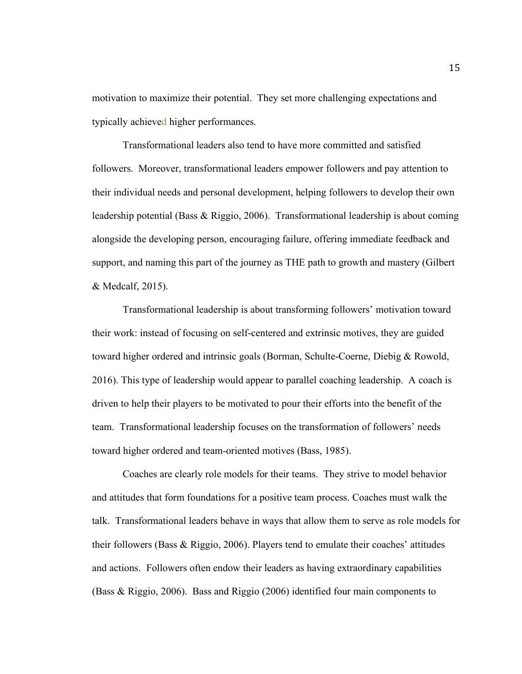motivation to maximize their potential. They set more challenging expectations and typically achieved higher performances.

Transformational leaders also tend to have more committed and satisfied followers. Moreover, transformational leaders empower followers and pay attention to their individual needs and personal development, helping followers to develop their own leadership potential (Bass & Riggio, 2006). Transformational leadership is about coming alongside the developing person, encouraging failure, offering immediate feedback and support, and naming this part of the journey as THE path to growth and mastery (Gilbert & Medcalf, 2015).

Transformational leadership is about transforming followers' motivation toward their work: instead of focusing on self-centered and extrinsic motives, they are guided toward higher ordered and intrinsic goals (Borman, Schulte-Coerne, Diebig & Rowold, 2016). This type of leadership would appear to parallel coaching leadership. A coach is driven to help their players to be motivated to pour their efforts into the benefit of the team. Transformational leadership focuses on the transformation of followers' needs toward higher ordered and team-oriented motives (Bass, 1985).

Coaches are clearly role models for their teams. They strive to model behavior and attitudes that form foundations for a positive team process. Coaches must walk the talk. Transformational leaders behave in ways that allow them to serve as role models for their followers (Bass & Riggio, 2006). Players tend to emulate their coaches' attitudes and actions. Followers often endow their leaders as having extraordinary capabilities (Bass & Riggio, 2006). Bass and Riggio (2006) identified four main components to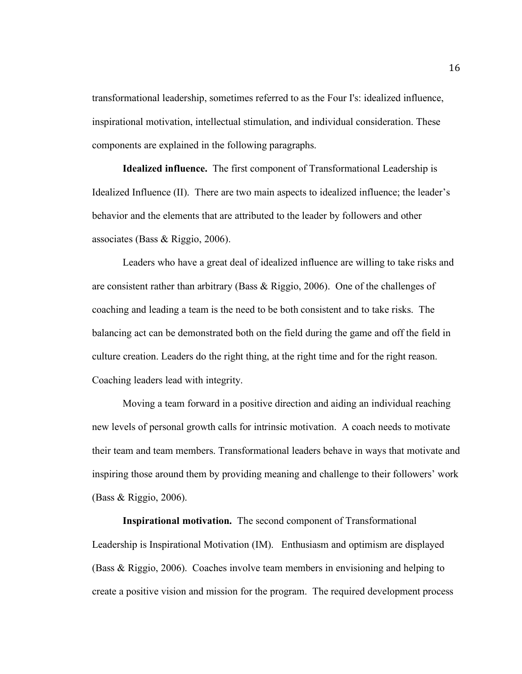transformational leadership, sometimes referred to as the Four I's: idealized influence, inspirational motivation, intellectual stimulation, and individual consideration. These components are explained in the following paragraphs.

**Idealized influence.** The first component of Transformational Leadership is Idealized Influence (II). There are two main aspects to idealized influence; the leader's behavior and the elements that are attributed to the leader by followers and other associates (Bass & Riggio, 2006).

Leaders who have a great deal of idealized influence are willing to take risks and are consistent rather than arbitrary (Bass & Riggio, 2006). One of the challenges of coaching and leading a team is the need to be both consistent and to take risks. The balancing act can be demonstrated both on the field during the game and off the field in culture creation. Leaders do the right thing, at the right time and for the right reason. Coaching leaders lead with integrity.

Moving a team forward in a positive direction and aiding an individual reaching new levels of personal growth calls for intrinsic motivation. A coach needs to motivate their team and team members. Transformational leaders behave in ways that motivate and inspiring those around them by providing meaning and challenge to their followers' work (Bass & Riggio, 2006).

**Inspirational motivation.** The second component of Transformational Leadership is Inspirational Motivation (IM). Enthusiasm and optimism are displayed (Bass & Riggio, 2006). Coaches involve team members in envisioning and helping to create a positive vision and mission for the program. The required development process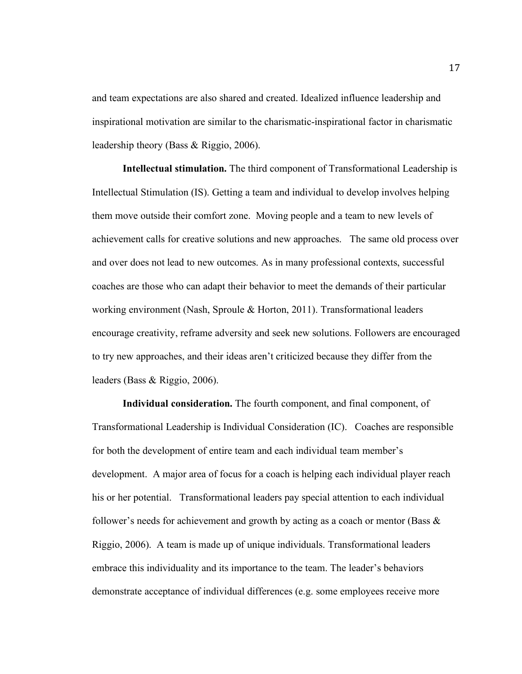and team expectations are also shared and created. Idealized influence leadership and inspirational motivation are similar to the charismatic-inspirational factor in charismatic leadership theory (Bass & Riggio, 2006).

**Intellectual stimulation.** The third component of Transformational Leadership is Intellectual Stimulation (IS). Getting a team and individual to develop involves helping them move outside their comfort zone. Moving people and a team to new levels of achievement calls for creative solutions and new approaches. The same old process over and over does not lead to new outcomes. As in many professional contexts, successful coaches are those who can adapt their behavior to meet the demands of their particular working environment (Nash, Sproule & Horton, 2011). Transformational leaders encourage creativity, reframe adversity and seek new solutions. Followers are encouraged to try new approaches, and their ideas aren't criticized because they differ from the leaders (Bass & Riggio, 2006).

**Individual consideration.** The fourth component, and final component, of Transformational Leadership is Individual Consideration (IC).Coaches are responsible for both the development of entire team and each individual team member's development. A major area of focus for a coach is helping each individual player reach his or her potential. Transformational leaders pay special attention to each individual follower's needs for achievement and growth by acting as a coach or mentor (Bass  $\&$ Riggio, 2006). A team is made up of unique individuals. Transformational leaders embrace this individuality and its importance to the team. The leader's behaviors demonstrate acceptance of individual differences (e.g. some employees receive more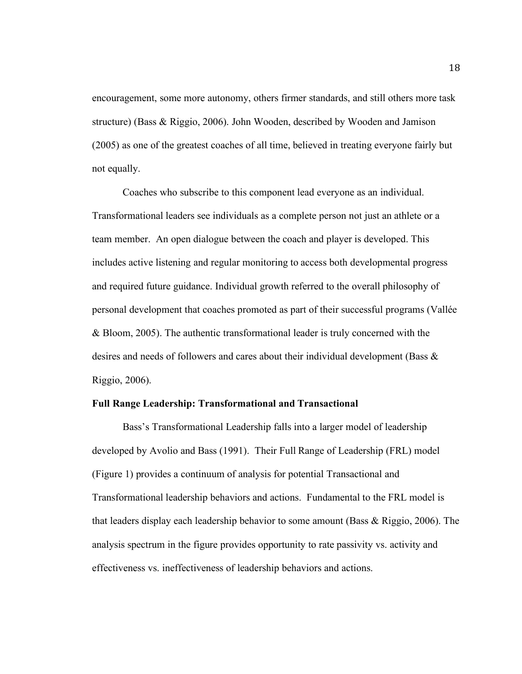encouragement, some more autonomy, others firmer standards, and still others more task structure) (Bass & Riggio, 2006). John Wooden, described by Wooden and Jamison (2005) as one of the greatest coaches of all time, believed in treating everyone fairly but not equally.

Coaches who subscribe to this component lead everyone as an individual. Transformational leaders see individuals as a complete person not just an athlete or a team member. An open dialogue between the coach and player is developed. This includes active listening and regular monitoring to access both developmental progress and required future guidance. Individual growth referred to the overall philosophy of personal development that coaches promoted as part of their successful programs (Vallée & Bloom, 2005). The authentic transformational leader is truly concerned with the desires and needs of followers and cares about their individual development (Bass & Riggio, 2006).

### **Full Range Leadership: Transformational and Transactional**

Bass's Transformational Leadership falls into a larger model of leadership developed by Avolio and Bass (1991). Their Full Range of Leadership (FRL) model (Figure 1) provides a continuum of analysis for potential Transactional and Transformational leadership behaviors and actions. Fundamental to the FRL model is that leaders display each leadership behavior to some amount (Bass & Riggio, 2006). The analysis spectrum in the figure provides opportunity to rate passivity vs. activity and effectiveness vs. ineffectiveness of leadership behaviors and actions.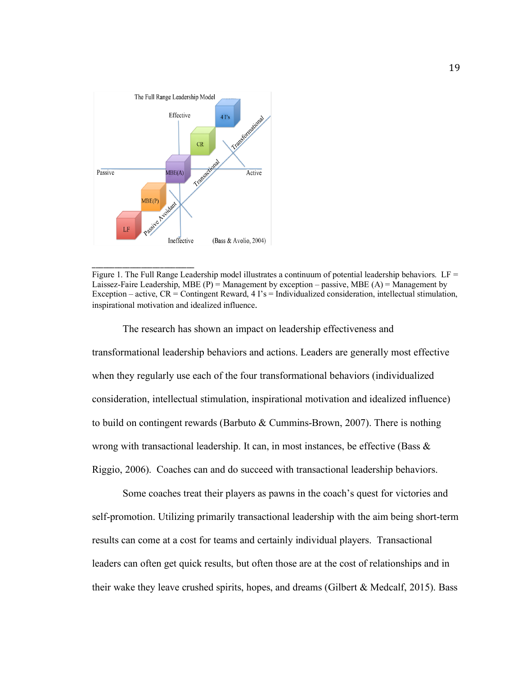

\_\_\_\_\_\_\_\_\_\_\_\_\_\_\_\_\_\_\_\_\_\_\_\_\_\_\_

Figure 1. The Full Range Leadership model illustrates a continuum of potential leadership behaviors. LF = Laissez-Faire Leadership, MBE  $(P)$  = Management by exception – passive, MBE  $(A)$  = Management by Exception – active,  $CR =$  Contingent Reward,  $4 \text{ I's} =$  Individualized consideration, intellectual stimulation, inspirational motivation and idealized influence.

The research has shown an impact on leadership effectiveness and transformational leadership behaviors and actions. Leaders are generally most effective when they regularly use each of the four transformational behaviors (individualized consideration, intellectual stimulation, inspirational motivation and idealized influence) to build on contingent rewards (Barbuto & Cummins-Brown, 2007). There is nothing wrong with transactional leadership. It can, in most instances, be effective (Bass  $\&$ Riggio, 2006). Coaches can and do succeed with transactional leadership behaviors.

Some coaches treat their players as pawns in the coach's quest for victories and self-promotion. Utilizing primarily transactional leadership with the aim being short-term results can come at a cost for teams and certainly individual players. Transactional leaders can often get quick results, but often those are at the cost of relationships and in their wake they leave crushed spirits, hopes, and dreams (Gilbert  $& Medcalf, 2015$ ). Bass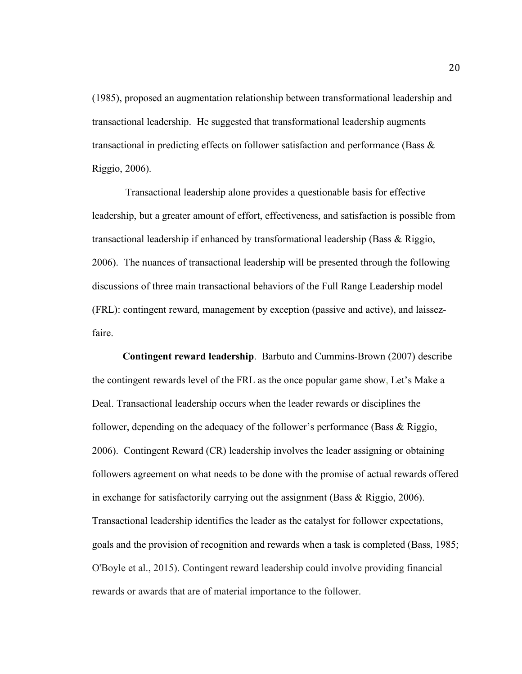(1985), proposed an augmentation relationship between transformational leadership and transactional leadership. He suggested that transformational leadership augments transactional in predicting effects on follower satisfaction and performance (Bass  $\&$ Riggio, 2006).

Transactional leadership alone provides a questionable basis for effective leadership, but a greater amount of effort, effectiveness, and satisfaction is possible from transactional leadership if enhanced by transformational leadership (Bass & Riggio, 2006). The nuances of transactional leadership will be presented through the following discussions of three main transactional behaviors of the Full Range Leadership model (FRL): contingent reward, management by exception (passive and active), and laissezfaire.

**Contingent reward leadership**. Barbuto and Cummins-Brown (2007) describe the contingent rewards level of the FRL as the once popular game show, Let's Make a Deal. Transactional leadership occurs when the leader rewards or disciplines the follower, depending on the adequacy of the follower's performance (Bass & Riggio, 2006). Contingent Reward (CR) leadership involves the leader assigning or obtaining followers agreement on what needs to be done with the promise of actual rewards offered in exchange for satisfactorily carrying out the assignment (Bass & Riggio, 2006). Transactional leadership identifies the leader as the catalyst for follower expectations, goals and the provision of recognition and rewards when a task is completed (Bass, 1985; O'Boyle et al., 2015). Contingent reward leadership could involve providing financial rewards or awards that are of material importance to the follower.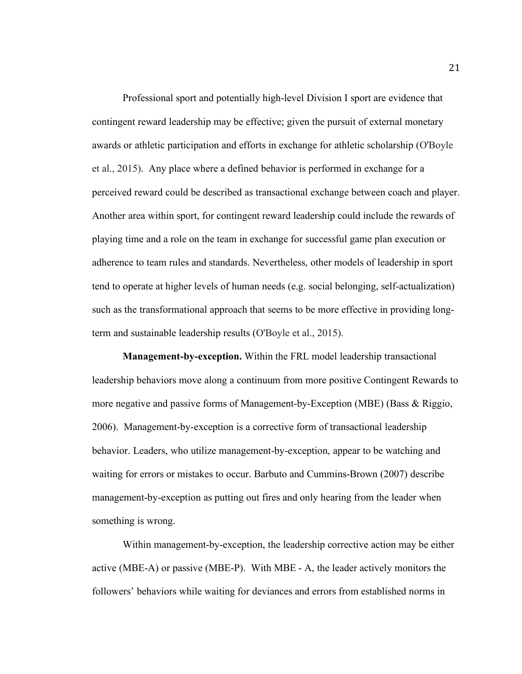Professional sport and potentially high-level Division I sport are evidence that contingent reward leadership may be effective; given the pursuit of external monetary awards or athletic participation and efforts in exchange for athletic scholarship (O'Boyle et al., 2015). Any place where a defined behavior is performed in exchange for a perceived reward could be described as transactional exchange between coach and player. Another area within sport, for contingent reward leadership could include the rewards of playing time and a role on the team in exchange for successful game plan execution or adherence to team rules and standards. Nevertheless, other models of leadership in sport tend to operate at higher levels of human needs (e.g. social belonging, self-actualization) such as the transformational approach that seems to be more effective in providing longterm and sustainable leadership results (O'Boyle et al., 2015).

**Management-by-exception.** Within the FRL model leadership transactional leadership behaviors move along a continuum from more positive Contingent Rewards to more negative and passive forms of Management-by-Exception (MBE) (Bass & Riggio, 2006). Management-by-exception is a corrective form of transactional leadership behavior. Leaders, who utilize management-by-exception, appear to be watching and waiting for errors or mistakes to occur. Barbuto and Cummins-Brown (2007) describe management-by-exception as putting out fires and only hearing from the leader when something is wrong.

Within management-by-exception, the leadership corrective action may be either active (MBE-A) or passive (MBE-P). With MBE - A, the leader actively monitors the followers' behaviors while waiting for deviances and errors from established norms in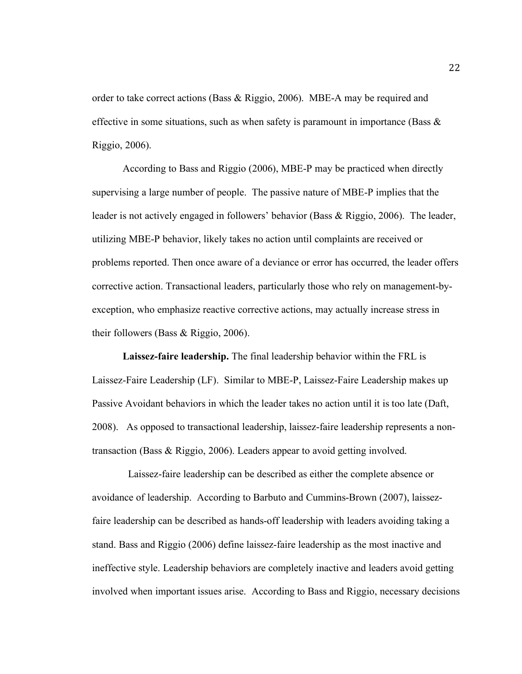order to take correct actions (Bass & Riggio, 2006). MBE-A may be required and effective in some situations, such as when safety is paramount in importance (Bass  $\&$ Riggio, 2006).

According to Bass and Riggio (2006), MBE-P may be practiced when directly supervising a large number of people. The passive nature of MBE-P implies that the leader is not actively engaged in followers' behavior (Bass & Riggio, 2006). The leader, utilizing MBE-P behavior, likely takes no action until complaints are received or problems reported. Then once aware of a deviance or error has occurred, the leader offers corrective action. Transactional leaders, particularly those who rely on management-byexception, who emphasize reactive corrective actions, may actually increase stress in their followers (Bass & Riggio, 2006).

**Laissez-faire leadership.** The final leadership behavior within the FRL is Laissez-Faire Leadership (LF). Similar to MBE-P, Laissez-Faire Leadership makes up Passive Avoidant behaviors in which the leader takes no action until it is too late (Daft, 2008). As opposed to transactional leadership, laissez-faire leadership represents a nontransaction (Bass & Riggio, 2006). Leaders appear to avoid getting involved.

Laissez-faire leadership can be described as either the complete absence or avoidance of leadership. According to Barbuto and Cummins-Brown (2007), laissezfaire leadership can be described as hands-off leadership with leaders avoiding taking a stand. Bass and Riggio (2006) define laissez-faire leadership as the most inactive and ineffective style. Leadership behaviors are completely inactive and leaders avoid getting involved when important issues arise. According to Bass and Riggio, necessary decisions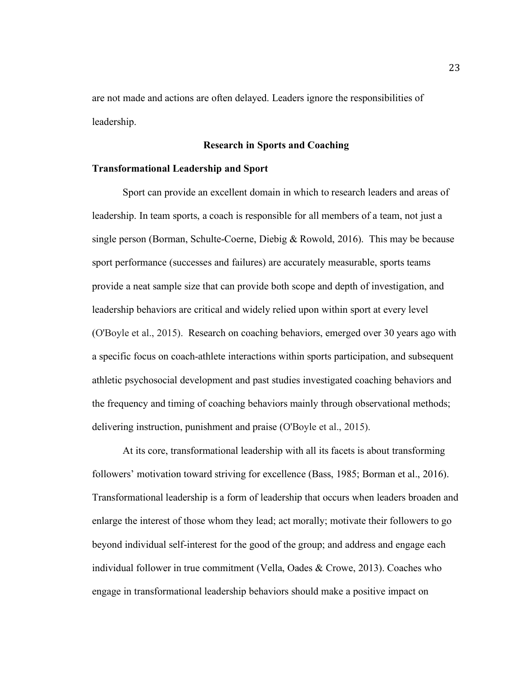are not made and actions are often delayed. Leaders ignore the responsibilities of leadership.

## **Research in Sports and Coaching**

## **Transformational Leadership and Sport**

Sport can provide an excellent domain in which to research leaders and areas of leadership. In team sports, a coach is responsible for all members of a team, not just a single person (Borman, Schulte-Coerne, Diebig & Rowold, 2016). This may be because sport performance (successes and failures) are accurately measurable, sports teams provide a neat sample size that can provide both scope and depth of investigation, and leadership behaviors are critical and widely relied upon within sport at every level (O'Boyle et al., 2015). Research on coaching behaviors, emerged over 30 years ago with a specific focus on coach-athlete interactions within sports participation, and subsequent athletic psychosocial development and past studies investigated coaching behaviors and the frequency and timing of coaching behaviors mainly through observational methods; delivering instruction, punishment and praise (O'Boyle et al., 2015).

At its core, transformational leadership with all its facets is about transforming followers' motivation toward striving for excellence (Bass, 1985; Borman et al., 2016). Transformational leadership is a form of leadership that occurs when leaders broaden and enlarge the interest of those whom they lead; act morally; motivate their followers to go beyond individual self-interest for the good of the group; and address and engage each individual follower in true commitment (Vella, Oades & Crowe, 2013). Coaches who engage in transformational leadership behaviors should make a positive impact on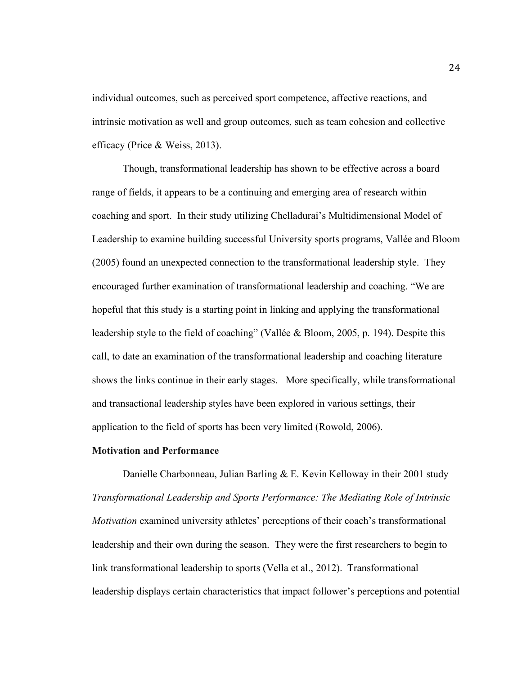individual outcomes, such as perceived sport competence, affective reactions, and intrinsic motivation as well and group outcomes, such as team cohesion and collective efficacy (Price & Weiss, 2013).

Though, transformational leadership has shown to be effective across a board range of fields, it appears to be a continuing and emerging area of research within coaching and sport. In their study utilizing Chelladurai's Multidimensional Model of Leadership to examine building successful University sports programs, Vallée and Bloom (2005) found an unexpected connection to the transformational leadership style. They encouraged further examination of transformational leadership and coaching. "We are hopeful that this study is a starting point in linking and applying the transformational leadership style to the field of coaching" (Vallée & Bloom, 2005, p. 194). Despite this call, to date an examination of the transformational leadership and coaching literature shows the links continue in their early stages. More specifically, while transformational and transactional leadership styles have been explored in various settings, their application to the field of sports has been very limited (Rowold, 2006).

# **Motivation and Performance**

Danielle Charbonneau, Julian Barling & E. Kevin Kelloway in their 2001 study *Transformational Leadership and Sports Performance: The Mediating Role of Intrinsic Motivation* examined university athletes' perceptions of their coach's transformational leadership and their own during the season. They were the first researchers to begin to link transformational leadership to sports (Vella et al., 2012). Transformational leadership displays certain characteristics that impact follower's perceptions and potential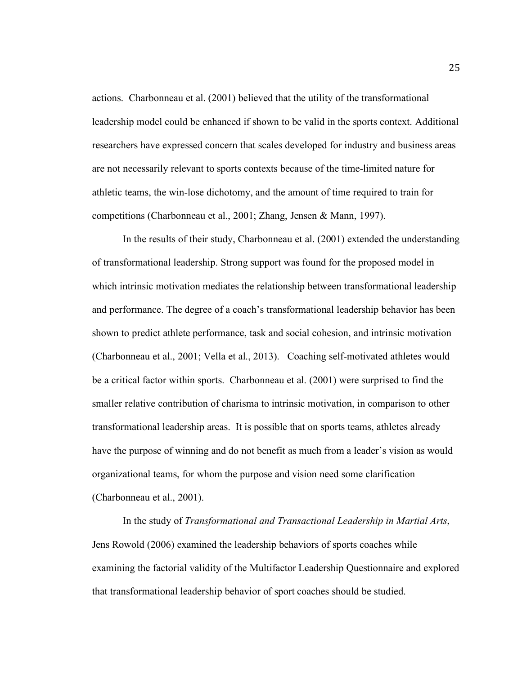actions. Charbonneau et al. (2001) believed that the utility of the transformational leadership model could be enhanced if shown to be valid in the sports context. Additional researchers have expressed concern that scales developed for industry and business areas are not necessarily relevant to sports contexts because of the time-limited nature for athletic teams, the win-lose dichotomy, and the amount of time required to train for competitions (Charbonneau et al., 2001; Zhang, Jensen & Mann, 1997).

In the results of their study, Charbonneau et al. (2001) extended the understanding of transformational leadership. Strong support was found for the proposed model in which intrinsic motivation mediates the relationship between transformational leadership and performance. The degree of a coach's transformational leadership behavior has been shown to predict athlete performance, task and social cohesion, and intrinsic motivation (Charbonneau et al., 2001; Vella et al., 2013). Coaching self-motivated athletes would be a critical factor within sports. Charbonneau et al. (2001) were surprised to find the smaller relative contribution of charisma to intrinsic motivation, in comparison to other transformational leadership areas. It is possible that on sports teams, athletes already have the purpose of winning and do not benefit as much from a leader's vision as would organizational teams, for whom the purpose and vision need some clarification (Charbonneau et al., 2001).

In the study of *Transformational and Transactional Leadership in Martial Arts*, Jens Rowold (2006) examined the leadership behaviors of sports coaches while examining the factorial validity of the Multifactor Leadership Questionnaire and explored that transformational leadership behavior of sport coaches should be studied.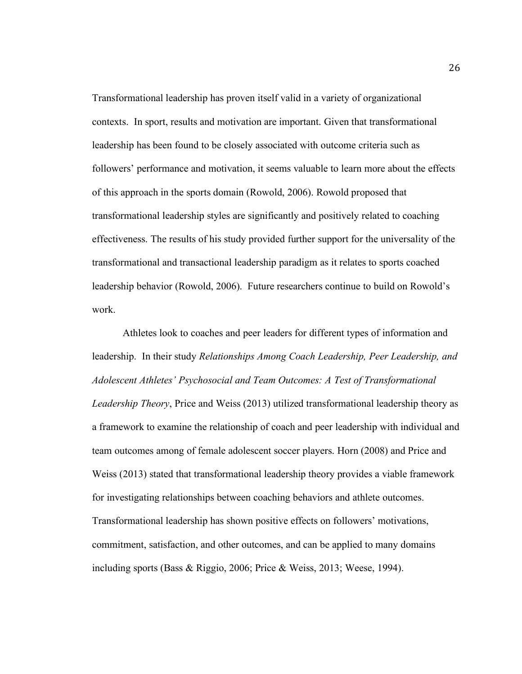Transformational leadership has proven itself valid in a variety of organizational contexts. In sport, results and motivation are important. Given that transformational leadership has been found to be closely associated with outcome criteria such as followers' performance and motivation, it seems valuable to learn more about the effects of this approach in the sports domain (Rowold, 2006). Rowold proposed that transformational leadership styles are significantly and positively related to coaching effectiveness. The results of his study provided further support for the universality of the transformational and transactional leadership paradigm as it relates to sports coached leadership behavior (Rowold, 2006). Future researchers continue to build on Rowold's work.

Athletes look to coaches and peer leaders for different types of information and leadership. In their study *Relationships Among Coach Leadership, Peer Leadership, and Adolescent Athletes' Psychosocial and Team Outcomes: A Test of Transformational Leadership Theory*, Price and Weiss (2013) utilized transformational leadership theory as a framework to examine the relationship of coach and peer leadership with individual and team outcomes among of female adolescent soccer players. Horn (2008) and Price and Weiss (2013) stated that transformational leadership theory provides a viable framework for investigating relationships between coaching behaviors and athlete outcomes. Transformational leadership has shown positive effects on followers' motivations, commitment, satisfaction, and other outcomes, and can be applied to many domains including sports (Bass & Riggio, 2006; Price & Weiss, 2013; Weese, 1994).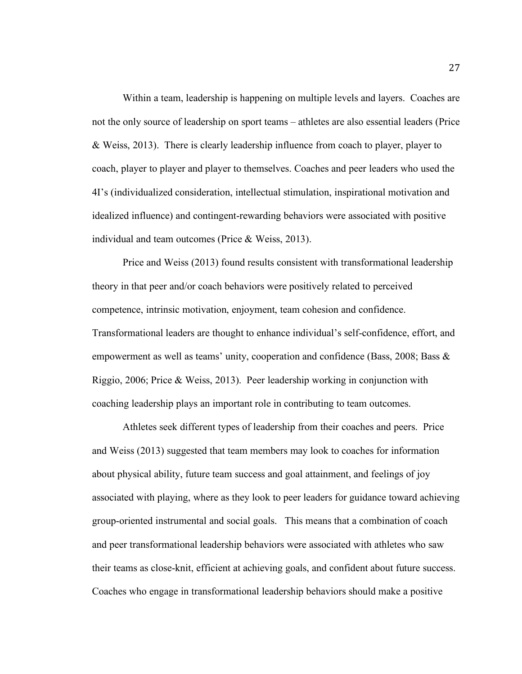Within a team, leadership is happening on multiple levels and layers. Coaches are not the only source of leadership on sport teams – athletes are also essential leaders (Price & Weiss, 2013). There is clearly leadership influence from coach to player, player to coach, player to player and player to themselves. Coaches and peer leaders who used the 4I's (individualized consideration, intellectual stimulation, inspirational motivation and idealized influence) and contingent-rewarding behaviors were associated with positive individual and team outcomes (Price & Weiss, 2013).

Price and Weiss (2013) found results consistent with transformational leadership theory in that peer and/or coach behaviors were positively related to perceived competence, intrinsic motivation, enjoyment, team cohesion and confidence. Transformational leaders are thought to enhance individual's self-confidence, effort, and empowerment as well as teams' unity, cooperation and confidence (Bass, 2008; Bass & Riggio, 2006; Price  $\&$  Weiss, 2013). Peer leadership working in conjunction with coaching leadership plays an important role in contributing to team outcomes.

Athletes seek different types of leadership from their coaches and peers. Price and Weiss (2013) suggested that team members may look to coaches for information about physical ability, future team success and goal attainment, and feelings of joy associated with playing, where as they look to peer leaders for guidance toward achieving group-oriented instrumental and social goals. This means that a combination of coach and peer transformational leadership behaviors were associated with athletes who saw their teams as close-knit, efficient at achieving goals, and confident about future success. Coaches who engage in transformational leadership behaviors should make a positive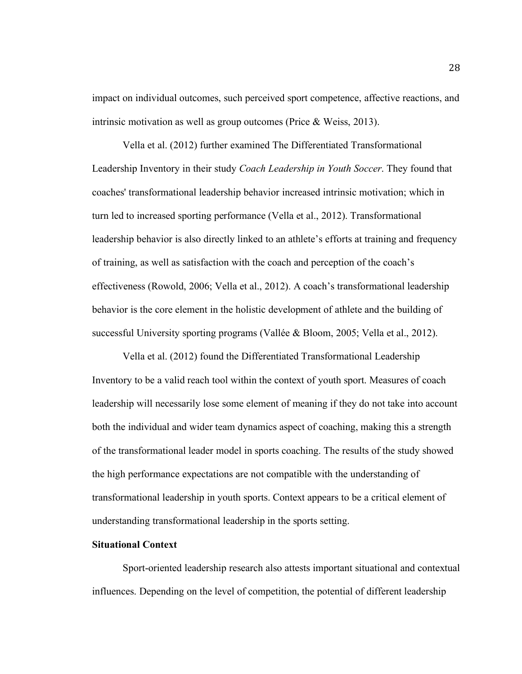impact on individual outcomes, such perceived sport competence, affective reactions, and intrinsic motivation as well as group outcomes (Price & Weiss, 2013).

Vella et al. (2012) further examined The Differentiated Transformational Leadership Inventory in their study *Coach Leadership in Youth Soccer*. They found that coaches' transformational leadership behavior increased intrinsic motivation; which in turn led to increased sporting performance (Vella et al., 2012). Transformational leadership behavior is also directly linked to an athlete's efforts at training and frequency of training, as well as satisfaction with the coach and perception of the coach's effectiveness (Rowold, 2006; Vella et al., 2012). A coach's transformational leadership behavior is the core element in the holistic development of athlete and the building of successful University sporting programs (Vallée & Bloom, 2005; Vella et al., 2012).

Vella et al. (2012) found the Differentiated Transformational Leadership Inventory to be a valid reach tool within the context of youth sport. Measures of coach leadership will necessarily lose some element of meaning if they do not take into account both the individual and wider team dynamics aspect of coaching, making this a strength of the transformational leader model in sports coaching. The results of the study showed the high performance expectations are not compatible with the understanding of transformational leadership in youth sports. Context appears to be a critical element of understanding transformational leadership in the sports setting.

# **Situational Context**

Sport-oriented leadership research also attests important situational and contextual influences. Depending on the level of competition, the potential of different leadership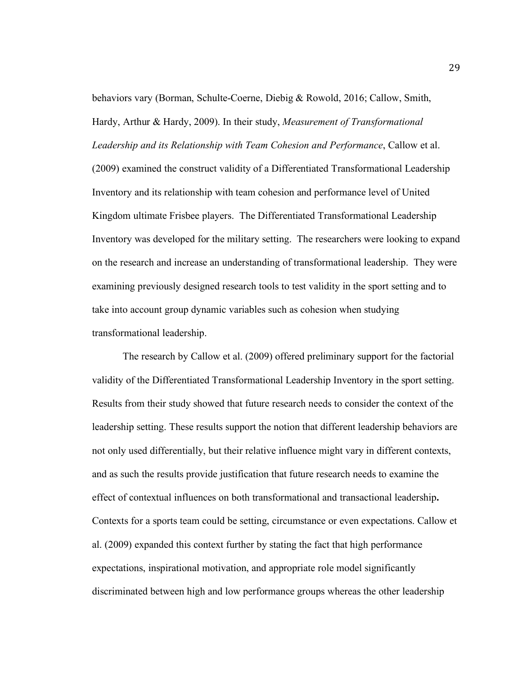behaviors vary (Borman, Schulte-Coerne, Diebig & Rowold, 2016; Callow, Smith, Hardy, Arthur & Hardy, 2009). In their study, *Measurement of Transformational Leadership and its Relationship with Team Cohesion and Performance*, Callow et al. (2009) examined the construct validity of a Differentiated Transformational Leadership Inventory and its relationship with team cohesion and performance level of United Kingdom ultimate Frisbee players. The Differentiated Transformational Leadership Inventory was developed for the military setting. The researchers were looking to expand on the research and increase an understanding of transformational leadership. They were examining previously designed research tools to test validity in the sport setting and to take into account group dynamic variables such as cohesion when studying transformational leadership.

The research by Callow et al. (2009) offered preliminary support for the factorial validity of the Differentiated Transformational Leadership Inventory in the sport setting. Results from their study showed that future research needs to consider the context of the leadership setting. These results support the notion that different leadership behaviors are not only used differentially, but their relative influence might vary in different contexts, and as such the results provide justification that future research needs to examine the effect of contextual influences on both transformational and transactional leadership**.**  Contexts for a sports team could be setting, circumstance or even expectations. Callow et al. (2009) expanded this context further by stating the fact that high performance expectations, inspirational motivation, and appropriate role model significantly discriminated between high and low performance groups whereas the other leadership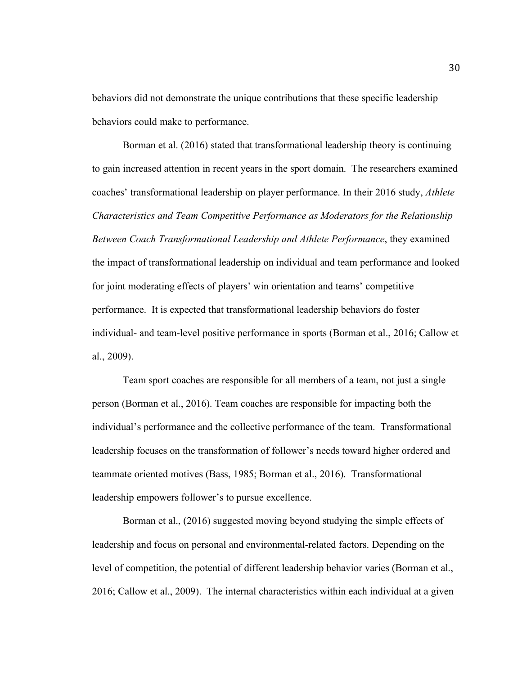behaviors did not demonstrate the unique contributions that these specific leadership behaviors could make to performance.

Borman et al. (2016) stated that transformational leadership theory is continuing to gain increased attention in recent years in the sport domain. The researchers examined coaches' transformational leadership on player performance. In their 2016 study, *Athlete Characteristics and Team Competitive Performance as Moderators for the Relationship Between Coach Transformational Leadership and Athlete Performance*, they examined the impact of transformational leadership on individual and team performance and looked for joint moderating effects of players' win orientation and teams' competitive performance. It is expected that transformational leadership behaviors do foster individual- and team-level positive performance in sports (Borman et al., 2016; Callow et al., 2009).

Team sport coaches are responsible for all members of a team, not just a single person (Borman et al., 2016). Team coaches are responsible for impacting both the individual's performance and the collective performance of the team. Transformational leadership focuses on the transformation of follower's needs toward higher ordered and teammate oriented motives (Bass, 1985; Borman et al., 2016). Transformational leadership empowers follower's to pursue excellence.

Borman et al., (2016) suggested moving beyond studying the simple effects of leadership and focus on personal and environmental-related factors. Depending on the level of competition, the potential of different leadership behavior varies (Borman et al., 2016; Callow et al., 2009). The internal characteristics within each individual at a given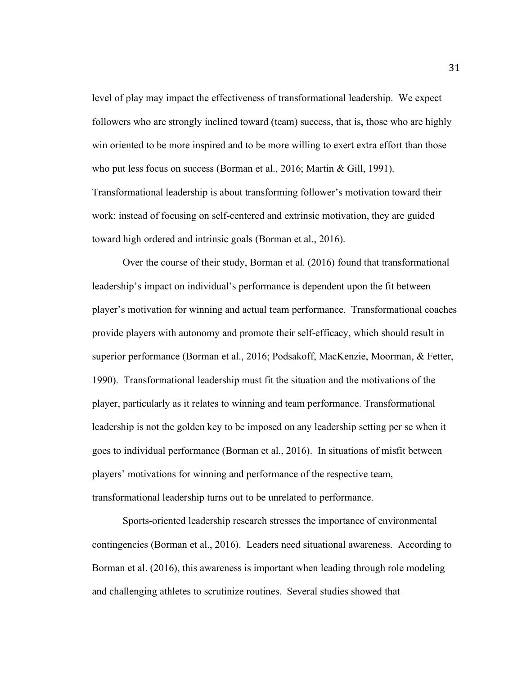level of play may impact the effectiveness of transformational leadership. We expect followers who are strongly inclined toward (team) success, that is, those who are highly win oriented to be more inspired and to be more willing to exert extra effort than those who put less focus on success (Borman et al., 2016; Martin & Gill, 1991). Transformational leadership is about transforming follower's motivation toward their work: instead of focusing on self-centered and extrinsic motivation, they are guided toward high ordered and intrinsic goals (Borman et al., 2016).

Over the course of their study, Borman et al. (2016) found that transformational leadership's impact on individual's performance is dependent upon the fit between player's motivation for winning and actual team performance. Transformational coaches provide players with autonomy and promote their self-efficacy, which should result in superior performance (Borman et al., 2016; Podsakoff, MacKenzie, Moorman, & Fetter, 1990). Transformational leadership must fit the situation and the motivations of the player, particularly as it relates to winning and team performance. Transformational leadership is not the golden key to be imposed on any leadership setting per se when it goes to individual performance (Borman et al., 2016). In situations of misfit between players' motivations for winning and performance of the respective team, transformational leadership turns out to be unrelated to performance.

Sports-oriented leadership research stresses the importance of environmental contingencies (Borman et al., 2016). Leaders need situational awareness. According to Borman et al. (2016), this awareness is important when leading through role modeling and challenging athletes to scrutinize routines. Several studies showed that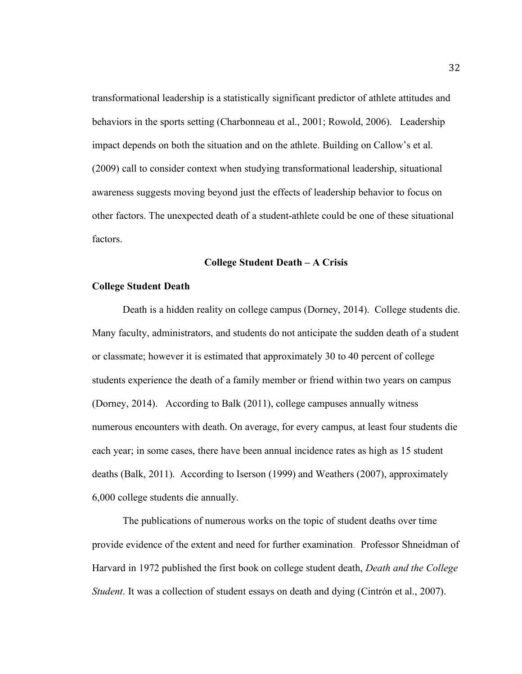transformational leadership is a statistically significant predictor of athlete attitudes and behaviors in the sports setting (Charbonneau et al., 2001; Rowold, 2006). Leadership impact depends on both the situation and on the athlete. Building on Callow's et al. (2009) call to consider context when studying transformational leadership, situational awareness suggests moving beyond just the effects of leadership behavior to focus on other factors. The unexpected death of a student-athlete could be one of these situational factors.

## **College Student Death – A Crisis**

#### **College Student Death**

Death is a hidden reality on college campus (Dorney, 2014). College students die. Many faculty, administrators, and students do not anticipate the sudden death of a student or classmate; however it is estimated that approximately 30 to 40 percent of college students experience the death of a family member or friend within two years on campus (Dorney, 2014). According to Balk (2011), college campuses annually witness numerous encounters with death. On average, for every campus, at least four students die each year; in some cases, there have been annual incidence rates as high as 15 student deaths (Balk, 2011). According to Iserson (1999) and Weathers (2007), approximately 6,000 college students die annually.

The publications of numerous works on the topic of student deaths over time provide evidence of the extent and need for further examination. Professor Shneidman of Harvard in 1972 published the first book on college student death, *Death and the College Student*. It was a collection of student essays on death and dying (Cintrón et al., 2007).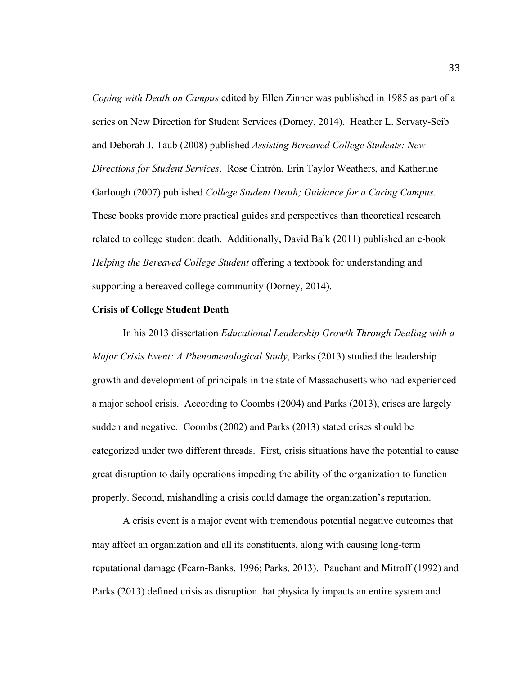*Coping with Death on Campus* edited by Ellen Zinner was published in 1985 as part of a series on New Direction for Student Services (Dorney, 2014). Heather L. Servaty-Seib and Deborah J. Taub (2008) published *Assisting Bereaved College Students: New Directions for Student Services*. Rose Cintrón, Erin Taylor Weathers, and Katherine Garlough (2007) published *College Student Death; Guidance for a Caring Campus*. These books provide more practical guides and perspectives than theoretical research related to college student death. Additionally, David Balk (2011) published an e-book *Helping the Bereaved College Student* offering a textbook for understanding and supporting a bereaved college community (Dorney, 2014).

#### **Crisis of College Student Death**

In his 2013 dissertation *Educational Leadership Growth Through Dealing with a Major Crisis Event: A Phenomenological Study*, Parks (2013) studied the leadership growth and development of principals in the state of Massachusetts who had experienced a major school crisis. According to Coombs (2004) and Parks (2013), crises are largely sudden and negative. Coombs (2002) and Parks (2013) stated crises should be categorized under two different threads. First, crisis situations have the potential to cause great disruption to daily operations impeding the ability of the organization to function properly. Second, mishandling a crisis could damage the organization's reputation.

A crisis event is a major event with tremendous potential negative outcomes that may affect an organization and all its constituents, along with causing long-term reputational damage (Fearn-Banks, 1996; Parks, 2013). Pauchant and Mitroff (1992) and Parks (2013) defined crisis as disruption that physically impacts an entire system and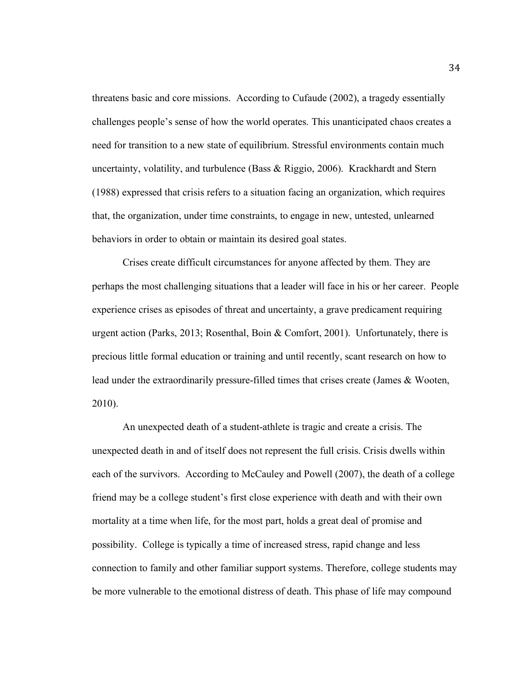threatens basic and core missions. According to Cufaude (2002), a tragedy essentially challenges people's sense of how the world operates. This unanticipated chaos creates a need for transition to a new state of equilibrium. Stressful environments contain much uncertainty, volatility, and turbulence (Bass & Riggio, 2006). Krackhardt and Stern (1988) expressed that crisis refers to a situation facing an organization, which requires that, the organization, under time constraints, to engage in new, untested, unlearned behaviors in order to obtain or maintain its desired goal states.

Crises create difficult circumstances for anyone affected by them. They are perhaps the most challenging situations that a leader will face in his or her career. People experience crises as episodes of threat and uncertainty, a grave predicament requiring urgent action (Parks, 2013; Rosenthal, Boin & Comfort, 2001). Unfortunately, there is precious little formal education or training and until recently, scant research on how to lead under the extraordinarily pressure-filled times that crises create (James & Wooten, 2010).

An unexpected death of a student-athlete is tragic and create a crisis. The unexpected death in and of itself does not represent the full crisis. Crisis dwells within each of the survivors. According to McCauley and Powell (2007), the death of a college friend may be a college student's first close experience with death and with their own mortality at a time when life, for the most part, holds a great deal of promise and possibility. College is typically a time of increased stress, rapid change and less connection to family and other familiar support systems. Therefore, college students may be more vulnerable to the emotional distress of death. This phase of life may compound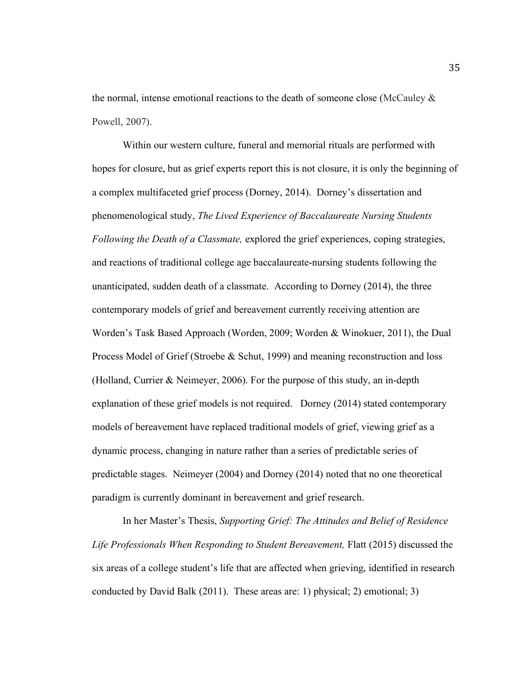the normal, intense emotional reactions to the death of someone close (McCauley  $\&$ Powell, 2007).

Within our western culture, funeral and memorial rituals are performed with hopes for closure, but as grief experts report this is not closure, it is only the beginning of a complex multifaceted grief process (Dorney, 2014). Dorney's dissertation and phenomenological study, *The Lived Experience of Baccalaureate Nursing Students Following the Death of a Classmate,* explored the grief experiences, coping strategies, and reactions of traditional college age baccalaureate-nursing students following the unanticipated, sudden death of a classmate. According to Dorney (2014), the three contemporary models of grief and bereavement currently receiving attention are Worden's Task Based Approach (Worden, 2009; Worden & Winokuer, 2011), the Dual Process Model of Grief (Stroebe & Schut, 1999) and meaning reconstruction and loss (Holland, Currier & Neimeyer, 2006). For the purpose of this study, an in-depth explanation of these grief models is not required. Dorney (2014) stated contemporary models of bereavement have replaced traditional models of grief, viewing grief as a dynamic process, changing in nature rather than a series of predictable series of predictable stages. Neimeyer (2004) and Dorney (2014) noted that no one theoretical paradigm is currently dominant in bereavement and grief research.

In her Master's Thesis, *Supporting Grief: The Attitudes and Belief of Residence Life Professionals When Responding to Student Bereavement,* Flatt (2015) discussed the six areas of a college student's life that are affected when grieving, identified in research conducted by David Balk (2011). These areas are: 1) physical; 2) emotional; 3)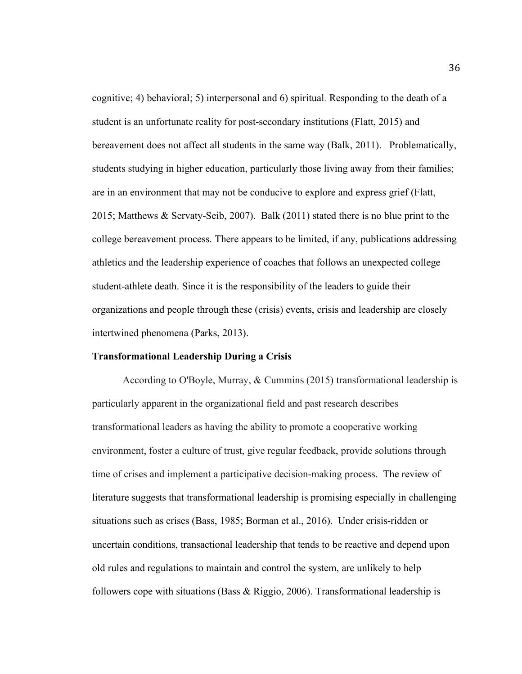cognitive; 4) behavioral; 5) interpersonal and 6) spiritual. Responding to the death of a student is an unfortunate reality for post-secondary institutions (Flatt, 2015) and bereavement does not affect all students in the same way (Balk, 2011). Problematically, students studying in higher education, particularly those living away from their families; are in an environment that may not be conducive to explore and express grief (Flatt, 2015; Matthews & Servaty-Seib, 2007). Balk (2011) stated there is no blue print to the college bereavement process. There appears to be limited, if any, publications addressing athletics and the leadership experience of coaches that follows an unexpected college student-athlete death. Since it is the responsibility of the leaders to guide their organizations and people through these (crisis) events, crisis and leadership are closely intertwined phenomena (Parks, 2013).

#### **Transformational Leadership During a Crisis**

According to O'Boyle, Murray, & Cummins (2015) transformational leadership is particularly apparent in the organizational field and past research describes transformational leaders as having the ability to promote a cooperative working environment, foster a culture of trust, give regular feedback, provide solutions through time of crises and implement a participative decision-making process. The review of literature suggests that transformational leadership is promising especially in challenging situations such as crises (Bass, 1985; Borman et al., 2016). Under crisis-ridden or uncertain conditions, transactional leadership that tends to be reactive and depend upon old rules and regulations to maintain and control the system, are unlikely to help followers cope with situations (Bass  $\&$  Riggio, 2006). Transformational leadership is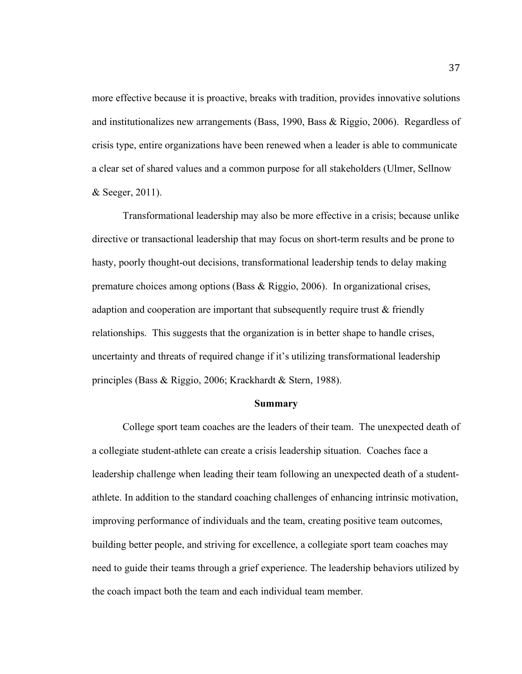more effective because it is proactive, breaks with tradition, provides innovative solutions and institutionalizes new arrangements (Bass, 1990, Bass & Riggio, 2006). Regardless of crisis type, entire organizations have been renewed when a leader is able to communicate a clear set of shared values and a common purpose for all stakeholders (Ulmer, Sellnow & Seeger, 2011).

Transformational leadership may also be more effective in a crisis; because unlike directive or transactional leadership that may focus on short-term results and be prone to hasty, poorly thought-out decisions, transformational leadership tends to delay making premature choices among options (Bass & Riggio, 2006). In organizational crises, adaption and cooperation are important that subsequently require trust & friendly relationships. This suggests that the organization is in better shape to handle crises, uncertainty and threats of required change if it's utilizing transformational leadership principles (Bass & Riggio, 2006; Krackhardt & Stern, 1988).

#### **Summary**

College sport team coaches are the leaders of their team. The unexpected death of a collegiate student-athlete can create a crisis leadership situation. Coaches face a leadership challenge when leading their team following an unexpected death of a studentathlete. In addition to the standard coaching challenges of enhancing intrinsic motivation, improving performance of individuals and the team, creating positive team outcomes, building better people, and striving for excellence, a collegiate sport team coaches may need to guide their teams through a grief experience. The leadership behaviors utilized by the coach impact both the team and each individual team member.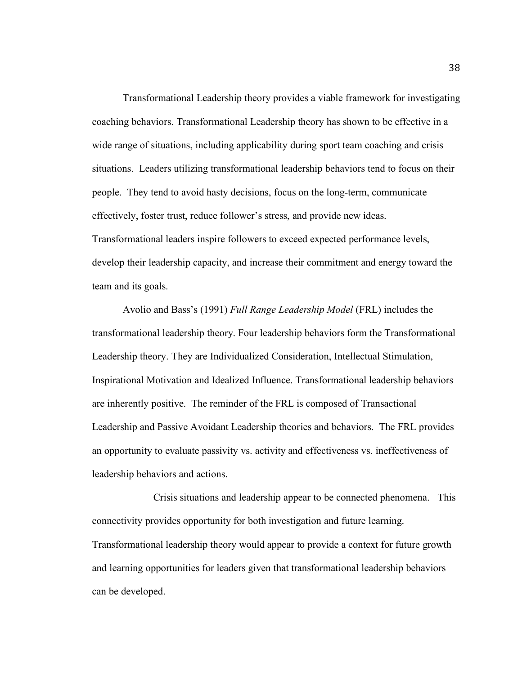Transformational Leadership theory provides a viable framework for investigating coaching behaviors. Transformational Leadership theory has shown to be effective in a wide range of situations, including applicability during sport team coaching and crisis situations. Leaders utilizing transformational leadership behaviors tend to focus on their people. They tend to avoid hasty decisions, focus on the long-term, communicate effectively, foster trust, reduce follower's stress, and provide new ideas. Transformational leaders inspire followers to exceed expected performance levels, develop their leadership capacity, and increase their commitment and energy toward the team and its goals.

Avolio and Bass's (1991) *Full Range Leadership Model* (FRL) includes the transformational leadership theory. Four leadership behaviors form the Transformational Leadership theory. They are Individualized Consideration, Intellectual Stimulation, Inspirational Motivation and Idealized Influence. Transformational leadership behaviors are inherently positive. The reminder of the FRL is composed of Transactional Leadership and Passive Avoidant Leadership theories and behaviors. The FRL provides an opportunity to evaluate passivity vs. activity and effectiveness vs. ineffectiveness of leadership behaviors and actions.

Crisis situations and leadership appear to be connected phenomena. This connectivity provides opportunity for both investigation and future learning. Transformational leadership theory would appear to provide a context for future growth and learning opportunities for leaders given that transformational leadership behaviors can be developed.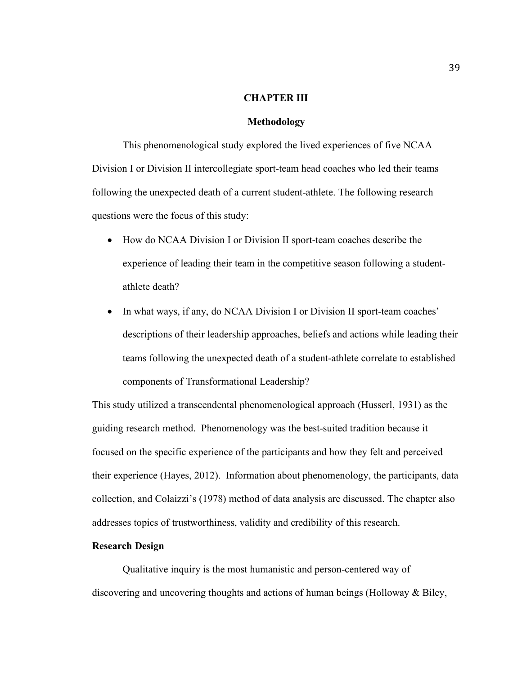# **CHAPTER III**

#### **Methodology**

This phenomenological study explored the lived experiences of five NCAA Division I or Division II intercollegiate sport-team head coaches who led their teams following the unexpected death of a current student-athlete. The following research questions were the focus of this study:

- How do NCAA Division I or Division II sport-team coaches describe the experience of leading their team in the competitive season following a studentathlete death?
- In what ways, if any, do NCAA Division I or Division II sport-team coaches' descriptions of their leadership approaches, beliefs and actions while leading their teams following the unexpected death of a student-athlete correlate to established components of Transformational Leadership?

This study utilized a transcendental phenomenological approach (Husserl, 1931) as the guiding research method. Phenomenology was the best-suited tradition because it focused on the specific experience of the participants and how they felt and perceived their experience (Hayes, 2012). Information about phenomenology, the participants, data collection, and Colaizzi's (1978) method of data analysis are discussed. The chapter also addresses topics of trustworthiness, validity and credibility of this research.

## **Research Design**

Qualitative inquiry is the most humanistic and person-centered way of discovering and uncovering thoughts and actions of human beings (Holloway & Biley,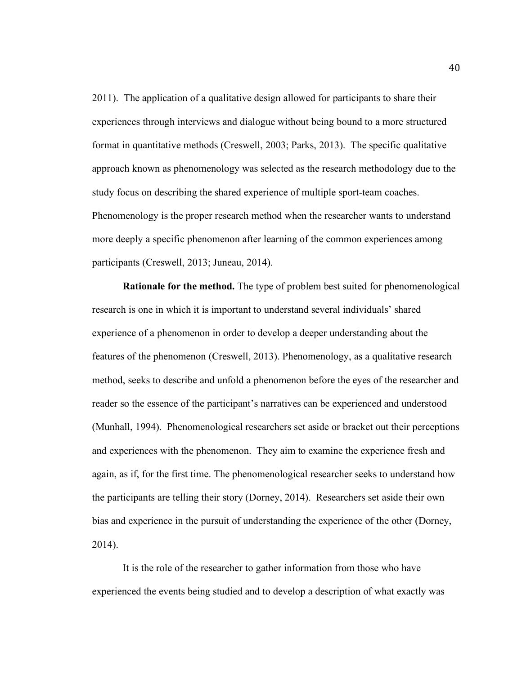2011). The application of a qualitative design allowed for participants to share their experiences through interviews and dialogue without being bound to a more structured format in quantitative methods (Creswell, 2003; Parks, 2013). The specific qualitative approach known as phenomenology was selected as the research methodology due to the study focus on describing the shared experience of multiple sport-team coaches. Phenomenology is the proper research method when the researcher wants to understand more deeply a specific phenomenon after learning of the common experiences among participants (Creswell, 2013; Juneau, 2014).

**Rationale for the method.** The type of problem best suited for phenomenological research is one in which it is important to understand several individuals' shared experience of a phenomenon in order to develop a deeper understanding about the features of the phenomenon (Creswell, 2013). Phenomenology, as a qualitative research method, seeks to describe and unfold a phenomenon before the eyes of the researcher and reader so the essence of the participant's narratives can be experienced and understood (Munhall, 1994). Phenomenological researchers set aside or bracket out their perceptions and experiences with the phenomenon. They aim to examine the experience fresh and again, as if, for the first time. The phenomenological researcher seeks to understand how the participants are telling their story (Dorney, 2014). Researchers set aside their own bias and experience in the pursuit of understanding the experience of the other (Dorney, 2014).

It is the role of the researcher to gather information from those who have experienced the events being studied and to develop a description of what exactly was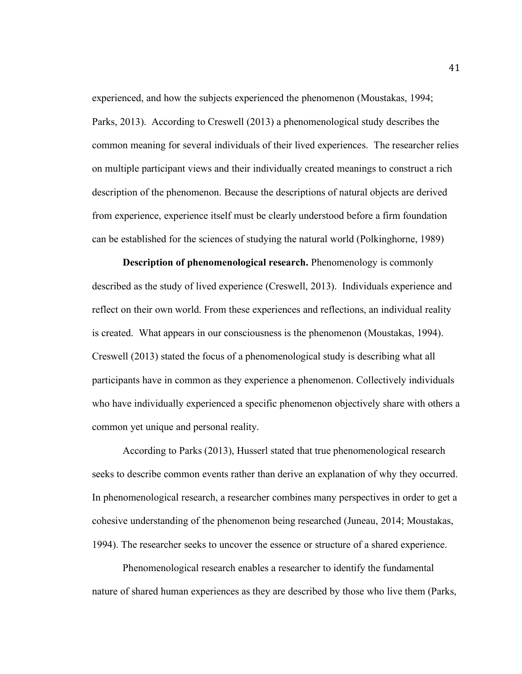experienced, and how the subjects experienced the phenomenon (Moustakas, 1994; Parks, 2013). According to Creswell (2013) a phenomenological study describes the common meaning for several individuals of their lived experiences. The researcher relies on multiple participant views and their individually created meanings to construct a rich description of the phenomenon. Because the descriptions of natural objects are derived from experience, experience itself must be clearly understood before a firm foundation can be established for the sciences of studying the natural world (Polkinghorne, 1989)

**Description of phenomenological research.** Phenomenology is commonly described as the study of lived experience (Creswell, 2013). Individuals experience and reflect on their own world. From these experiences and reflections, an individual reality is created. What appears in our consciousness is the phenomenon (Moustakas, 1994). Creswell (2013) stated the focus of a phenomenological study is describing what all participants have in common as they experience a phenomenon. Collectively individuals who have individually experienced a specific phenomenon objectively share with others a common yet unique and personal reality.

According to Parks (2013), Husserl stated that true phenomenological research seeks to describe common events rather than derive an explanation of why they occurred. In phenomenological research, a researcher combines many perspectives in order to get a cohesive understanding of the phenomenon being researched (Juneau, 2014; Moustakas, 1994). The researcher seeks to uncover the essence or structure of a shared experience.

Phenomenological research enables a researcher to identify the fundamental nature of shared human experiences as they are described by those who live them (Parks,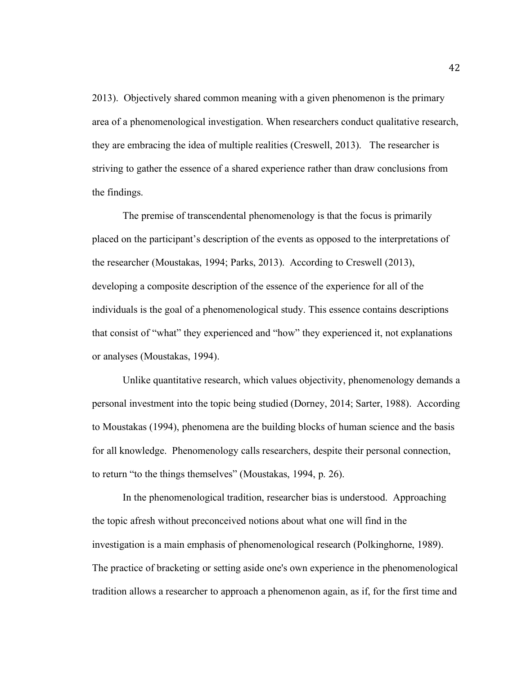2013). Objectively shared common meaning with a given phenomenon is the primary area of a phenomenological investigation. When researchers conduct qualitative research, they are embracing the idea of multiple realities (Creswell, 2013). The researcher is striving to gather the essence of a shared experience rather than draw conclusions from the findings.

The premise of transcendental phenomenology is that the focus is primarily placed on the participant's description of the events as opposed to the interpretations of the researcher (Moustakas, 1994; Parks, 2013). According to Creswell (2013), developing a composite description of the essence of the experience for all of the individuals is the goal of a phenomenological study. This essence contains descriptions that consist of "what" they experienced and "how" they experienced it, not explanations or analyses (Moustakas, 1994).

Unlike quantitative research, which values objectivity, phenomenology demands a personal investment into the topic being studied (Dorney, 2014; Sarter, 1988). According to Moustakas (1994), phenomena are the building blocks of human science and the basis for all knowledge. Phenomenology calls researchers, despite their personal connection, to return "to the things themselves" (Moustakas, 1994, p. 26).

In the phenomenological tradition, researcher bias is understood. Approaching the topic afresh without preconceived notions about what one will find in the investigation is a main emphasis of phenomenological research (Polkinghorne, 1989). The practice of bracketing or setting aside one's own experience in the phenomenological tradition allows a researcher to approach a phenomenon again, as if, for the first time and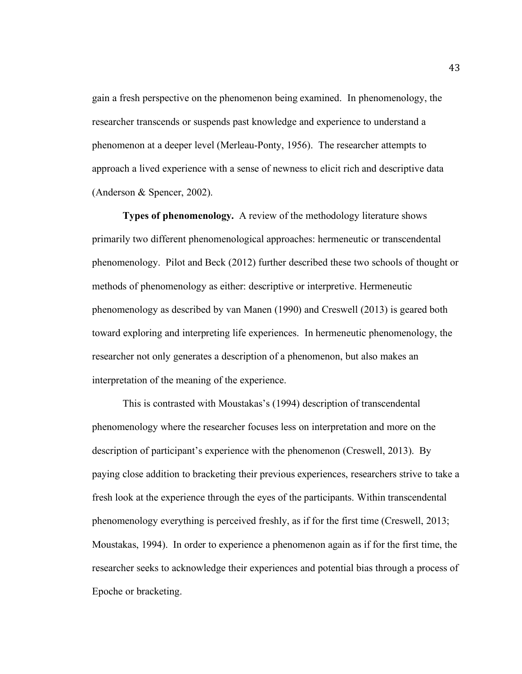gain a fresh perspective on the phenomenon being examined. In phenomenology, the researcher transcends or suspends past knowledge and experience to understand a phenomenon at a deeper level (Merleau-Ponty, 1956). The researcher attempts to approach a lived experience with a sense of newness to elicit rich and descriptive data (Anderson & Spencer, 2002).

**Types of phenomenology.** A review of the methodology literature shows primarily two different phenomenological approaches: hermeneutic or transcendental phenomenology. Pilot and Beck (2012) further described these two schools of thought or methods of phenomenology as either: descriptive or interpretive. Hermeneutic phenomenology as described by van Manen (1990) and Creswell (2013) is geared both toward exploring and interpreting life experiences. In hermeneutic phenomenology, the researcher not only generates a description of a phenomenon, but also makes an interpretation of the meaning of the experience.

This is contrasted with Moustakas's (1994) description of transcendental phenomenology where the researcher focuses less on interpretation and more on the description of participant's experience with the phenomenon (Creswell, 2013). By paying close addition to bracketing their previous experiences, researchers strive to take a fresh look at the experience through the eyes of the participants. Within transcendental phenomenology everything is perceived freshly, as if for the first time (Creswell, 2013; Moustakas, 1994). In order to experience a phenomenon again as if for the first time, the researcher seeks to acknowledge their experiences and potential bias through a process of Epoche or bracketing.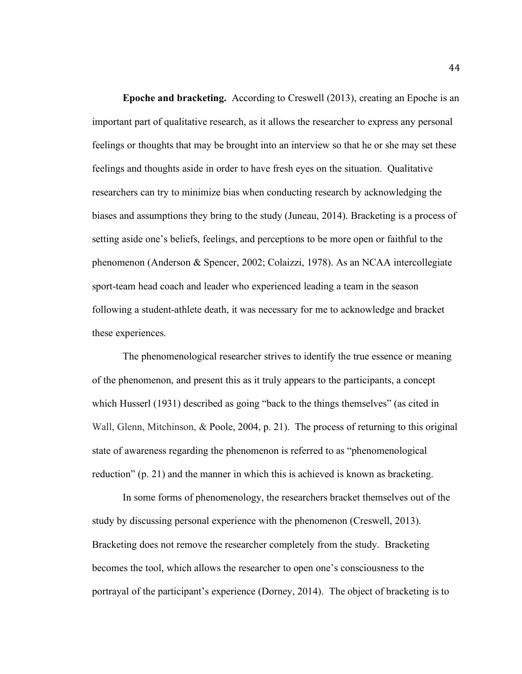**Epoche and bracketing.** According to Creswell (2013), creating an Epoche is an important part of qualitative research, as it allows the researcher to express any personal feelings or thoughts that may be brought into an interview so that he or she may set these feelings and thoughts aside in order to have fresh eyes on the situation. Qualitative researchers can try to minimize bias when conducting research by acknowledging the biases and assumptions they bring to the study (Juneau, 2014). Bracketing is a process of setting aside one's beliefs, feelings, and perceptions to be more open or faithful to the phenomenon (Anderson & Spencer, 2002; Colaizzi, 1978). As an NCAA intercollegiate sport-team head coach and leader who experienced leading a team in the season following a student-athlete death, it was necessary for me to acknowledge and bracket these experiences.

The phenomenological researcher strives to identify the true essence or meaning of the phenomenon, and present this as it truly appears to the participants, a concept which Husserl (1931) described as going "back to the things themselves" (as cited in Wall, Glenn, Mitchinson, & Poole, 2004, p. 21). The process of returning to this original state of awareness regarding the phenomenon is referred to as "phenomenological reduction" (p. 21) and the manner in which this is achieved is known as bracketing.

In some forms of phenomenology, the researchers bracket themselves out of the study by discussing personal experience with the phenomenon (Creswell, 2013). Bracketing does not remove the researcher completely from the study. Bracketing becomes the tool, which allows the researcher to open one's consciousness to the portrayal of the participant's experience (Dorney, 2014). The object of bracketing is to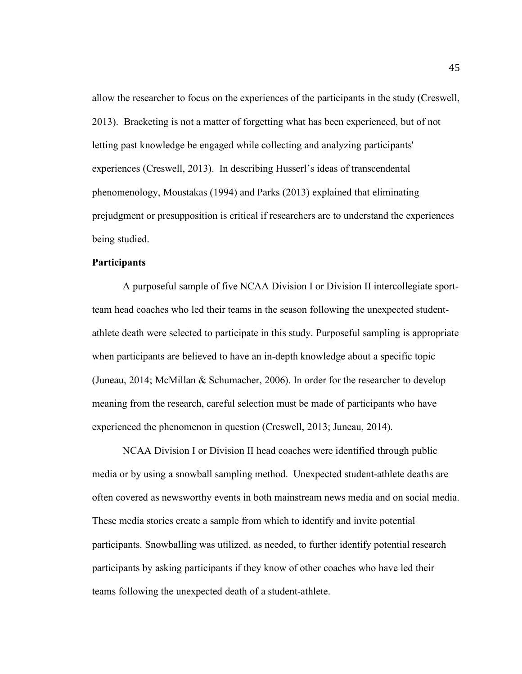allow the researcher to focus on the experiences of the participants in the study (Creswell, 2013). Bracketing is not a matter of forgetting what has been experienced, but of not letting past knowledge be engaged while collecting and analyzing participants' experiences (Creswell, 2013). In describing Husserl's ideas of transcendental phenomenology, Moustakas (1994) and Parks (2013) explained that eliminating prejudgment or presupposition is critical if researchers are to understand the experiences being studied.

## **Participants**

A purposeful sample of five NCAA Division I or Division II intercollegiate sportteam head coaches who led their teams in the season following the unexpected studentathlete death were selected to participate in this study. Purposeful sampling is appropriate when participants are believed to have an in-depth knowledge about a specific topic (Juneau, 2014; McMillan & Schumacher, 2006). In order for the researcher to develop meaning from the research, careful selection must be made of participants who have experienced the phenomenon in question (Creswell, 2013; Juneau, 2014).

NCAA Division I or Division II head coaches were identified through public media or by using a snowball sampling method. Unexpected student-athlete deaths are often covered as newsworthy events in both mainstream news media and on social media. These media stories create a sample from which to identify and invite potential participants. Snowballing was utilized, as needed, to further identify potential research participants by asking participants if they know of other coaches who have led their teams following the unexpected death of a student-athlete.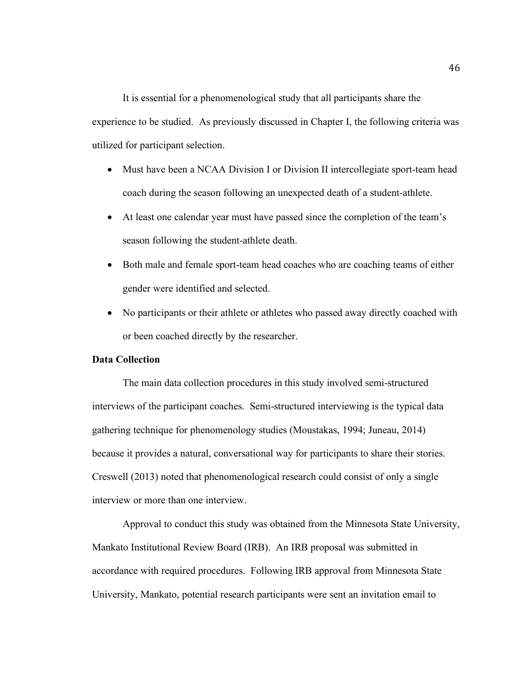It is essential for a phenomenological study that all participants share the experience to be studied. As previously discussed in Chapter I, the following criteria was utilized for participant selection.

- Must have been a NCAA Division I or Division II intercollegiate sport-team head coach during the season following an unexpected death of a student-athlete.
- At least one calendar year must have passed since the completion of the team's season following the student-athlete death.
- Both male and female sport-team head coaches who are coaching teams of either gender were identified and selected.
- No participants or their athlete or athletes who passed away directly coached with or been coached directly by the researcher.

## **Data Collection**

The main data collection procedures in this study involved semi-structured interviews of the participant coaches. Semi-structured interviewing is the typical data gathering technique for phenomenology studies (Moustakas, 1994; Juneau, 2014) because it provides a natural, conversational way for participants to share their stories. Creswell (2013) noted that phenomenological research could consist of only a single interview or more than one interview.

Approval to conduct this study was obtained from the Minnesota State University, Mankato Institutional Review Board (IRB). An IRB proposal was submitted in accordance with required procedures. Following IRB approval from Minnesota State University, Mankato, potential research participants were sent an invitation email to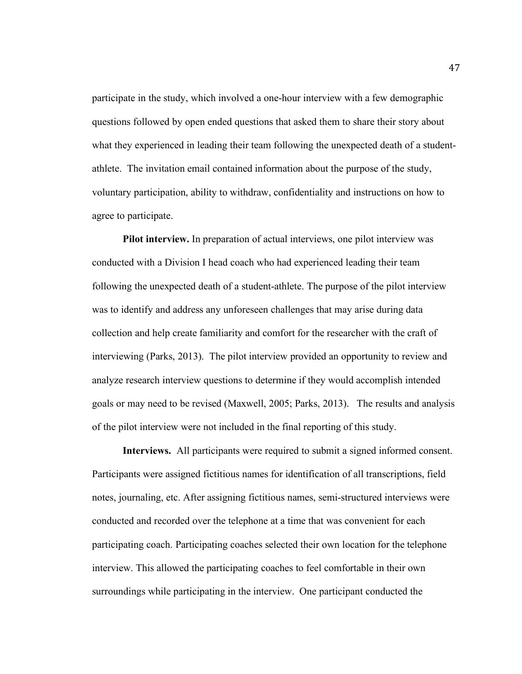participate in the study, which involved a one-hour interview with a few demographic questions followed by open ended questions that asked them to share their story about what they experienced in leading their team following the unexpected death of a studentathlete. The invitation email contained information about the purpose of the study, voluntary participation, ability to withdraw, confidentiality and instructions on how to agree to participate.

**Pilot interview.** In preparation of actual interviews, one pilot interview was conducted with a Division I head coach who had experienced leading their team following the unexpected death of a student-athlete. The purpose of the pilot interview was to identify and address any unforeseen challenges that may arise during data collection and help create familiarity and comfort for the researcher with the craft of interviewing (Parks, 2013). The pilot interview provided an opportunity to review and analyze research interview questions to determine if they would accomplish intended goals or may need to be revised (Maxwell, 2005; Parks, 2013). The results and analysis of the pilot interview were not included in the final reporting of this study.

**Interviews.** All participants were required to submit a signed informed consent. Participants were assigned fictitious names for identification of all transcriptions, field notes, journaling, etc. After assigning fictitious names, semi-structured interviews were conducted and recorded over the telephone at a time that was convenient for each participating coach. Participating coaches selected their own location for the telephone interview. This allowed the participating coaches to feel comfortable in their own surroundings while participating in the interview. One participant conducted the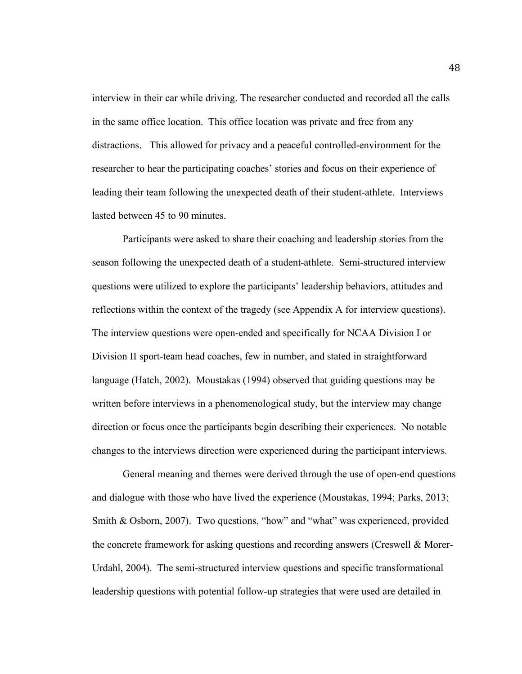interview in their car while driving. The researcher conducted and recorded all the calls in the same office location. This office location was private and free from any distractions. This allowed for privacy and a peaceful controlled-environment for the researcher to hear the participating coaches' stories and focus on their experience of leading their team following the unexpected death of their student-athlete. Interviews lasted between 45 to 90 minutes.

Participants were asked to share their coaching and leadership stories from the season following the unexpected death of a student-athlete. Semi-structured interview questions were utilized to explore the participants' leadership behaviors, attitudes and reflections within the context of the tragedy (see Appendix A for interview questions). The interview questions were open-ended and specifically for NCAA Division I or Division II sport-team head coaches, few in number, and stated in straightforward language (Hatch, 2002). Moustakas (1994) observed that guiding questions may be written before interviews in a phenomenological study, but the interview may change direction or focus once the participants begin describing their experiences. No notable changes to the interviews direction were experienced during the participant interviews.

General meaning and themes were derived through the use of open-end questions and dialogue with those who have lived the experience (Moustakas, 1994; Parks, 2013; Smith & Osborn, 2007). Two questions, "how" and "what" was experienced, provided the concrete framework for asking questions and recording answers (Creswell & Morer-Urdahl, 2004). The semi-structured interview questions and specific transformational leadership questions with potential follow-up strategies that were used are detailed in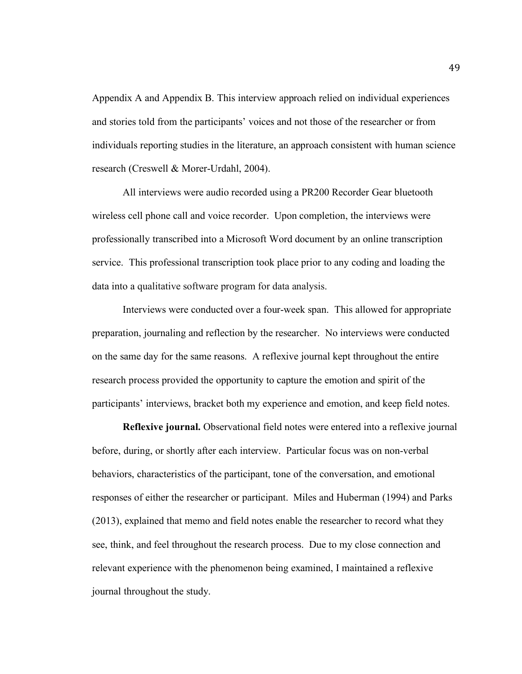Appendix A and Appendix B. This interview approach relied on individual experiences and stories told from the participants' voices and not those of the researcher or from individuals reporting studies in the literature, an approach consistent with human science research (Creswell & Morer-Urdahl, 2004).

All interviews were audio recorded using a PR200 Recorder Gear bluetooth wireless cell phone call and voice recorder. Upon completion, the interviews were professionally transcribed into a Microsoft Word document by an online transcription service. This professional transcription took place prior to any coding and loading the data into a qualitative software program for data analysis.

Interviews were conducted over a four-week span. This allowed for appropriate preparation, journaling and reflection by the researcher. No interviews were conducted on the same day for the same reasons. A reflexive journal kept throughout the entire research process provided the opportunity to capture the emotion and spirit of the participants' interviews, bracket both my experience and emotion, and keep field notes.

**Reflexive journal.** Observational field notes were entered into a reflexive journal before, during, or shortly after each interview. Particular focus was on non-verbal behaviors, characteristics of the participant, tone of the conversation, and emotional responses of either the researcher or participant. Miles and Huberman (1994) and Parks (2013), explained that memo and field notes enable the researcher to record what they see, think, and feel throughout the research process. Due to my close connection and relevant experience with the phenomenon being examined, I maintained a reflexive journal throughout the study.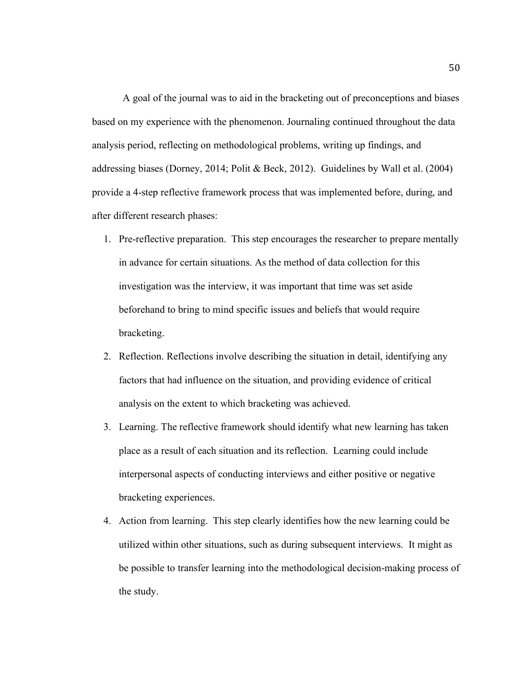A goal of the journal was to aid in the bracketing out of preconceptions and biases based on my experience with the phenomenon. Journaling continued throughout the data analysis period, reflecting on methodological problems, writing up findings, and addressing biases (Dorney, 2014; Polit & Beck, 2012). Guidelines by Wall et al. (2004) provide a 4-step reflective framework process that was implemented before, during, and after different research phases:

- 1. Pre-reflective preparation. This step encourages the researcher to prepare mentally in advance for certain situations. As the method of data collection for this investigation was the interview, it was important that time was set aside beforehand to bring to mind specific issues and beliefs that would require bracketing.
- 2. Reflection. Reflections involve describing the situation in detail, identifying any factors that had influence on the situation, and providing evidence of critical analysis on the extent to which bracketing was achieved.
- 3. Learning. The reflective framework should identify what new learning has taken place as a result of each situation and its reflection. Learning could include interpersonal aspects of conducting interviews and either positive or negative bracketing experiences.
- 4. Action from learning. This step clearly identifies how the new learning could be utilized within other situations, such as during subsequent interviews. It might as be possible to transfer learning into the methodological decision-making process of the study.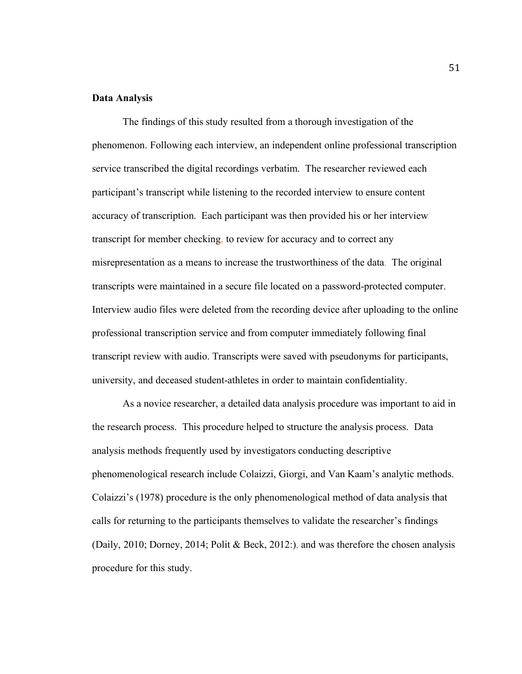## **Data Analysis**

The findings of this study resulted from a thorough investigation of the phenomenon. Following each interview, an independent online professional transcription service transcribed the digital recordings verbatim. The researcher reviewed each participant's transcript while listening to the recorded interview to ensure content accuracy of transcription. Each participant was then provided his or her interview transcript for member checking, to review for accuracy and to correct any misrepresentation as a means to increase the trustworthiness of the data. The original transcripts were maintained in a secure file located on a password-protected computer. Interview audio files were deleted from the recording device after uploading to the online professional transcription service and from computer immediately following final transcript review with audio. Transcripts were saved with pseudonyms for participants, university, and deceased student-athletes in order to maintain confidentiality.

As a novice researcher, a detailed data analysis procedure was important to aid in the research process. This procedure helped to structure the analysis process. Data analysis methods frequently used by investigators conducting descriptive phenomenological research include Colaizzi, Giorgi, and Van Kaam's analytic methods. Colaizzi's (1978) procedure is the only phenomenological method of data analysis that calls for returning to the participants themselves to validate the researcher's findings (Daily, 2010; Dorney, 2014; Polit & Beck, 2012:), and was therefore the chosen analysis procedure for this study.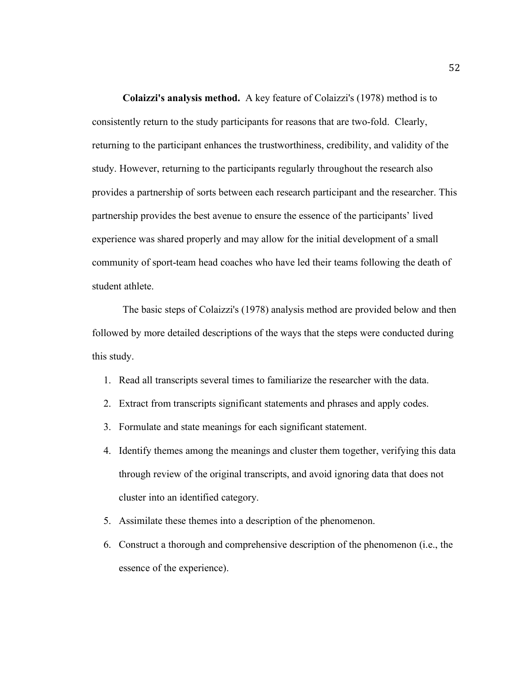**Colaizzi's analysis method.** A key feature of Colaizzi's (1978) method is to consistently return to the study participants for reasons that are two-fold. Clearly, returning to the participant enhances the trustworthiness, credibility, and validity of the study. However, returning to the participants regularly throughout the research also provides a partnership of sorts between each research participant and the researcher. This partnership provides the best avenue to ensure the essence of the participants' lived experience was shared properly and may allow for the initial development of a small community of sport-team head coaches who have led their teams following the death of student athlete.

The basic steps of Colaizzi's (1978) analysis method are provided below and then followed by more detailed descriptions of the ways that the steps were conducted during this study.

- 1. Read all transcripts several times to familiarize the researcher with the data.
- 2. Extract from transcripts significant statements and phrases and apply codes.
- 3. Formulate and state meanings for each significant statement.
- 4. Identify themes among the meanings and cluster them together, verifying this data through review of the original transcripts, and avoid ignoring data that does not cluster into an identified category.
- 5. Assimilate these themes into a description of the phenomenon.
- 6. Construct a thorough and comprehensive description of the phenomenon (i.e., the essence of the experience).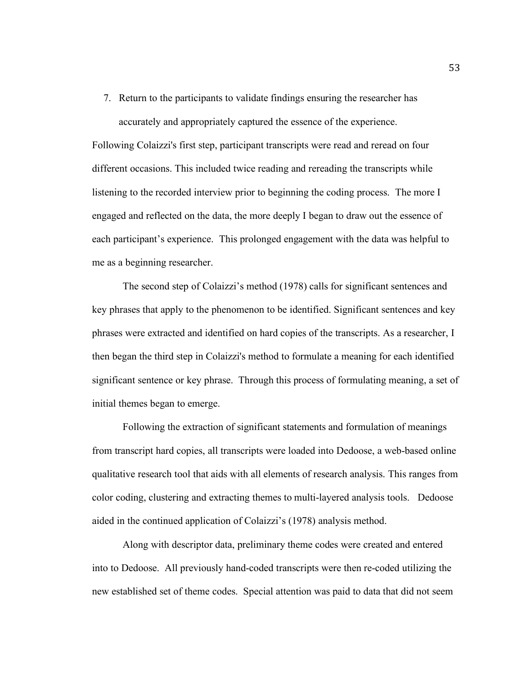7. Return to the participants to validate findings ensuring the researcher has accurately and appropriately captured the essence of the experience.

Following Colaizzi's first step, participant transcripts were read and reread on four different occasions. This included twice reading and rereading the transcripts while listening to the recorded interview prior to beginning the coding process. The more I engaged and reflected on the data, the more deeply I began to draw out the essence of each participant's experience. This prolonged engagement with the data was helpful to me as a beginning researcher.

The second step of Colaizzi's method (1978) calls for significant sentences and key phrases that apply to the phenomenon to be identified. Significant sentences and key phrases were extracted and identified on hard copies of the transcripts. As a researcher, I then began the third step in Colaizzi's method to formulate a meaning for each identified significant sentence or key phrase. Through this process of formulating meaning, a set of initial themes began to emerge.

Following the extraction of significant statements and formulation of meanings from transcript hard copies, all transcripts were loaded into Dedoose, a web-based online qualitative research tool that aids with all elements of research analysis. This ranges from color coding, clustering and extracting themes to multi-layered analysis tools. Dedoose aided in the continued application of Colaizzi's (1978) analysis method.

Along with descriptor data, preliminary theme codes were created and entered into to Dedoose. All previously hand-coded transcripts were then re-coded utilizing the new established set of theme codes. Special attention was paid to data that did not seem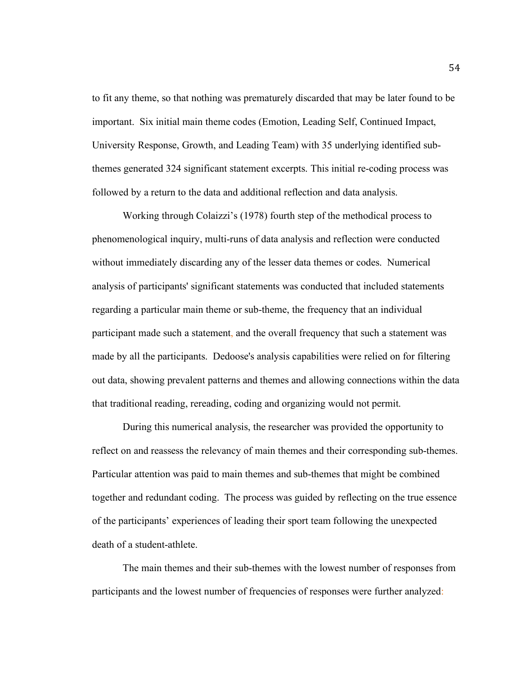to fit any theme, so that nothing was prematurely discarded that may be later found to be important. Six initial main theme codes (Emotion, Leading Self, Continued Impact, University Response, Growth, and Leading Team) with 35 underlying identified subthemes generated 324 significant statement excerpts. This initial re-coding process was followed by a return to the data and additional reflection and data analysis.

Working through Colaizzi's (1978) fourth step of the methodical process to phenomenological inquiry, multi-runs of data analysis and reflection were conducted without immediately discarding any of the lesser data themes or codes. Numerical analysis of participants' significant statements was conducted that included statements regarding a particular main theme or sub-theme, the frequency that an individual participant made such a statement, and the overall frequency that such a statement was made by all the participants. Dedoose's analysis capabilities were relied on for filtering out data, showing prevalent patterns and themes and allowing connections within the data that traditional reading, rereading, coding and organizing would not permit.

During this numerical analysis, the researcher was provided the opportunity to reflect on and reassess the relevancy of main themes and their corresponding sub-themes. Particular attention was paid to main themes and sub-themes that might be combined together and redundant coding. The process was guided by reflecting on the true essence of the participants' experiences of leading their sport team following the unexpected death of a student-athlete.

The main themes and their sub-themes with the lowest number of responses from participants and the lowest number of frequencies of responses were further analyzed: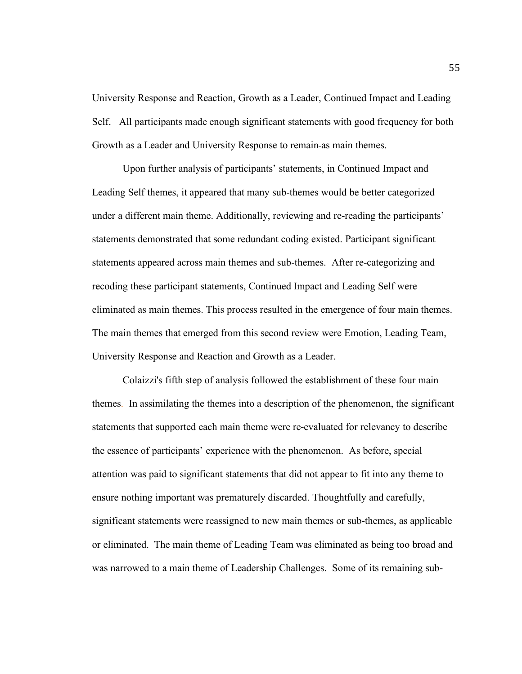University Response and Reaction, Growth as a Leader, Continued Impact and Leading Self. All participants made enough significant statements with good frequency for both Growth as a Leader and University Response to remain as main themes.

Upon further analysis of participants' statements, in Continued Impact and Leading Self themes, it appeared that many sub-themes would be better categorized under a different main theme. Additionally, reviewing and re-reading the participants' statements demonstrated that some redundant coding existed. Participant significant statements appeared across main themes and sub-themes. After re-categorizing and recoding these participant statements, Continued Impact and Leading Self were eliminated as main themes. This process resulted in the emergence of four main themes. The main themes that emerged from this second review were Emotion, Leading Team, University Response and Reaction and Growth as a Leader.

Colaizzi's fifth step of analysis followed the establishment of these four main themes. In assimilating the themes into a description of the phenomenon, the significant statements that supported each main theme were re-evaluated for relevancy to describe the essence of participants' experience with the phenomenon. As before, special attention was paid to significant statements that did not appear to fit into any theme to ensure nothing important was prematurely discarded. Thoughtfully and carefully, significant statements were reassigned to new main themes or sub-themes, as applicable or eliminated. The main theme of Leading Team was eliminated as being too broad and was narrowed to a main theme of Leadership Challenges. Some of its remaining sub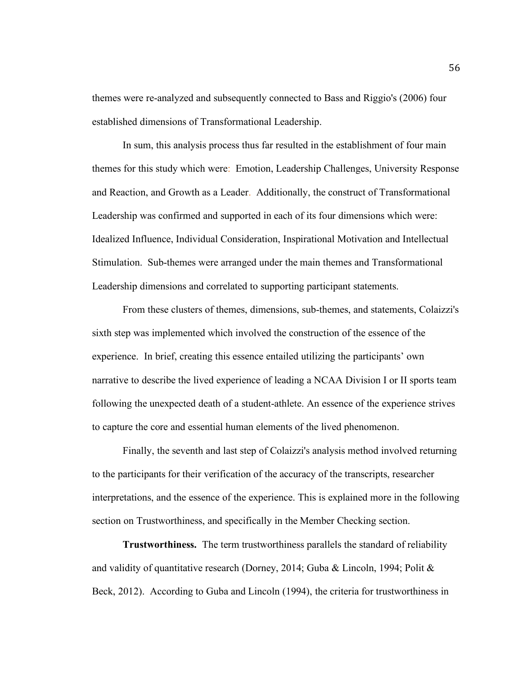themes were re-analyzed and subsequently connected to Bass and Riggio's (2006) four established dimensions of Transformational Leadership.

In sum, this analysis process thus far resulted in the establishment of four main themes for this study which were: Emotion, Leadership Challenges, University Response and Reaction, and Growth as a Leader. Additionally, the construct of Transformational Leadership was confirmed and supported in each of its four dimensions which were: Idealized Influence, Individual Consideration, Inspirational Motivation and Intellectual Stimulation. Sub-themes were arranged under the main themes and Transformational Leadership dimensions and correlated to supporting participant statements.

From these clusters of themes, dimensions, sub-themes, and statements, Colaizzi's sixth step was implemented which involved the construction of the essence of the experience. In brief, creating this essence entailed utilizing the participants' own narrative to describe the lived experience of leading a NCAA Division I or II sports team following the unexpected death of a student-athlete. An essence of the experience strives to capture the core and essential human elements of the lived phenomenon.

Finally, the seventh and last step of Colaizzi's analysis method involved returning to the participants for their verification of the accuracy of the transcripts, researcher interpretations, and the essence of the experience. This is explained more in the following section on Trustworthiness, and specifically in the Member Checking section.

**Trustworthiness.** The term trustworthiness parallels the standard of reliability and validity of quantitative research (Dorney, 2014; Guba & Lincoln, 1994; Polit & Beck, 2012). According to Guba and Lincoln (1994), the criteria for trustworthiness in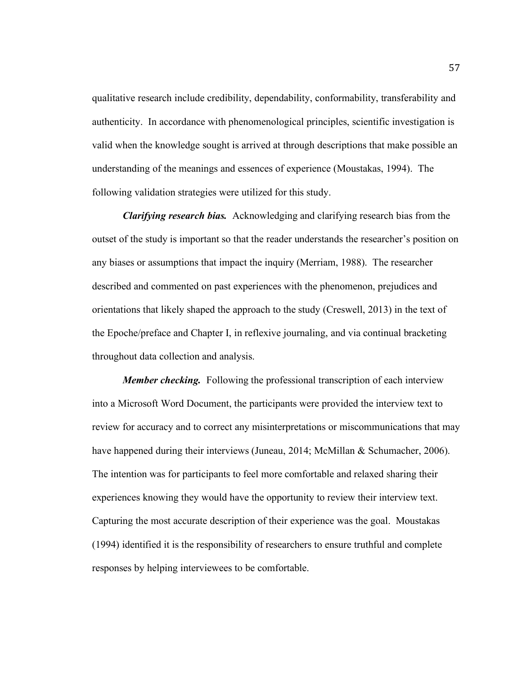qualitative research include credibility, dependability, conformability, transferability and authenticity. In accordance with phenomenological principles, scientific investigation is valid when the knowledge sought is arrived at through descriptions that make possible an understanding of the meanings and essences of experience (Moustakas, 1994). The following validation strategies were utilized for this study.

*Clarifying research bias.*Acknowledging and clarifying research bias from the outset of the study is important so that the reader understands the researcher's position on any biases or assumptions that impact the inquiry (Merriam, 1988). The researcher described and commented on past experiences with the phenomenon, prejudices and orientations that likely shaped the approach to the study (Creswell, 2013) in the text of the Epoche/preface and Chapter I, in reflexive journaling, and via continual bracketing throughout data collection and analysis.

*Member checking.* Following the professional transcription of each interview into a Microsoft Word Document, the participants were provided the interview text to review for accuracy and to correct any misinterpretations or miscommunications that may have happened during their interviews (Juneau, 2014; McMillan & Schumacher, 2006). The intention was for participants to feel more comfortable and relaxed sharing their experiences knowing they would have the opportunity to review their interview text. Capturing the most accurate description of their experience was the goal. Moustakas (1994) identified it is the responsibility of researchers to ensure truthful and complete responses by helping interviewees to be comfortable.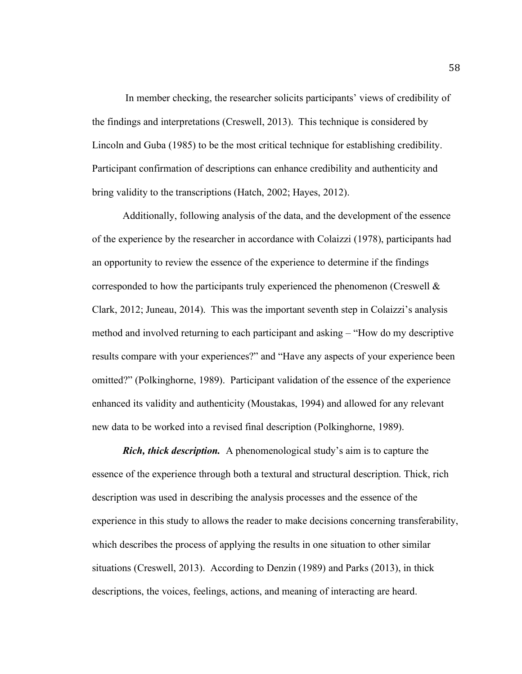In member checking, the researcher solicits participants' views of credibility of the findings and interpretations (Creswell, 2013). This technique is considered by Lincoln and Guba (1985) to be the most critical technique for establishing credibility. Participant confirmation of descriptions can enhance credibility and authenticity and bring validity to the transcriptions (Hatch, 2002; Hayes, 2012).

Additionally, following analysis of the data, and the development of the essence of the experience by the researcher in accordance with Colaizzi (1978), participants had an opportunity to review the essence of the experience to determine if the findings corresponded to how the participants truly experienced the phenomenon (Creswell  $\&$ Clark, 2012; Juneau, 2014). This was the important seventh step in Colaizzi's analysis method and involved returning to each participant and asking – "How do my descriptive results compare with your experiences?" and "Have any aspects of your experience been omitted?" (Polkinghorne, 1989). Participant validation of the essence of the experience enhanced its validity and authenticity (Moustakas, 1994) and allowed for any relevant new data to be worked into a revised final description (Polkinghorne, 1989).

*Rich, thick description.* A phenomenological study's aim is to capture the essence of the experience through both a textural and structural description. Thick, rich description was used in describing the analysis processes and the essence of the experience in this study to allows the reader to make decisions concerning transferability, which describes the process of applying the results in one situation to other similar situations (Creswell, 2013). According to Denzin (1989) and Parks (2013), in thick descriptions, the voices, feelings, actions, and meaning of interacting are heard.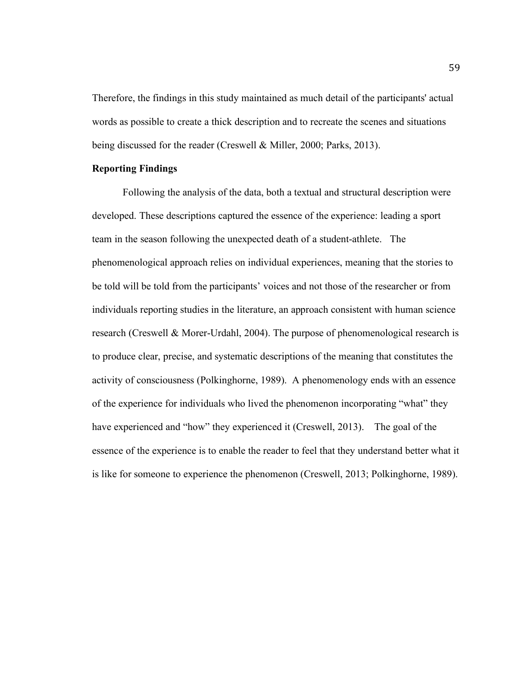Therefore, the findings in this study maintained as much detail of the participants' actual words as possible to create a thick description and to recreate the scenes and situations being discussed for the reader (Creswell & Miller, 2000; Parks, 2013).

### **Reporting Findings**

Following the analysis of the data, both a textual and structural description were developed. These descriptions captured the essence of the experience: leading a sport team in the season following the unexpected death of a student-athlete. The phenomenological approach relies on individual experiences, meaning that the stories to be told will be told from the participants' voices and not those of the researcher or from individuals reporting studies in the literature, an approach consistent with human science research (Creswell & Morer-Urdahl, 2004). The purpose of phenomenological research is to produce clear, precise, and systematic descriptions of the meaning that constitutes the activity of consciousness (Polkinghorne, 1989). A phenomenology ends with an essence of the experience for individuals who lived the phenomenon incorporating "what" they have experienced and "how" they experienced it (Creswell, 2013). The goal of the essence of the experience is to enable the reader to feel that they understand better what it is like for someone to experience the phenomenon (Creswell, 2013; Polkinghorne, 1989).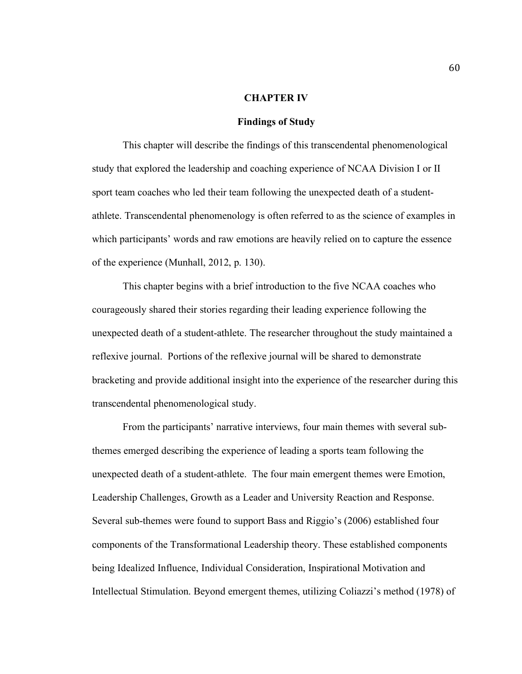### **CHAPTER IV**

### **Findings of Study**

This chapter will describe the findings of this transcendental phenomenological study that explored the leadership and coaching experience of NCAA Division I or II sport team coaches who led their team following the unexpected death of a studentathlete. Transcendental phenomenology is often referred to as the science of examples in which participants' words and raw emotions are heavily relied on to capture the essence of the experience (Munhall, 2012, p. 130).

This chapter begins with a brief introduction to the five NCAA coaches who courageously shared their stories regarding their leading experience following the unexpected death of a student-athlete. The researcher throughout the study maintained a reflexive journal. Portions of the reflexive journal will be shared to demonstrate bracketing and provide additional insight into the experience of the researcher during this transcendental phenomenological study.

From the participants' narrative interviews, four main themes with several subthemes emerged describing the experience of leading a sports team following the unexpected death of a student-athlete. The four main emergent themes were Emotion, Leadership Challenges, Growth as a Leader and University Reaction and Response. Several sub-themes were found to support Bass and Riggio's (2006) established four components of the Transformational Leadership theory. These established components being Idealized Influence, Individual Consideration, Inspirational Motivation and Intellectual Stimulation. Beyond emergent themes, utilizing Coliazzi's method (1978) of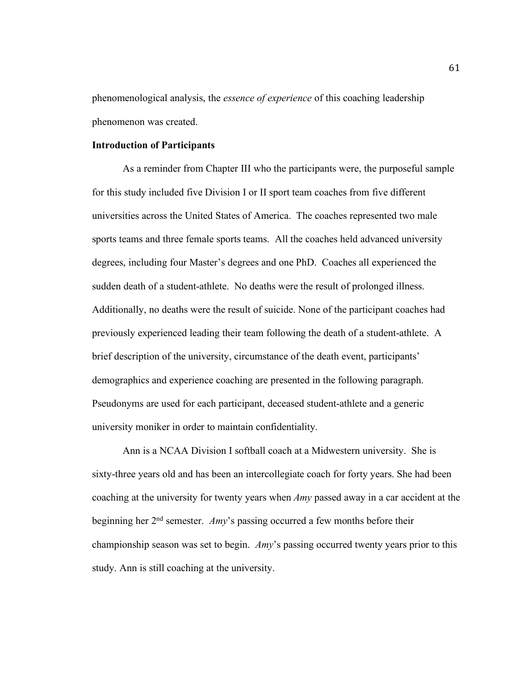phenomenological analysis, the *essence of experience* of this coaching leadership phenomenon was created.

## **Introduction of Participants**

As a reminder from Chapter III who the participants were, the purposeful sample for this study included five Division I or II sport team coaches from five different universities across the United States of America. The coaches represented two male sports teams and three female sports teams. All the coaches held advanced university degrees, including four Master's degrees and one PhD. Coaches all experienced the sudden death of a student-athlete. No deaths were the result of prolonged illness. Additionally, no deaths were the result of suicide. None of the participant coaches had previously experienced leading their team following the death of a student-athlete. A brief description of the university, circumstance of the death event, participants' demographics and experience coaching are presented in the following paragraph. Pseudonyms are used for each participant, deceased student-athlete and a generic university moniker in order to maintain confidentiality.

Ann is a NCAA Division I softball coach at a Midwestern university. She is sixty-three years old and has been an intercollegiate coach for forty years. She had been coaching at the university for twenty years when *Amy* passed away in a car accident at the beginning her 2nd semester. *Amy*'s passing occurred a few months before their championship season was set to begin. *Amy*'s passing occurred twenty years prior to this study. Ann is still coaching at the university.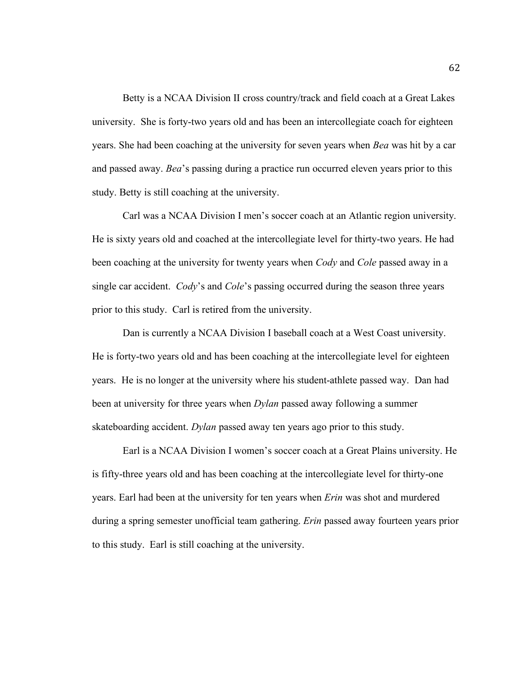Betty is a NCAA Division II cross country/track and field coach at a Great Lakes university. She is forty-two years old and has been an intercollegiate coach for eighteen years. She had been coaching at the university for seven years when *Bea* was hit by a car and passed away. *Bea*'s passing during a practice run occurred eleven years prior to this study. Betty is still coaching at the university.

Carl was a NCAA Division I men's soccer coach at an Atlantic region university. He is sixty years old and coached at the intercollegiate level for thirty-two years. He had been coaching at the university for twenty years when *Cody* and *Cole* passed away in a single car accident. *Cody*'s and *Cole*'s passing occurred during the season three years prior to this study. Carl is retired from the university.

Dan is currently a NCAA Division I baseball coach at a West Coast university. He is forty-two years old and has been coaching at the intercollegiate level for eighteen years. He is no longer at the university where his student-athlete passed way. Dan had been at university for three years when *Dylan* passed away following a summer skateboarding accident. *Dylan* passed away ten years ago prior to this study.

Earl is a NCAA Division I women's soccer coach at a Great Plains university. He is fifty-three years old and has been coaching at the intercollegiate level for thirty-one years. Earl had been at the university for ten years when *Erin* was shot and murdered during a spring semester unofficial team gathering. *Erin* passed away fourteen years prior to this study. Earl is still coaching at the university.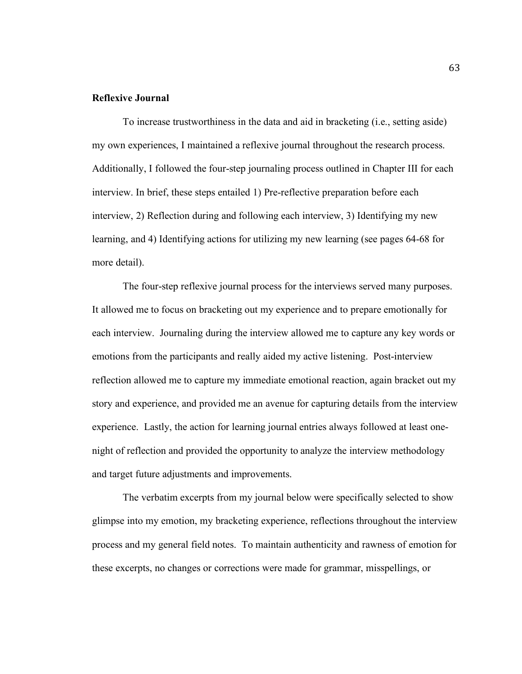## **Reflexive Journal**

To increase trustworthiness in the data and aid in bracketing (i.e., setting aside) my own experiences, I maintained a reflexive journal throughout the research process. Additionally, I followed the four-step journaling process outlined in Chapter III for each interview. In brief, these steps entailed 1) Pre-reflective preparation before each interview, 2) Reflection during and following each interview, 3) Identifying my new learning, and 4) Identifying actions for utilizing my new learning (see pages 64-68 for more detail).

The four-step reflexive journal process for the interviews served many purposes. It allowed me to focus on bracketing out my experience and to prepare emotionally for each interview. Journaling during the interview allowed me to capture any key words or emotions from the participants and really aided my active listening. Post-interview reflection allowed me to capture my immediate emotional reaction, again bracket out my story and experience, and provided me an avenue for capturing details from the interview experience. Lastly, the action for learning journal entries always followed at least onenight of reflection and provided the opportunity to analyze the interview methodology and target future adjustments and improvements.

The verbatim excerpts from my journal below were specifically selected to show glimpse into my emotion, my bracketing experience, reflections throughout the interview process and my general field notes. To maintain authenticity and rawness of emotion for these excerpts, no changes or corrections were made for grammar, misspellings, or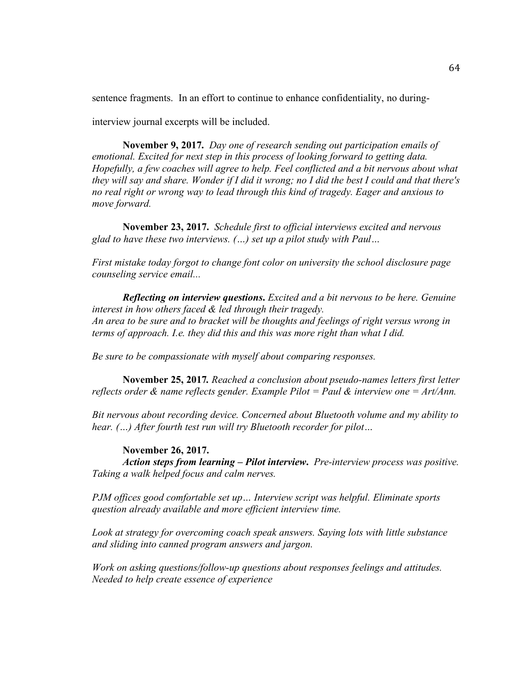sentence fragments. In an effort to continue to enhance confidentiality, no during-

interview journal excerpts will be included.

**November 9, 2017.** *Day one of research sending out participation emails of emotional. Excited for next step in this process of looking forward to getting data. Hopefully, a few coaches will agree to help. Feel conflicted and a bit nervous about what they will say and share. Wonder if I did it wrong; no I did the best I could and that there's no real right or wrong way to lead through this kind of tragedy. Eager and anxious to move forward.*

**November 23, 2017.** *Schedule first to official interviews excited and nervous glad to have these two interviews. (…) set up a pilot study with Paul…*

*First mistake today forgot to change font color on university the school disclosure page counseling service email...*

*Reflecting on interview questions***.** *Excited and a bit nervous to be here. Genuine interest in how others faced & led through their tragedy. An area to be sure and to bracket will be thoughts and feelings of right versus wrong in terms of approach. I.e. they did this and this was more right than what I did.*

*Be sure to be compassionate with myself about comparing responses.*

**November 25, 2017***. Reached a conclusion about pseudo-names letters first letter reflects order & name reflects gender. Example Pilot = Paul & interview one = Art/Ann.*

*Bit nervous about recording device. Concerned about Bluetooth volume and my ability to hear. (…) After fourth test run will try Bluetooth recorder for pilot…* 

**November 26, 2017.** 

*Action steps from learning – Pilot interview***.** *Pre-interview process was positive. Taking a walk helped focus and calm nerves.*

*PJM offices good comfortable set up… Interview script was helpful. Eliminate sports question already available and more efficient interview time.*

*Look at strategy for overcoming coach speak answers. Saying lots with little substance and sliding into canned program answers and jargon.*

*Work on asking questions/follow-up questions about responses feelings and attitudes. Needed to help create essence of experience*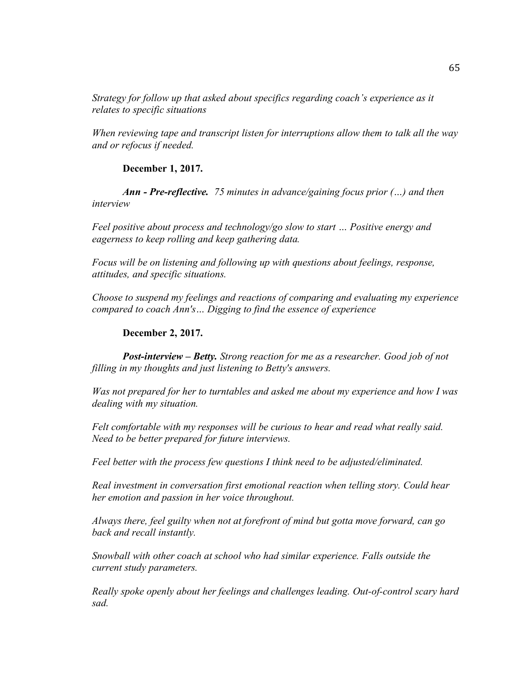*Strategy for follow up that asked about specifics regarding coach's experience as it relates to specific situations*

*When reviewing tape and transcript listen for interruptions allow them to talk all the way and or refocus if needed.*

**December 1, 2017.**

*Ann - Pre-reflective. 75 minutes in advance/gaining focus prior (…) and then interview*

*Feel positive about process and technology/go slow to start … Positive energy and eagerness to keep rolling and keep gathering data.*

*Focus will be on listening and following up with questions about feelings, response, attitudes, and specific situations.*

*Choose to suspend my feelings and reactions of comparing and evaluating my experience compared to coach Ann's… Digging to find the essence of experience*

**December 2, 2017.**

*Post-interview – Betty. Strong reaction for me as a researcher. Good job of not filling in my thoughts and just listening to Betty's answers.*

*Was not prepared for her to turntables and asked me about my experience and how I was dealing with my situation.*

*Felt comfortable with my responses will be curious to hear and read what really said. Need to be better prepared for future interviews.*

*Feel better with the process few questions I think need to be adjusted/eliminated.*

*Real investment in conversation first emotional reaction when telling story. Could hear her emotion and passion in her voice throughout.*

*Always there, feel guilty when not at forefront of mind but gotta move forward, can go back and recall instantly.*

*Snowball with other coach at school who had similar experience. Falls outside the current study parameters.*

*Really spoke openly about her feelings and challenges leading. Out-of-control scary hard sad.*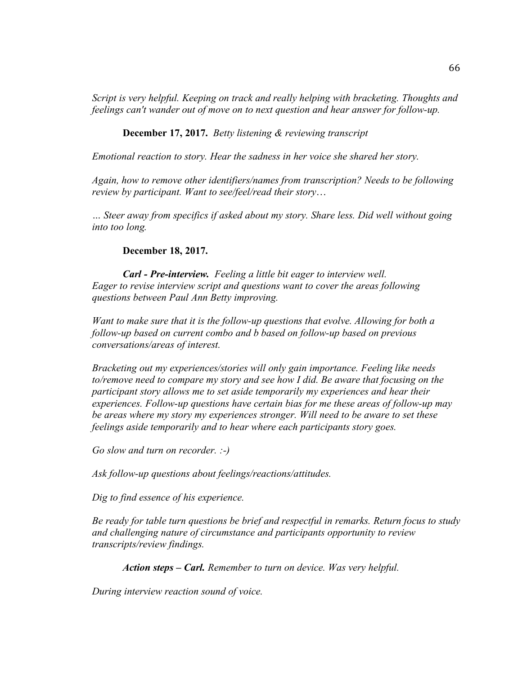*Script is very helpful. Keeping on track and really helping with bracketing. Thoughts and feelings can't wander out of move on to next question and hear answer for follow-up.*

# **December 17, 2017.** *Betty listening & reviewing transcript*

*Emotional reaction to story. Hear the sadness in her voice she shared her story.*

*Again, how to remove other identifiers/names from transcription? Needs to be following review by participant. Want to see/feel/read their story*…

*… Steer away from specifics if asked about my story. Share less. Did well without going into too long.*

## **December 18, 2017.**

*Carl - Pre-interview. Feeling a little bit eager to interview well. Eager to revise interview script and questions want to cover the areas following questions between Paul Ann Betty improving.*

*Want to make sure that it is the follow-up questions that evolve. Allowing for both a follow-up based on current combo and b based on follow-up based on previous conversations/areas of interest.*

*Bracketing out my experiences/stories will only gain importance. Feeling like needs to/remove need to compare my story and see how I did. Be aware that focusing on the participant story allows me to set aside temporarily my experiences and hear their experiences. Follow-up questions have certain bias for me these areas of follow-up may be areas where my story my experiences stronger. Will need to be aware to set these feelings aside temporarily and to hear where each participants story goes.*

*Go slow and turn on recorder. :-)*

*Ask follow-up questions about feelings/reactions/attitudes.*

*Dig to find essence of his experience.*

*Be ready for table turn questions be brief and respectful in remarks. Return focus to study and challenging nature of circumstance and participants opportunity to review transcripts/review findings.*

*Action steps – Carl. Remember to turn on device. Was very helpful.*

*During interview reaction sound of voice.*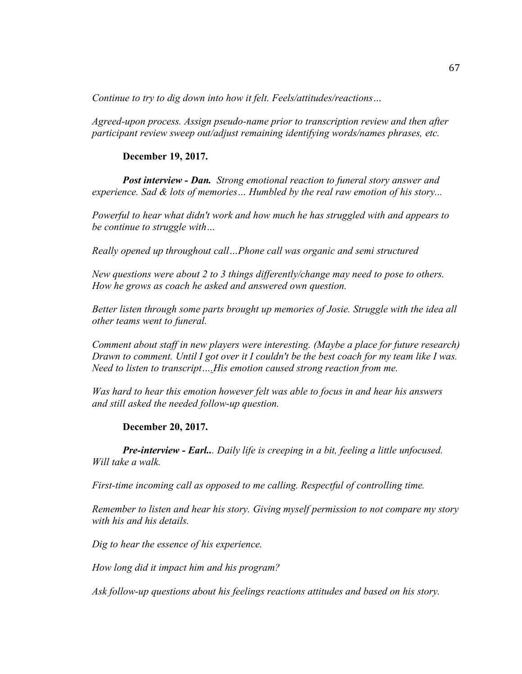*Continue to try to dig down into how it felt. Feels/attitudes/reactions…* 

*Agreed-upon process. Assign pseudo-name prior to transcription review and then after participant review sweep out/adjust remaining identifying words/names phrases, etc.*

## **December 19, 2017.**

*Post interview - Dan. Strong emotional reaction to funeral story answer and experience. Sad & lots of memories… Humbled by the real raw emotion of his story...*

*Powerful to hear what didn't work and how much he has struggled with and appears to be continue to struggle with…*

*Really opened up throughout call…Phone call was organic and semi structured*

*New questions were about 2 to 3 things differently/change may need to pose to others. How he grows as coach he asked and answered own question.*

*Better listen through some parts brought up memories of Josie. Struggle with the idea all other teams went to funeral.*

*Comment about staff in new players were interesting. (Maybe a place for future research) Drawn to comment. Until I got over it I couldn't be the best coach for my team like I was. Need to listen to transcript….His emotion caused strong reaction from me.*

*Was hard to hear this emotion however felt was able to focus in and hear his answers and still asked the needed follow-up question.*

# **December 20, 2017.**

*Pre-interview - Earl... Daily life is creeping in a bit, feeling a little unfocused. Will take a walk.*

*First-time incoming call as opposed to me calling. Respectful of controlling time.*

*Remember to listen and hear his story. Giving myself permission to not compare my story with his and his details.*

*Dig to hear the essence of his experience.*

*How long did it impact him and his program?*

*Ask follow-up questions about his feelings reactions attitudes and based on his story.*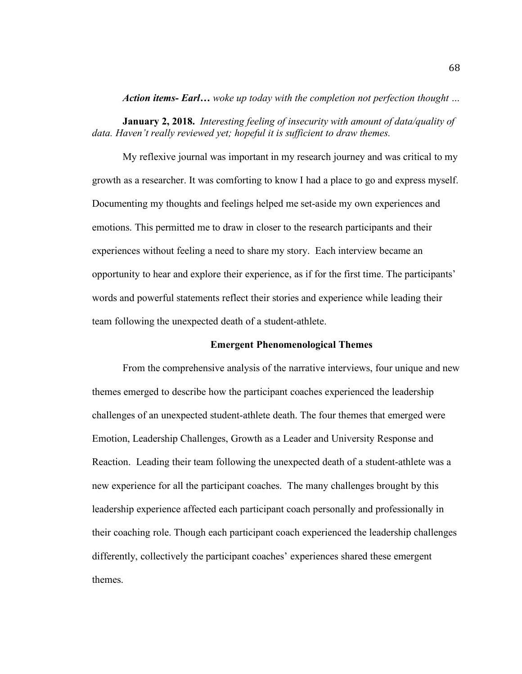*Action items- Earl… woke up today with the completion not perfection thought …*

**January 2, 2018.** *Interesting feeling of insecurity with amount of data/quality of data. Haven't really reviewed yet; hopeful it is sufficient to draw themes.* 

My reflexive journal was important in my research journey and was critical to my growth as a researcher. It was comforting to know I had a place to go and express myself. Documenting my thoughts and feelings helped me set-aside my own experiences and emotions. This permitted me to draw in closer to the research participants and their experiences without feeling a need to share my story. Each interview became an opportunity to hear and explore their experience, as if for the first time. The participants' words and powerful statements reflect their stories and experience while leading their team following the unexpected death of a student-athlete.

#### **Emergent Phenomenological Themes**

From the comprehensive analysis of the narrative interviews, four unique and new themes emerged to describe how the participant coaches experienced the leadership challenges of an unexpected student-athlete death. The four themes that emerged were Emotion, Leadership Challenges, Growth as a Leader and University Response and Reaction. Leading their team following the unexpected death of a student-athlete was a new experience for all the participant coaches. The many challenges brought by this leadership experience affected each participant coach personally and professionally in their coaching role. Though each participant coach experienced the leadership challenges differently, collectively the participant coaches' experiences shared these emergent themes.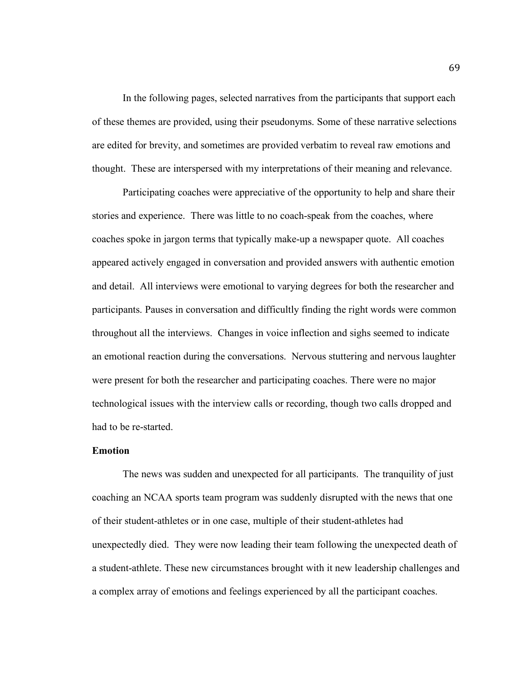In the following pages, selected narratives from the participants that support each of these themes are provided, using their pseudonyms. Some of these narrative selections are edited for brevity, and sometimes are provided verbatim to reveal raw emotions and thought. These are interspersed with my interpretations of their meaning and relevance.

Participating coaches were appreciative of the opportunity to help and share their stories and experience. There was little to no coach-speak from the coaches, where coaches spoke in jargon terms that typically make-up a newspaper quote. All coaches appeared actively engaged in conversation and provided answers with authentic emotion and detail. All interviews were emotional to varying degrees for both the researcher and participants. Pauses in conversation and difficultly finding the right words were common throughout all the interviews. Changes in voice inflection and sighs seemed to indicate an emotional reaction during the conversations. Nervous stuttering and nervous laughter were present for both the researcher and participating coaches. There were no major technological issues with the interview calls or recording, though two calls dropped and had to be re-started.

### **Emotion**

The news was sudden and unexpected for all participants. The tranquility of just coaching an NCAA sports team program was suddenly disrupted with the news that one of their student-athletes or in one case, multiple of their student-athletes had unexpectedly died. They were now leading their team following the unexpected death of a student-athlete. These new circumstances brought with it new leadership challenges and a complex array of emotions and feelings experienced by all the participant coaches.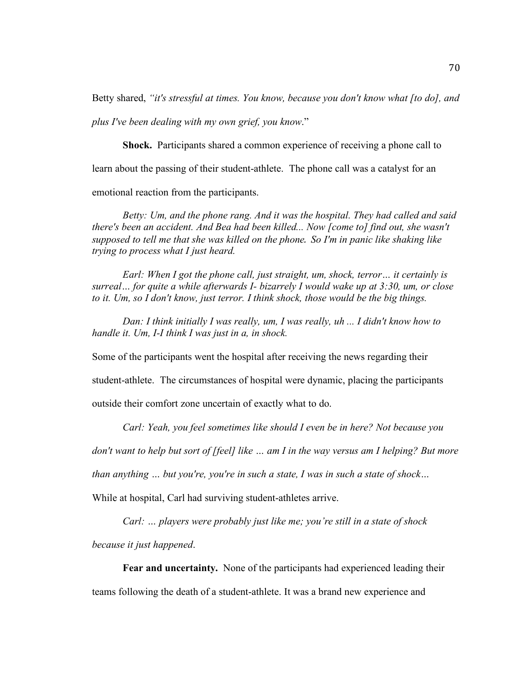Betty shared, *"it's stressful at times. You know, because you don't know what [to do], and plus I've been dealing with my own grief, you know*."

**Shock.** Participants shared a common experience of receiving a phone call to learn about the passing of their student-athlete.The phone call was a catalyst for an emotional reaction from the participants.

*Betty: Um, and the phone rang. And it was the hospital. They had called and said there's been an accident. And Bea had been killed... Now [come to] find out, she wasn't supposed to tell me that she was killed on the phone. So I'm in panic like shaking like trying to process what I just heard.*

*Earl: When I got the phone call, just straight, um, shock, terror… it certainly is surreal… for quite a while afterwards I- bizarrely I would wake up at 3:30, um, or close to it. Um, so I don't know, just terror. I think shock, those would be the big things.*

*Dan: I think initially I was really, um, I was really, uh ... I didn't know how to handle it. Um, I-I think I was just in a, in shock.*

Some of the participants went the hospital after receiving the news regarding their

student-athlete. The circumstances of hospital were dynamic, placing the participants

outside their comfort zone uncertain of exactly what to do.

*Carl: Yeah, you feel sometimes like should I even be in here? Not because you* 

*don't want to help but sort of [feel] like … am I in the way versus am I helping? But more* 

*than anything … but you're, you're in such a state, I was in such a state of shock…* 

While at hospital, Carl had surviving student-athletes arrive.

*Carl: … players were probably just like me; you're still in a state of shock* 

*because it just happened*.

**Fear and uncertainty.** None of the participants had experienced leading their teams following the death of a student-athlete. It was a brand new experience and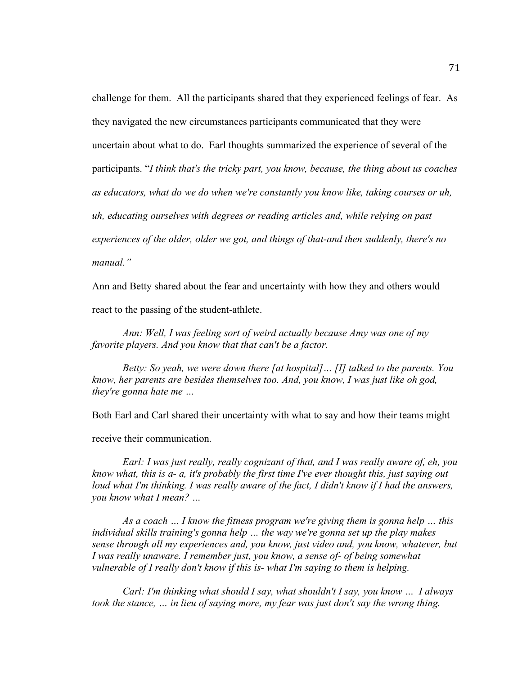challenge for them. All the participants shared that they experienced feelings of fear. As they navigated the new circumstances participants communicated that they were uncertain about what to do. Earl thoughts summarized the experience of several of the participants. "*I think that's the tricky part, you know, because, the thing about us coaches as educators, what do we do when we're constantly you know like, taking courses or uh, uh, educating ourselves with degrees or reading articles and, while relying on past experiences of the older, older we got, and things of that-and then suddenly, there's no manual."*

Ann and Betty shared about the fear and uncertainty with how they and others would react to the passing of the student-athlete.

*Ann: Well, I was feeling sort of weird actually because Amy was one of my favorite players. And you know that that can't be a factor.*

*Betty: So yeah, we were down there [at hospital]… [I] talked to the parents. You know, her parents are besides themselves too. And, you know, I was just like oh god, they're gonna hate me …* 

Both Earl and Carl shared their uncertainty with what to say and how their teams might

receive their communication.

*Earl: I was just really, really cognizant of that, and I was really aware of, eh, you know what, this is a- a, it's probably the first time I've ever thought this, just saying out*  loud what I'm thinking. I was really aware of the fact, I didn't know if I had the answers, *you know what I mean? …* 

*As a coach … I know the fitness program we're giving them is gonna help … this individual skills training's gonna help … the way we're gonna set up the play makes sense through all my experiences and, you know, just video and, you know, whatever, but I was really unaware. I remember just, you know, a sense of- of being somewhat vulnerable of I really don't know if this is- what I'm saying to them is helping.* 

*Carl: I'm thinking what should I say, what shouldn't I say, you know … I always took the stance, … in lieu of saying more, my fear was just don't say the wrong thing.*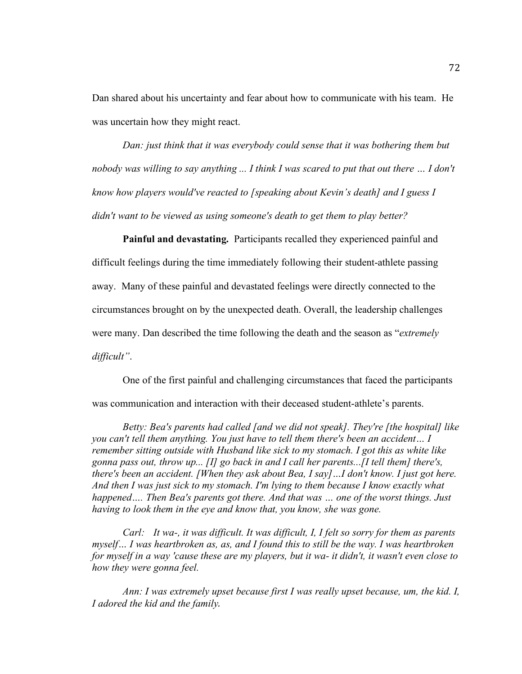Dan shared about his uncertainty and fear about how to communicate with his team. He was uncertain how they might react.

*Dan: just think that it was everybody could sense that it was bothering them but nobody was willing to say anything ... I think I was scared to put that out there … I don't know how players would've reacted to [speaking about Kevin's death] and I guess I didn't want to be viewed as using someone's death to get them to play better?*

**Painful and devastating.** Participants recalled they experienced painful and difficult feelings during the time immediately following their student-athlete passing away. Many of these painful and devastated feelings were directly connected to the circumstances brought on by the unexpected death. Overall, the leadership challenges were many. Dan described the time following the death and the season as "*extremely difficult"*.

One of the first painful and challenging circumstances that faced the participants was communication and interaction with their deceased student-athlete's parents.

*Betty: Bea's parents had called [and we did not speak]. They're [the hospital] like you can't tell them anything. You just have to tell them there's been an accident… I remember sitting outside with Husband like sick to my stomach. I got this as white like gonna pass out, throw up... [I] go back in and I call her parents...[I tell them] there's, there's been an accident. [When they ask about Bea, I say]…I don't know. I just got here. And then I was just sick to my stomach. I'm lying to them because I know exactly what happened…. Then Bea's parents got there. And that was … one of the worst things. Just having to look them in the eye and know that, you know, she was gone.*

*Carl: It wa-, it was difficult. It was difficult, I, I felt so sorry for them as parents myself… I was heartbroken as, as, and I found this to still be the way. I was heartbroken for myself in a way 'cause these are my players, but it wa- it didn't, it wasn't even close to how they were gonna feel.*

*Ann: I was extremely upset because first I was really upset because, um, the kid. I, I adored the kid and the family.*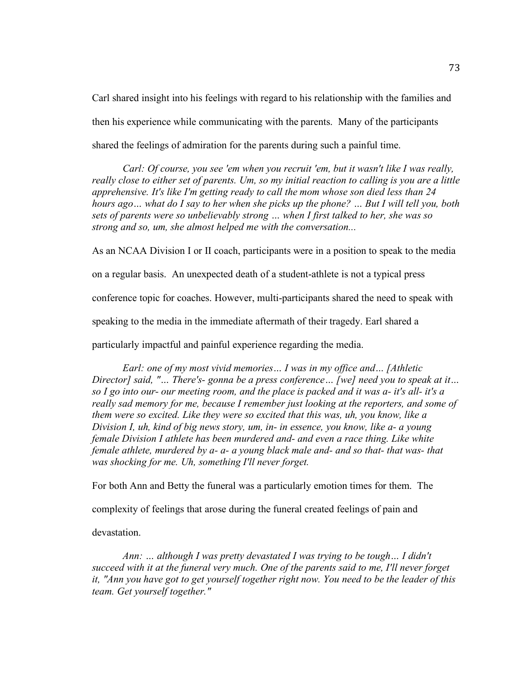Carl shared insight into his feelings with regard to his relationship with the families and then his experience while communicating with the parents. Many of the participants shared the feelings of admiration for the parents during such a painful time.

*Carl: Of course, you see 'em when you recruit 'em, but it wasn't like I was really, really close to either set of parents. Um, so my initial reaction to calling is you are a little apprehensive. It's like I'm getting ready to call the mom whose son died less than 24 hours ago… what do I say to her when she picks up the phone? … But I will tell you, both sets of parents were so unbelievably strong … when I first talked to her, she was so strong and so, um, she almost helped me with the conversation...*

As an NCAA Division I or II coach, participants were in a position to speak to the media on a regular basis. An unexpected death of a student-athlete is not a typical press conference topic for coaches. However, multi-participants shared the need to speak with speaking to the media in the immediate aftermath of their tragedy. Earl shared a particularly impactful and painful experience regarding the media.

*Earl: one of my most vivid memories… I was in my office and… [Athletic Director] said, "… There's- gonna be a press conference… [we] need you to speak at it… so I go into our- our meeting room, and the place is packed and it was a- it's all- it's a really sad memory for me, because I remember just looking at the reporters, and some of them were so excited. Like they were so excited that this was, uh, you know, like a Division I, uh, kind of big news story, um, in- in essence, you know, like a- a young female Division I athlete has been murdered and- and even a race thing. Like white female athlete, murdered by a- a- a young black male and- and so that- that was- that was shocking for me. Uh, something I'll never forget.*

For both Ann and Betty the funeral was a particularly emotion times for them. The

complexity of feelings that arose during the funeral created feelings of pain and

devastation.

*Ann: … although I was pretty devastated I was trying to be tough… I didn't succeed with it at the funeral very much. One of the parents said to me, I'll never forget it, "Ann you have got to get yourself together right now. You need to be the leader of this team. Get yourself together."*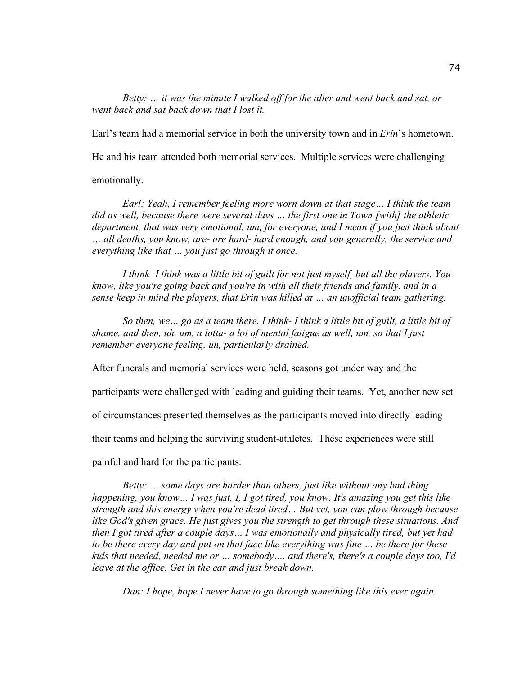*Betty: … it was the minute I walked off for the alter and went back and sat, or went back and sat back down that I lost it.*

Earl's team had a memorial service in both the university town and in *Erin*'s hometown.

He and his team attended both memorial services. Multiple services were challenging

emotionally.

*Earl: Yeah, I remember feeling more worn down at that stage… I think the team did as well, because there were several days … the first one in Town [with] the athletic department, that was very emotional, um, for everyone, and I mean if you just think about … all deaths, you know, are- are hard- hard enough, and you generally, the service and everything like that … you just go through it once.*

*I think- I think was a little bit of guilt for not just myself, but all the players. You know, like you're going back and you're in with all their friends and family, and in a sense keep in mind the players, that Erin was killed at … an unofficial team gathering.*

*So then, we… go as a team there. I think- I think a little bit of guilt, a little bit of shame, and then, uh, um, a lotta- a lot of mental fatigue as well, um, so that I just remember everyone feeling, uh, particularly drained.*

After funerals and memorial services were held, seasons got under way and the

participants were challenged with leading and guiding their teams. Yet, another new set

of circumstances presented themselves as the participants moved into directly leading

their teams and helping the surviving student-athletes. These experiences were still

painful and hard for the participants.

*Betty: … some days are harder than others, just like without any bad thing happening, you know… I was just, I, I got tired, you know. It's amazing you get this like strength and this energy when you're dead tired… But yet, you can plow through because like God's given grace. He just gives you the strength to get through these situations. And then I got tired after a couple days… I was emotionally and physically tired, but yet had to be there every day and put on that face like everything was fine … be there for these kids that needed, needed me or … somebody…. and there's, there's a couple days too, I'd leave at the office. Get in the car and just break down.*

*Dan: I hope, hope I never have to go through something like this ever again.*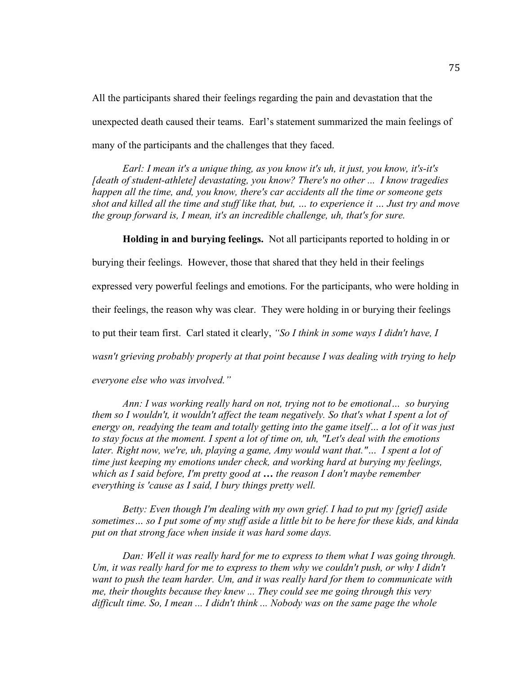All the participants shared their feelings regarding the pain and devastation that the unexpected death caused their teams. Earl's statement summarized the main feelings of many of the participants and the challenges that they faced.

*Earl: I mean it's a unique thing, as you know it's uh, it just, you know, it's-it's [death of student-athlete] devastating, you know? There's no other ... I know tragedies happen all the time, and, you know, there's car accidents all the time or someone gets shot and killed all the time and stuff like that, but, … to experience it … Just try and move the group forward is, I mean, it's an incredible challenge, uh, that's for sure.*

**Holding in and burying feelings.** Not all participants reported to holding in or

burying their feelings. However, those that shared that they held in their feelings expressed very powerful feelings and emotions. For the participants, who were holding in their feelings, the reason why was clear. They were holding in or burying their feelings to put their team first. Carl stated it clearly, *"So I think in some ways I didn't have, I wasn't grieving probably properly at that point because I was dealing with trying to help everyone else who was involved."*

*Ann: I was working really hard on not, trying not to be emotional… so burying them so I wouldn't, it wouldn't affect the team negatively. So that's what I spent a lot of energy on, readying the team and totally getting into the game itself… a lot of it was just to stay focus at the moment. I spent a lot of time on, uh, "Let's deal with the emotions later. Right now, we're, uh, playing a game, Amy would want that."… I spent a lot of time just keeping my emotions under check, and working hard at burying my feelings, which as I said before, I'm pretty good at … the reason I don't maybe remember everything is 'cause as I said, I bury things pretty well.*

*Betty: Even though I'm dealing with my own grief. I had to put my [grief] aside sometimes… so I put some of my stuff aside a little bit to be here for these kids, and kinda put on that strong face when inside it was hard some days.*

*Dan: Well it was really hard for me to express to them what I was going through. Um, it was really hard for me to express to them why we couldn't push, or why I didn't want to push the team harder. Um, and it was really hard for them to communicate with me, their thoughts because they knew ... They could see me going through this very difficult time. So, I mean ... I didn't think ... Nobody was on the same page the whole*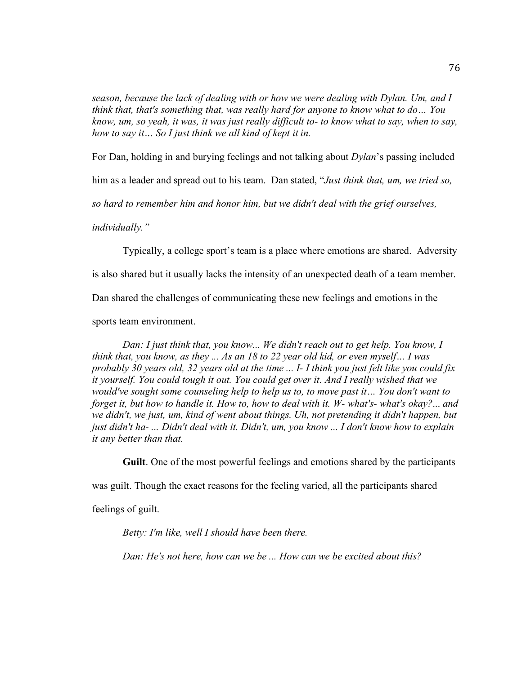*season, because the lack of dealing with or how we were dealing with Dylan. Um, and I think that, that's something that, was really hard for anyone to know what to do… You know, um, so yeah, it was, it was just really difficult to- to know what to say, when to say, how to say it… So I just think we all kind of kept it in.*

For Dan, holding in and burying feelings and not talking about *Dylan*'s passing included

him as a leader and spread out to his team. Dan stated, "*Just think that, um, we tried so,* 

*so hard to remember him and honor him, but we didn't deal with the grief ourselves,* 

*individually."*

Typically, a college sport's team is a place where emotions are shared. Adversity

is also shared but it usually lacks the intensity of an unexpected death of a team member.

Dan shared the challenges of communicating these new feelings and emotions in the

sports team environment.

*Dan: I just think that, you know... We didn't reach out to get help. You know, I think that, you know, as they ... As an 18 to 22 year old kid, or even myself… I was probably 30 years old, 32 years old at the time ... I- I think you just felt like you could fix it yourself. You could tough it out. You could get over it. And I really wished that we would've sought some counseling help to help us to, to move past it… You don't want to forget it, but how to handle it. How to, how to deal with it. W- what's- what's okay?*... *and we didn't, we just, um, kind of went about things. Uh, not pretending it didn't happen, but just didn't ha- ... Didn't deal with it. Didn't, um, you know ... I don't know how to explain it any better than that.*

**Guilt**. One of the most powerful feelings and emotions shared by the participants

was guilt. Though the exact reasons for the feeling varied, all the participants shared

feelings of guilt.

*Betty: I'm like, well I should have been there.* 

*Dan: He's not here, how can we be ... How can we be excited about this?*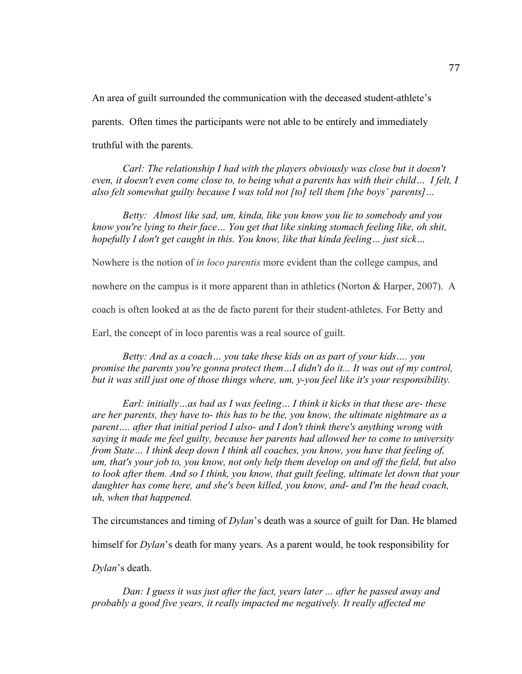An area of guilt surrounded the communication with the deceased student-athlete's parents. Often times the participants were not able to be entirely and immediately truthful with the parents.

*Carl: The relationship I had with the players obviously was close but it doesn't even, it doesn't even come close to, to being what a parents has with their child… I felt, I also felt somewhat guilty because I was told not [to] tell them [the boys' parents]…*

*Betty: Almost like sad, um, kinda, like you know you lie to somebody and you know you're lying to their face… You get that like sinking stomach feeling like, oh shit, hopefully I don't get caught in this. You know, like that kinda feeling… just sick…*

Nowhere is the notion of *in loco parentis* more evident than the college campus, and

nowhere on the campus is it more apparent than in athletics (Norton & Harper, 2007). A

coach is often looked at as the de facto parent for their student-athletes. For Betty and

Earl, the concept of in loco parentis was a real source of guilt.

*Betty: And as a coach… you take these kids on as part of your kids…. you promise the parents you're gonna protect them…I didn't do it... It was out of my control, but it was still just one of those things where, um, y-you feel like it's your responsibility.*

*Earl: initially…as bad as I was feeling… I think it kicks in that these are- these are her parents, they have to- this has to be the, you know, the ultimate nightmare as a parent…. after that initial period I also- and I don't think there's anything wrong with saying it made me feel guilty, because her parents had allowed her to come to university from State… I think deep down I think all coaches, you know, you have that feeling of, um, that's your job to, you know, not only help them develop on and off the field, but also to look after them. And so I think, you know, that guilt feeling, ultimate let down that your daughter has come here, and she's been killed, you know, and- and I'm the head coach, uh, when that happened.*

The circumstances and timing of *Dylan*'s death was a source of guilt for Dan. He blamed

himself for *Dylan*'s death for many years. As a parent would, he took responsibility for

*Dylan*'s death.

*Dan: I guess it was just after the fact, years later ... after he passed away and probably a good five years, it really impacted me negatively. It really affected me*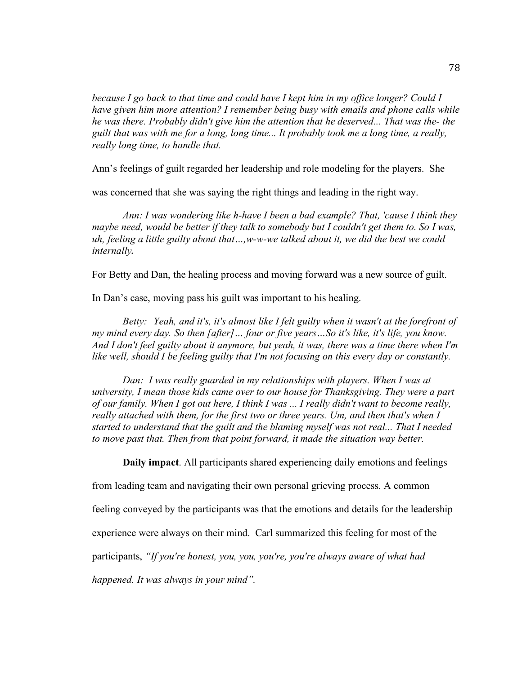*because I go back to that time and could have I kept him in my office longer? Could I have given him more attention? I remember being busy with emails and phone calls while he was there. Probably didn't give him the attention that he deserved... That was the- the guilt that was with me for a long, long time... It probably took me a long time, a really, really long time, to handle that.*

Ann's feelings of guilt regarded her leadership and role modeling for the players. She

was concerned that she was saying the right things and leading in the right way.

*Ann: I was wondering like h-have I been a bad example? That, 'cause I think they maybe need, would be better if they talk to somebody but I couldn't get them to. So I was, uh, feeling a little guilty about that…,w-w-we talked about it, we did the best we could internally.*

For Betty and Dan, the healing process and moving forward was a new source of guilt.

In Dan's case, moving pass his guilt was important to his healing.

*Betty: Yeah, and it's, it's almost like I felt guilty when it wasn't at the forefront of my mind every day. So then [after]… four or five years…So it's like, it's life, you know. And I don't feel guilty about it anymore, but yeah, it was, there was a time there when I'm like well, should I be feeling guilty that I'm not focusing on this every day or constantly.*

*Dan: I was really guarded in my relationships with players. When I was at university, I mean those kids came over to our house for Thanksgiving. They were a part of our family. When I got out here, I think I was ... I really didn't want to become really, really attached with them, for the first two or three years. Um, and then that's when I started to understand that the guilt and the blaming myself was not real... That I needed*  to move past that. Then from that point forward, it made the situation way better.

**Daily impact**. All participants shared experiencing daily emotions and feelings

from leading team and navigating their own personal grieving process. A common

feeling conveyed by the participants was that the emotions and details for the leadership

experience were always on their mind. Carl summarized this feeling for most of the

participants, *"If you're honest, you, you, you're, you're always aware of what had* 

*happened. It was always in your mind".*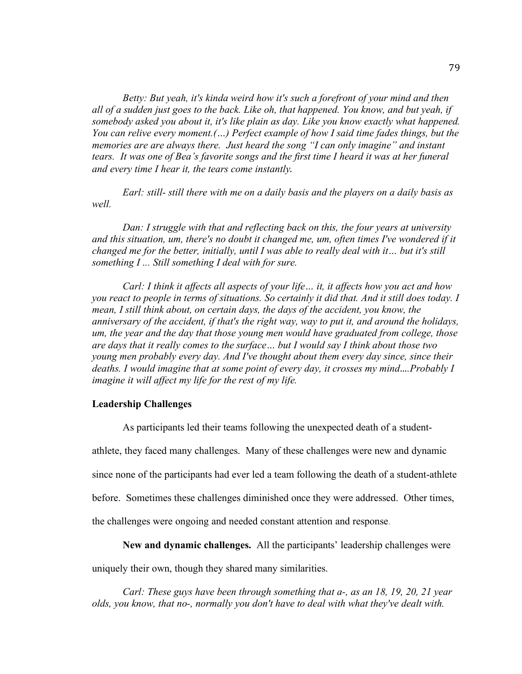*Betty: But yeah, it's kinda weird how it's such a forefront of your mind and then all of a sudden just goes to the back. Like oh, that happened. You know, and but yeah, if somebody asked you about it, it's like plain as day. Like you know exactly what happened. You can relive every moment.(…) Perfect example of how I said time fades things, but the memories are are always there. Just heard the song "I can only imagine" and instant tears. It was one of Bea's favorite songs and the first time I heard it was at her funeral and every time I hear it, the tears come instantly.*

*Earl: still- still there with me on a daily basis and the players on a daily basis as well.*

*Dan: I struggle with that and reflecting back on this, the four years at university and this situation, um, there's no doubt it changed me, um, often times I've wondered if it changed me for the better, initially, until I was able to really deal with it… but it's still something I ... Still something I deal with for sure.*

*Carl: I think it affects all aspects of your life… it, it affects how you act and how you react to people in terms of situations. So certainly it did that. And it still does today. I mean, I still think about, on certain days, the days of the accident, you know, the anniversary of the accident, if that's the right way, way to put it, and around the holidays, um, the year and the day that those young men would have graduated from college, those are days that it really comes to the surface… but I would say I think about those two young men probably every day. And I've thought about them every day since, since their deaths. I would imagine that at some point of every day, it crosses my mind….Probably I imagine it will affect my life for the rest of my life.*

### **Leadership Challenges**

As participants led their teams following the unexpected death of a student-

athlete, they faced many challenges. Many of these challenges were new and dynamic since none of the participants had ever led a team following the death of a student-athlete before. Sometimes these challenges diminished once they were addressed. Other times, the challenges were ongoing and needed constant attention and response.

**New and dynamic challenges.** All the participants' leadership challenges were uniquely their own, though they shared many similarities.

*Carl: These guys have been through something that a-, as an 18, 19, 20, 21 year olds, you know, that no-, normally you don't have to deal with what they've dealt with.*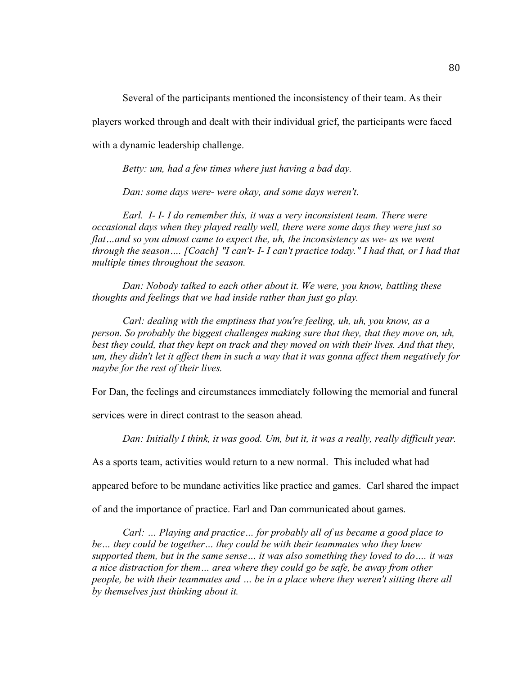Several of the participants mentioned the inconsistency of their team. As their

players worked through and dealt with their individual grief, the participants were faced

with a dynamic leadership challenge.

*Betty: um, had a few times where just having a bad day.* 

*Dan: some days were- were okay, and some days weren't.* 

*Earl. I- I- I do remember this, it was a very inconsistent team. There were occasional days when they played really well, there were some days they were just so flat…and so you almost came to expect the, uh, the inconsistency as we- as we went through the season…. [Coach] "I can't- I- I can't practice today." I had that, or I had that multiple times throughout the season.* 

*Dan: Nobody talked to each other about it. We were, you know, battling these thoughts and feelings that we had inside rather than just go play.*

*Carl: dealing with the emptiness that you're feeling, uh, uh, you know, as a person. So probably the biggest challenges making sure that they, that they move on, uh, best they could, that they kept on track and they moved on with their lives. And that they, um, they didn't let it affect them in such a way that it was gonna affect them negatively for maybe for the rest of their lives.*

For Dan, the feelings and circumstances immediately following the memorial and funeral

services were in direct contrast to the season ahead*.* 

*Dan: Initially I think, it was good. Um, but it, it was a really, really difficult year.*

As a sports team, activities would return to a new normal. This included what had

appeared before to be mundane activities like practice and games. Carl shared the impact

of and the importance of practice. Earl and Dan communicated about games.

*Carl: … Playing and practice… for probably all of us became a good place to be… they could be together… they could be with their teammates who they knew supported them, but in the same sense… it was also something they loved to do…. it was a nice distraction for them… area where they could go be safe, be away from other people, be with their teammates and … be in a place where they weren't sitting there all by themselves just thinking about it.*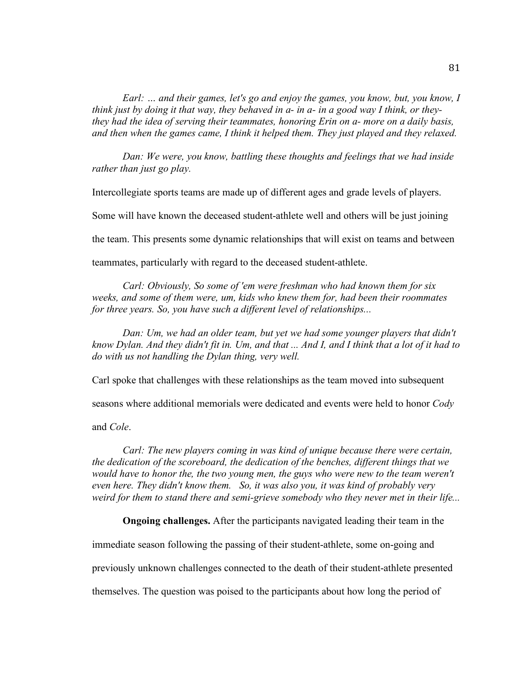*Earl: … and their games, let's go and enjoy the games, you know, but, you know, I think just by doing it that way, they behaved in a- in a- in a good way I think, or theythey had the idea of serving their teammates, honoring Erin on a- more on a daily basis, and then when the games came, I think it helped them. They just played and they relaxed.*

*Dan: We were, you know, battling these thoughts and feelings that we had inside rather than just go play.*

Intercollegiate sports teams are made up of different ages and grade levels of players.

Some will have known the deceased student-athlete well and others will be just joining

the team. This presents some dynamic relationships that will exist on teams and between

teammates, particularly with regard to the deceased student-athlete.

*Carl: Obviously, So some of 'em were freshman who had known them for six weeks, and some of them were, um, kids who knew them for, had been their roommates for three years. So, you have such a different level of relationships...*

*Dan: Um, we had an older team, but yet we had some younger players that didn't know Dylan. And they didn't fit in. Um, and that ... And I, and I think that a lot of it had to do with us not handling the Dylan thing, very well.* 

Carl spoke that challenges with these relationships as the team moved into subsequent

seasons where additional memorials were dedicated and events were held to honor *Cody*

and *Cole*.

*Carl: The new players coming in was kind of unique because there were certain, the dedication of the scoreboard, the dedication of the benches, different things that we would have to honor the, the two young men, the guys who were new to the team weren't even here. They didn't know them. So, it was also you, it was kind of probably very weird for them to stand there and semi-grieve somebody who they never met in their life...*

**Ongoing challenges.** After the participants navigated leading their team in the

immediate season following the passing of their student-athlete, some on-going and

previously unknown challenges connected to the death of their student-athlete presented

themselves. The question was poised to the participants about how long the period of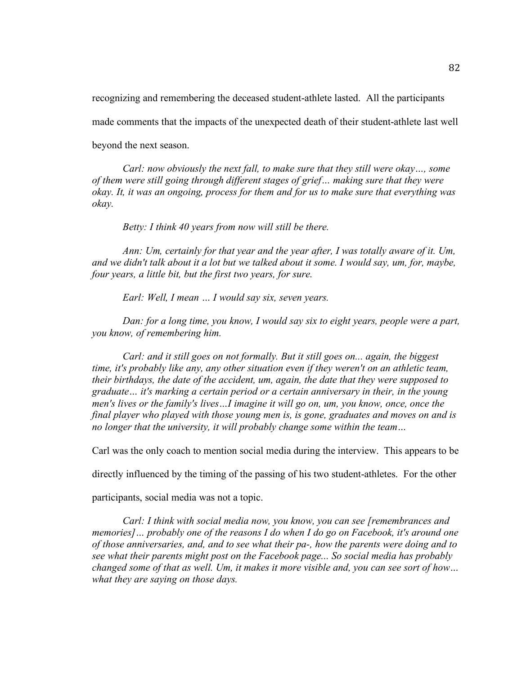recognizing and remembering the deceased student-athlete lasted. All the participants

made comments that the impacts of the unexpected death of their student-athlete last well

beyond the next season.

*Carl: now obviously the next fall, to make sure that they still were okay…, some of them were still going through different stages of grief… making sure that they were okay. It, it was an ongoing, process for them and for us to make sure that everything was okay.*

*Betty: I think 40 years from now will still be there.*

*Ann: Um, certainly for that year and the year after, I was totally aware of it. Um, and we didn't talk about it a lot but we talked about it some. I would say, um, for, maybe, four years, a little bit, but the first two years, for sure.*

*Earl: Well, I mean … I would say six, seven years.*

*Dan: for a long time, you know, I would say six to eight years, people were a part, you know, of remembering him.*

*Carl: and it still goes on not formally. But it still goes on... again, the biggest time, it's probably like any, any other situation even if they weren't on an athletic team, their birthdays, the date of the accident, um, again, the date that they were supposed to graduate… it's marking a certain period or a certain anniversary in their, in the young men's lives or the family's lives…I imagine it will go on, um, you know, once, once the final player who played with those young men is, is gone, graduates and moves on and is no longer that the university, it will probably change some within the team…*

Carl was the only coach to mention social media during the interview. This appears to be

directly influenced by the timing of the passing of his two student-athletes. For the other

participants, social media was not a topic.

*Carl: I think with social media now, you know, you can see [remembrances and memories]… probably one of the reasons I do when I do go on Facebook, it's around one of those anniversaries, and, and to see what their pa-, how the parents were doing and to see what their parents might post on the Facebook page... So social media has probably changed some of that as well. Um, it makes it more visible and, you can see sort of how… what they are saying on those days.*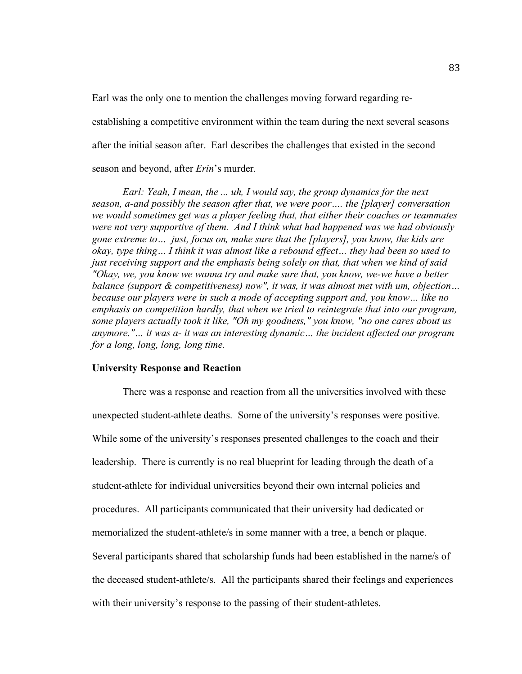Earl was the only one to mention the challenges moving forward regarding reestablishing a competitive environment within the team during the next several seasons after the initial season after. Earl describes the challenges that existed in the second season and beyond, after *Erin*'s murder.

*Earl: Yeah, I mean, the ... uh, I would say, the group dynamics for the next season, a-and possibly the season after that, we were poor…. the [player] conversation we would sometimes get was a player feeling that, that either their coaches or teammates were not very supportive of them. And I think what had happened was we had obviously gone extreme to… just, focus on, make sure that the [players], you know, the kids are okay, type thing… I think it was almost like a rebound effect… they had been so used to just receiving support and the emphasis being solely on that, that when we kind of said "Okay, we, you know we wanna try and make sure that, you know, we-we have a better balance (support & competitiveness) now", it was, it was almost met with um, objection… because our players were in such a mode of accepting support and, you know… like no emphasis on competition hardly, that when we tried to reintegrate that into our program, some players actually took it like, "Oh my goodness," you know, "no one cares about us anymore."… it was a- it was an interesting dynamic… the incident affected our program for a long, long, long, long time.* 

#### **University Response and Reaction**

There was a response and reaction from all the universities involved with these unexpected student-athlete deaths. Some of the university's responses were positive. While some of the university's responses presented challenges to the coach and their leadership. There is currently is no real blueprint for leading through the death of a student-athlete for individual universities beyond their own internal policies and procedures. All participants communicated that their university had dedicated or memorialized the student-athlete/s in some manner with a tree, a bench or plaque. Several participants shared that scholarship funds had been established in the name/s of the deceased student-athlete/s. All the participants shared their feelings and experiences with their university's response to the passing of their student-athletes.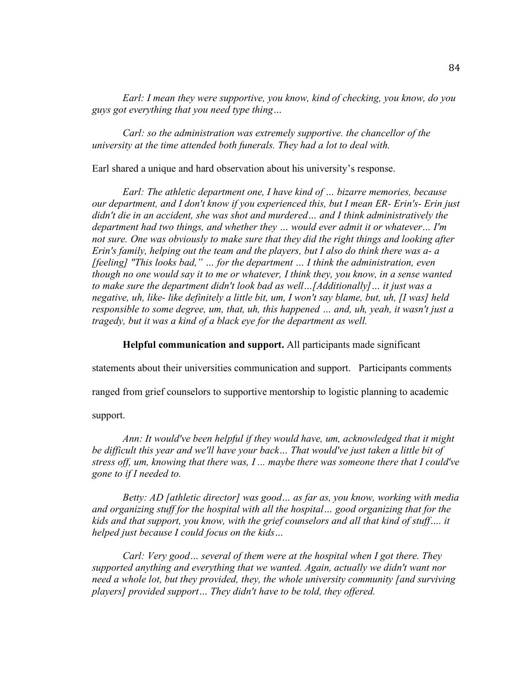*Earl: I mean they were supportive, you know, kind of checking, you know, do you guys got everything that you need type thing…*

*Carl: so the administration was extremely supportive. the chancellor of the university at the time attended both funerals. They had a lot to deal with.* 

Earl shared a unique and hard observation about his university's response.

*Earl: The athletic department one, I have kind of … bizarre memories, because our department, and I don't know if you experienced this, but I mean ER- Erin's- Erin just didn't die in an accident, she was shot and murdered… and I think administratively the department had two things, and whether they … would ever admit it or whatever… I'm not sure. One was obviously to make sure that they did the right things and looking after Erin's family, helping out the team and the players, but I also do think there was a- a [feeling] "This looks bad," … for the department … I think the administration, even though no one would say it to me or whatever, I think they, you know, in a sense wanted to make sure the department didn't look bad as well…[Additionally]… it just was a negative, uh, like- like definitely a little bit, um, I won't say blame, but, uh, [I was] held responsible to some degree, um, that, uh, this happened … and, uh, yeah, it wasn't just a tragedy, but it was a kind of a black eye for the department as well.*

**Helpful communication and support.** All participants made significant

statements about their universities communication and support. Participants comments

ranged from grief counselors to supportive mentorship to logistic planning to academic

support.

*Ann: It would've been helpful if they would have, um, acknowledged that it might be difficult this year and we'll have your back… That would've just taken a little bit of stress off, um, knowing that there was, I ... maybe there was someone there that I could've gone to if I needed to.*

*Betty: AD [athletic director] was good… as far as, you know, working with media and organizing stuff for the hospital with all the hospital… good organizing that for the kids and that support, you know, with the grief counselors and all that kind of stuff…. it helped just because I could focus on the kids…* 

*Carl: Very good… several of them were at the hospital when I got there. They supported anything and everything that we wanted. Again, actually we didn't want nor need a whole lot, but they provided, they, the whole university community [and surviving players] provided support… They didn't have to be told, they offered.*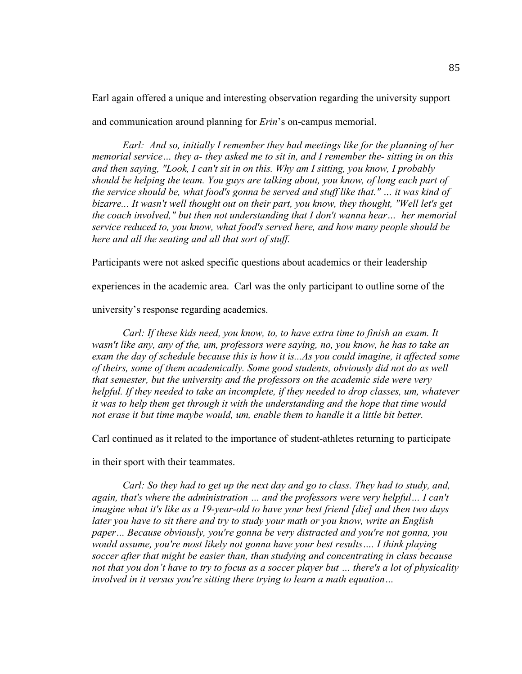Earl again offered a unique and interesting observation regarding the university support and communication around planning for *Erin*'s on-campus memorial.

*Earl: And so, initially I remember they had meetings like for the planning of her memorial service… they a- they asked me to sit in, and I remember the- sitting in on this and then saying, "Look, I can't sit in on this. Why am I sitting, you know, I probably should be helping the team. You guys are talking about, you know, of long each part of the service should be, what food's gonna be served and stuff like that." … it was kind of bizarre... It wasn't well thought out on their part, you know, they thought, "Well let's get the coach involved," but then not understanding that I don't wanna hear… her memorial service reduced to, you know, what food's served here, and how many people should be here and all the seating and all that sort of stuff.*

Participants were not asked specific questions about academics or their leadership

experiences in the academic area. Carl was the only participant to outline some of the

university's response regarding academics.

*Carl: If these kids need, you know, to, to have extra time to finish an exam. It wasn't like any, any of the, um, professors were saying, no, you know, he has to take an exam the day of schedule because this is how it is...As you could imagine, it affected some of theirs, some of them academically. Some good students, obviously did not do as well that semester, but the university and the professors on the academic side were very helpful. If they needed to take an incomplete, if they needed to drop classes, um, whatever it was to help them get through it with the understanding and the hope that time would not erase it but time maybe would, um, enable them to handle it a little bit better.*

Carl continued as it related to the importance of student-athletes returning to participate

in their sport with their teammates.

*Carl: So they had to get up the next day and go to class. They had to study, and, again, that's where the administration … and the professors were very helpful… I can't imagine what it's like as a 19-year-old to have your best friend [die] and then two days later you have to sit there and try to study your math or you know, write an English paper… Because obviously, you're gonna be very distracted and you're not gonna, you would assume, you're most likely not gonna have your best results…. I think playing soccer after that might be easier than, than studying and concentrating in class because not that you don't have to try to focus as a soccer player but … there's a lot of physicality involved in it versus you're sitting there trying to learn a math equation…*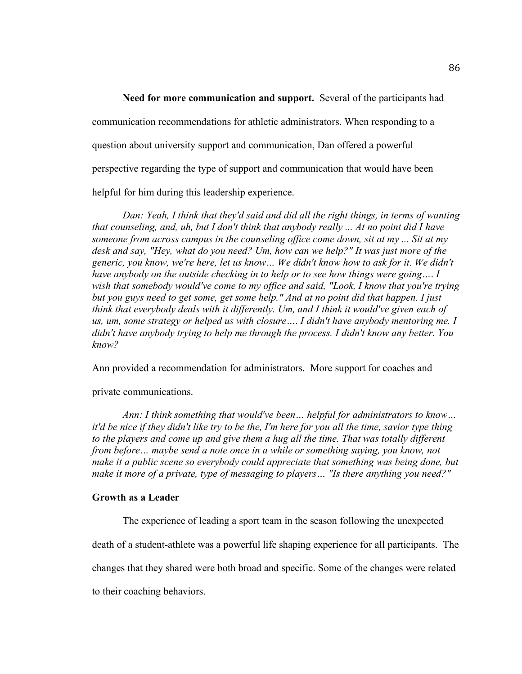**Need for more communication and support.** Several of the participants had communication recommendations for athletic administrators. When responding to a question about university support and communication, Dan offered a powerful perspective regarding the type of support and communication that would have been helpful for him during this leadership experience.

*Dan: Yeah, I think that they'd said and did all the right things, in terms of wanting that counseling, and, uh, but I don't think that anybody really ... At no point did I have someone from across campus in the counseling office come down, sit at my ... Sit at my desk and say, "Hey, what do you need? Um, how can we help?" It was just more of the generic, you know, we're here, let us know… We didn't know how to ask for it. We didn't have anybody on the outside checking in to help or to see how things were going…*. *I wish that somebody would've come to my office and said, "Look, I know that you're trying but you guys need to get some, get some help." And at no point did that happen. I just think that everybody deals with it differently. Um, and I think it would've given each of us, um, some strategy or helped us with closure…*. *I didn't have anybody mentoring me. I didn't have anybody trying to help me through the process. I didn't know any better. You know?*

Ann provided a recommendation for administrators. More support for coaches and

# private communications.

*Ann: I think something that would've been… helpful for administrators to know… it'd be nice if they didn't like try to be the, I'm here for you all the time, savior type thing*  to the players and come up and give them a hug all the time. That was totally different *from before… maybe send a note once in a while or something saying, you know, not make it a public scene so everybody could appreciate that something was being done, but make it more of a private, type of messaging to players… "Is there anything you need?"* 

### **Growth as a Leader**

The experience of leading a sport team in the season following the unexpected

death of a student-athlete was a powerful life shaping experience for all participants. The

changes that they shared were both broad and specific. Some of the changes were related

to their coaching behaviors.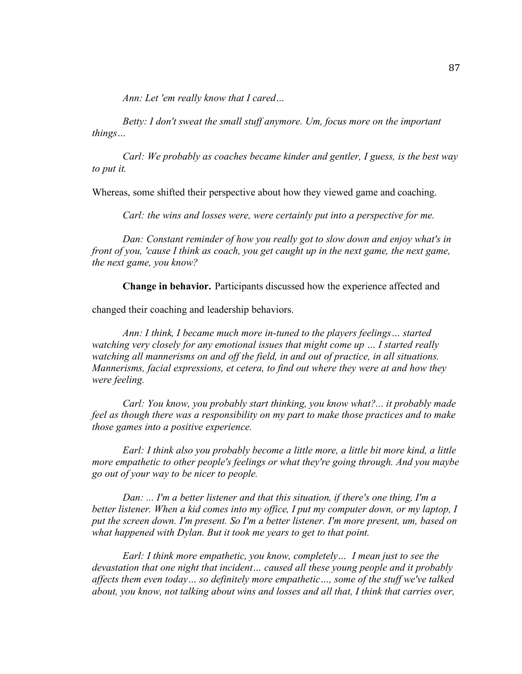*Ann: Let 'em really know that I cared…* 

*Betty: I don't sweat the small stuff anymore. Um, focus more on the important things…*

*Carl: We probably as coaches became kinder and gentler, I guess, is the best way to put it.* 

Whereas, some shifted their perspective about how they viewed game and coaching.

*Carl: the wins and losses were, were certainly put into a perspective for me.*

*Dan: Constant reminder of how you really got to slow down and enjoy what's in front of you, 'cause I think as coach, you get caught up in the next game, the next game, the next game, you know?*

**Change in behavior.** Participants discussed how the experience affected and

changed their coaching and leadership behaviors.

*Ann: I think, I became much more in-tuned to the players feelings… started watching very closely for any emotional issues that might come up … I started really watching all mannerisms on and off the field, in and out of practice, in all situations. Mannerisms, facial expressions, et cetera, to find out where they were at and how they were feeling.*

*Carl: You know, you probably start thinking, you know what?... it probably made feel as though there was a responsibility on my part to make those practices and to make those games into a positive experience.*

*Earl: I think also you probably become a little more, a little bit more kind, a little more empathetic to other people's feelings or what they're going through. And you maybe go out of your way to be nicer to people.*

*Dan: ... I'm a better listener and that this situation, if there's one thing, I'm a better listener. When a kid comes into my office, I put my computer down, or my laptop, I put the screen down. I'm present. So I'm a better listener. I'm more present, um, based on what happened with Dylan. But it took me years to get to that point.*

*Earl: I think more empathetic, you know, completely… I mean just to see the devastation that one night that incident… caused all these young people and it probably affects them even today… so definitely more empathetic…, some of the stuff we've talked about, you know, not talking about wins and losses and all that, I think that carries over,*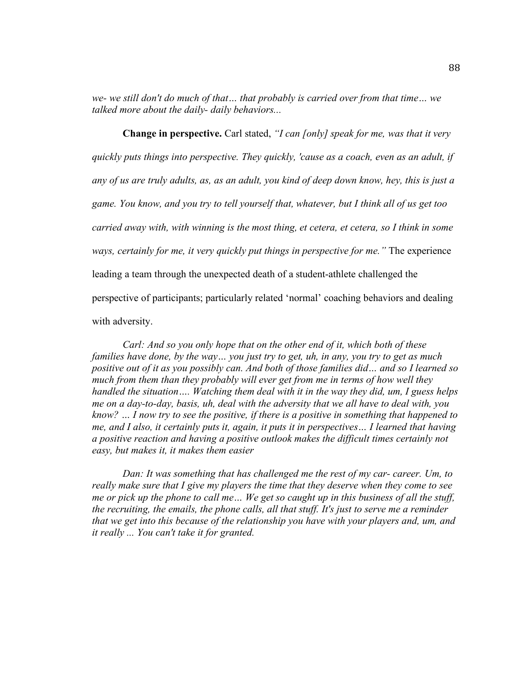*we- we still don't do much of that… that probably is carried over from that time… we talked more about the daily- daily behaviors...*

**Change in perspective.** Carl stated, *"I can [only] speak for me, was that it very quickly puts things into perspective. They quickly, 'cause as a coach, even as an adult, if any of us are truly adults, as, as an adult, you kind of deep down know, hey, this is just a game. You know, and you try to tell yourself that, whatever, but I think all of us get too carried away with, with winning is the most thing, et cetera, et cetera, so I think in some ways, certainly for me, it very quickly put things in perspective for me."* The experience leading a team through the unexpected death of a student-athlete challenged the perspective of participants; particularly related 'normal' coaching behaviors and dealing with adversity.

*Carl: And so you only hope that on the other end of it, which both of these families have done, by the way… you just try to get, uh, in any, you try to get as much positive out of it as you possibly can. And both of those families did… and so I learned so much from them than they probably will ever get from me in terms of how well they handled the situation…. Watching them deal with it in the way they did, um, I guess helps me on a day-to-day, basis, uh, deal with the adversity that we all have to deal with, you know? … I now try to see the positive, if there is a positive in something that happened to me, and I also, it certainly puts it, again, it puts it in perspectives… I learned that having a positive reaction and having a positive outlook makes the difficult times certainly not easy, but makes it, it makes them easier*

*Dan: It was something that has challenged me the rest of my car- career. Um, to really make sure that I give my players the time that they deserve when they come to see me or pick up the phone to call me… We get so caught up in this business of all the stuff, the recruiting, the emails, the phone calls, all that stuff. It's just to serve me a reminder that we get into this because of the relationship you have with your players and, um, and it really ... You can't take it for granted.*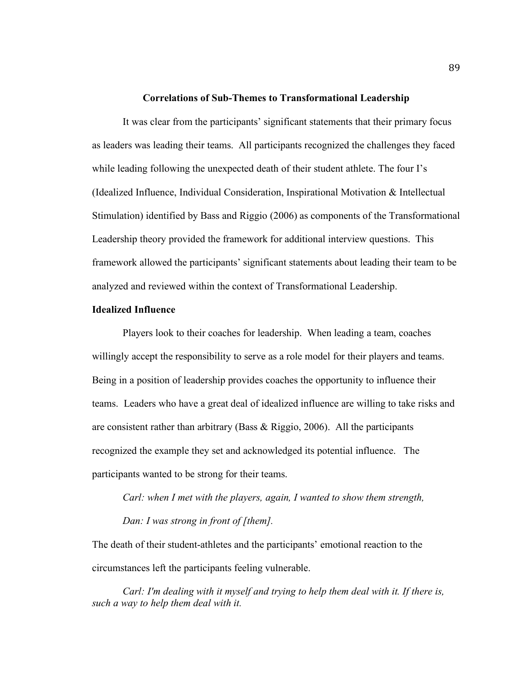#### **Correlations of Sub-Themes to Transformational Leadership**

It was clear from the participants' significant statements that their primary focus as leaders was leading their teams. All participants recognized the challenges they faced while leading following the unexpected death of their student athlete. The four I's (Idealized Influence, Individual Consideration, Inspirational Motivation & Intellectual Stimulation) identified by Bass and Riggio (2006) as components of the Transformational Leadership theory provided the framework for additional interview questions. This framework allowed the participants' significant statements about leading their team to be analyzed and reviewed within the context of Transformational Leadership.

# **Idealized Influence**

Players look to their coaches for leadership. When leading a team, coaches willingly accept the responsibility to serve as a role model for their players and teams. Being in a position of leadership provides coaches the opportunity to influence their teams. Leaders who have a great deal of idealized influence are willing to take risks and are consistent rather than arbitrary (Bass  $\&$  Riggio, 2006). All the participants recognized the example they set and acknowledged its potential influence. The participants wanted to be strong for their teams.

*Carl: when I met with the players, again, I wanted to show them strength, Dan: I was strong in front of [them].* 

The death of their student-athletes and the participants' emotional reaction to the circumstances left the participants feeling vulnerable.

*Carl: I'm dealing with it myself and trying to help them deal with it. If there is, such a way to help them deal with it.*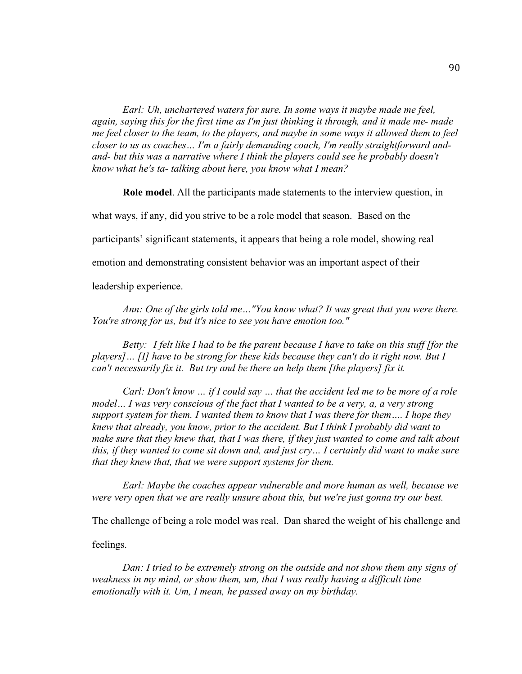*Earl: Uh, unchartered waters for sure. In some ways it maybe made me feel, again, saying this for the first time as I'm just thinking it through, and it made me- made me feel closer to the team, to the players, and maybe in some ways it allowed them to feel closer to us as coaches… I'm a fairly demanding coach, I'm really straightforward andand- but this was a narrative where I think the players could see he probably doesn't know what he's ta- talking about here, you know what I mean?*

**Role model**. All the participants made statements to the interview question, in

what ways, if any, did you strive to be a role model that season. Based on the

participants' significant statements, it appears that being a role model, showing real

emotion and demonstrating consistent behavior was an important aspect of their

leadership experience.

*Ann: One of the girls told me…"You know what? It was great that you were there. You're strong for us, but it's nice to see you have emotion too."*

*Betty: I felt like I had to be the parent because I have to take on this stuff [for the players]… [I] have to be strong for these kids because they can't do it right now. But I can't necessarily fix it. But try and be there an help them [the players] fix it.*

*Carl: Don't know … if I could say … that the accident led me to be more of a role model… I was very conscious of the fact that I wanted to be a very, a, a very strong support system for them. I wanted them to know that I was there for them…. I hope they knew that already, you know, prior to the accident. But I think I probably did want to make sure that they knew that, that I was there, if they just wanted to come and talk about this, if they wanted to come sit down and, and just cry… I certainly did want to make sure that they knew that, that we were support systems for them.* 

*Earl: Maybe the coaches appear vulnerable and more human as well, because we were very open that we are really unsure about this, but we're just gonna try our best.*

The challenge of being a role model was real. Dan shared the weight of his challenge and

feelings.

*Dan: I tried to be extremely strong on the outside and not show them any signs of*  weakness in my mind, or show them, um, that I was really having a difficult time *emotionally with it. Um, I mean, he passed away on my birthday.*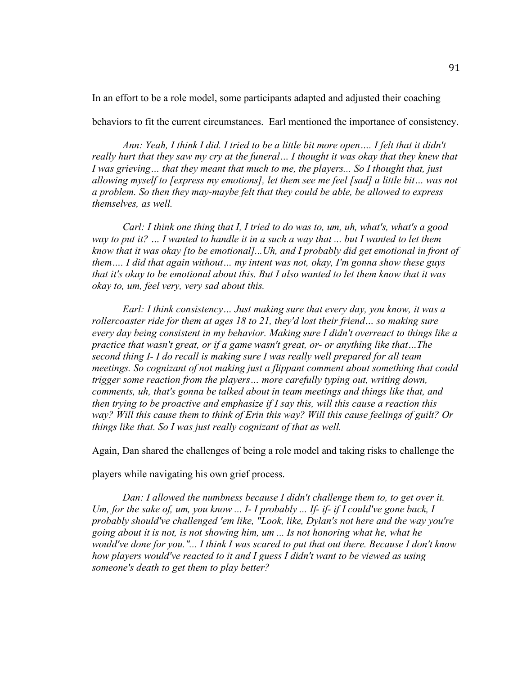In an effort to be a role model, some participants adapted and adjusted their coaching

behaviors to fit the current circumstances. Earl mentioned the importance of consistency.

*Ann: Yeah, I think I did. I tried to be a little bit more open…. I felt that it didn't*  really hurt that they saw my cry at the funeral... I thought it was okay that they knew that *I was grieving… that they meant that much to me, the players... So I thought that, just allowing myself to [express my emotions], let them see me feel [sad] a little bit… was not a problem. So then they may-maybe felt that they could be able, be allowed to express themselves, as well.*

*Carl: I think one thing that I, I tried to do was to, um, uh, what's, what's a good way to put it? … I wanted to handle it in a such a way that ... but I wanted to let them know that it was okay [to be emotional]...Uh, and I probably did get emotional in front of them…. I did that again without… my intent was not, okay, I'm gonna show these guys that it's okay to be emotional about this. But I also wanted to let them know that it was okay to, um, feel very, very sad about this.* 

*Earl: I think consistency… Just making sure that every day, you know, it was a rollercoaster ride for them at ages 18 to 21, they'd lost their friend… so making sure every day being consistent in my behavior. Making sure I didn't overreact to things like a practice that wasn't great, or if a game wasn't great, or- or anything like that…The second thing I- I do recall is making sure I was really well prepared for all team meetings. So cognizant of not making just a flippant comment about something that could trigger some reaction from the players… more carefully typing out, writing down, comments, uh, that's gonna be talked about in team meetings and things like that, and then trying to be proactive and emphasize if I say this, will this cause a reaction this way? Will this cause them to think of Erin this way? Will this cause feelings of guilt? Or things like that. So I was just really cognizant of that as well.*

Again, Dan shared the challenges of being a role model and taking risks to challenge the

players while navigating his own grief process.

*Dan: I allowed the numbness because I didn't challenge them to, to get over it. Um, for the sake of, um, you know ... I- I probably ... If- if- if I could've gone back, I probably should've challenged 'em like, "Look, like, Dylan's not here and the way you're going about it is not, is not showing him, um ... Is not honoring what he, what he would've done for you."... I think I was scared to put that out there. Because I don't know how players would've reacted to it and I guess I didn't want to be viewed as using someone's death to get them to play better?*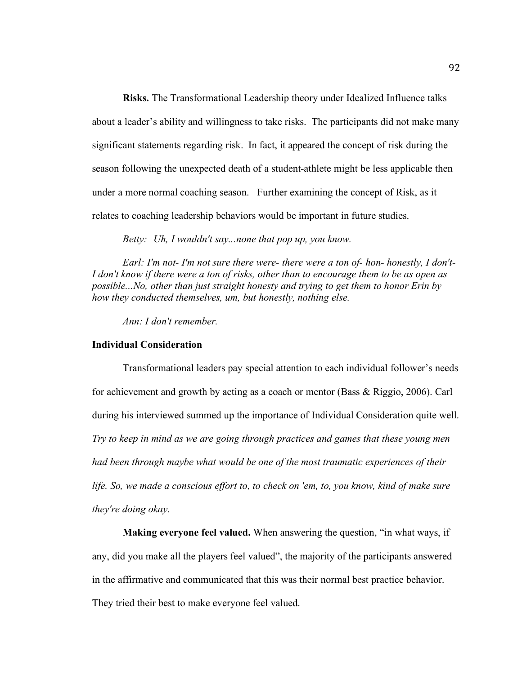**Risks.** The Transformational Leadership theory under Idealized Influence talks about a leader's ability and willingness to take risks. The participants did not make many significant statements regarding risk. In fact, it appeared the concept of risk during the season following the unexpected death of a student-athlete might be less applicable then under a more normal coaching season. Further examining the concept of Risk, as it relates to coaching leadership behaviors would be important in future studies.

*Betty: Uh, I wouldn't say...none that pop up, you know.*

*Earl: I'm not- I'm not sure there were- there were a ton of- hon- honestly, I don't-I don't know if there were a ton of risks, other than to encourage them to be as open as possible...No, other than just straight honesty and trying to get them to honor Erin by how they conducted themselves, um, but honestly, nothing else.* 

*Ann: I don't remember.*

### **Individual Consideration**

Transformational leaders pay special attention to each individual follower's needs for achievement and growth by acting as a coach or mentor (Bass & Riggio, 2006). Carl during his interviewed summed up the importance of Individual Consideration quite well. *Try to keep in mind as we are going through practices and games that these young men had been through maybe what would be one of the most traumatic experiences of their life. So, we made a conscious effort to, to check on 'em, to, you know, kind of make sure they're doing okay.*

**Making everyone feel valued.** When answering the question, "in what ways, if any, did you make all the players feel valued", the majority of the participants answered in the affirmative and communicated that this was their normal best practice behavior. They tried their best to make everyone feel valued.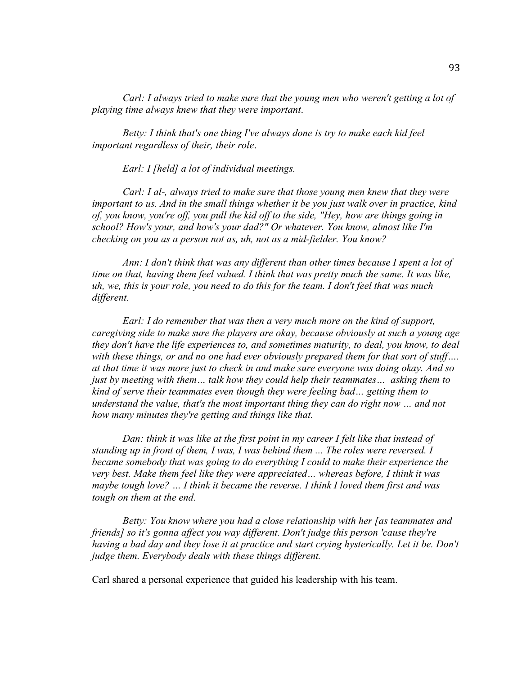*Carl: I always tried to make sure that the young men who weren't getting a lot of playing time always knew that they were important*.

*Betty: I think that's one thing I've always done is try to make each kid feel important regardless of their, their role*.

*Earl: I [held] a lot of individual meetings.*

*Carl: I al-, always tried to make sure that those young men knew that they were important to us. And in the small things whether it be you just walk over in practice, kind of, you know, you're off, you pull the kid off to the side, "Hey, how are things going in school? How's your, and how's your dad?" Or whatever. You know, almost like I'm checking on you as a person not as, uh, not as a mid-fielder. You know?*

*Ann: I don't think that was any different than other times because I spent a lot of time on that, having them feel valued. I think that was pretty much the same. It was like, uh, we, this is your role, you need to do this for the team. I don't feel that was much different.*

*Earl: I do remember that was then a very much more on the kind of support, caregiving side to make sure the players are okay, because obviously at such a young age they don't have the life experiences to, and sometimes maturity, to deal, you know, to deal with these things, or and no one had ever obviously prepared them for that sort of stuff…. at that time it was more just to check in and make sure everyone was doing okay. And so just by meeting with them… talk how they could help their teammates… asking them to kind of serve their teammates even though they were feeling bad… getting them to understand the value, that's the most important thing they can do right now … and not how many minutes they're getting and things like that.*

*Dan: think it was like at the first point in my career I felt like that instead of standing up in front of them, I was, I was behind them ... The roles were reversed. I became somebody that was going to do everything I could to make their experience the very best. Make them feel like they were appreciated… whereas before, I think it was maybe tough love? … I think it became the reverse. I think I loved them first and was tough on them at the end.*

*Betty: You know where you had a close relationship with her [as teammates and friends] so it's gonna affect you way different. Don't judge this person 'cause they're having a bad day and they lose it at practice and start crying hysterically. Let it be. Don't judge them. Everybody deals with these things different.*

Carl shared a personal experience that guided his leadership with his team.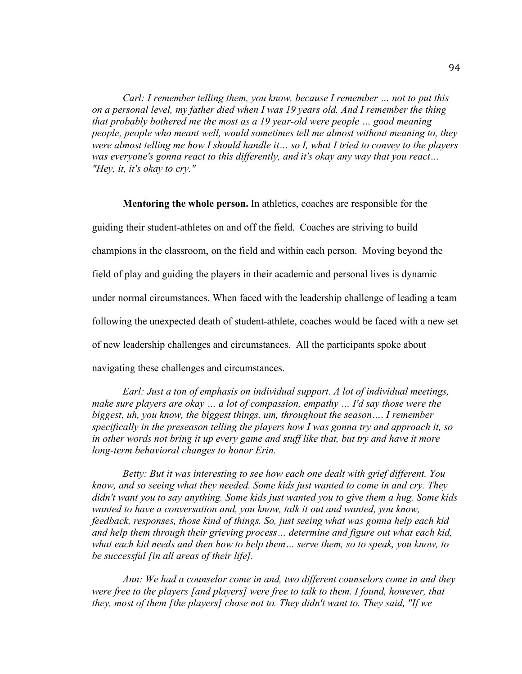*Carl: I remember telling them, you know, because I remember … not to put this on a personal level, my father died when I was 19 years old. And I remember the thing that probably bothered me the most as a 19 year-old were people … good meaning people, people who meant well, would sometimes tell me almost without meaning to, they were almost telling me how I should handle it… so I, what I tried to convey to the players was everyone's gonna react to this differently, and it's okay any way that you react… "Hey, it, it's okay to cry."*

**Mentoring the whole person.** In athletics, coaches are responsible for the guiding their student-athletes on and off the field. Coaches are striving to build champions in the classroom, on the field and within each person. Moving beyond the field of play and guiding the players in their academic and personal lives is dynamic under normal circumstances. When faced with the leadership challenge of leading a team following the unexpected death of student-athlete, coaches would be faced with a new set of new leadership challenges and circumstances. All the participants spoke about navigating these challenges and circumstances.

*Earl: Just a ton of emphasis on individual support. A lot of individual meetings, make sure players are okay … a lot of compassion, empathy … I'd say those were the biggest, uh, you know, the biggest things, um, throughout the season…*. *I remember specifically in the preseason telling the players how I was gonna try and approach it, so*  in other words not bring it up every game and stuff like that, but try and have it more *long-term behavioral changes to honor Erin.*

*Betty: But it was interesting to see how each one dealt with grief different. You know, and so seeing what they needed. Some kids just wanted to come in and cry. They didn't want you to say anything. Some kids just wanted you to give them a hug. Some kids wanted to have a conversation and, you know, talk it out and wanted, you know, feedback, responses, those kind of things. So, just seeing what was gonna help each kid and help them through their grieving process… determine and figure out what each kid, what each kid needs and then how to help them… serve them, so to speak, you know, to be successful [in all areas of their life].* 

*Ann: We had a counselor come in and, two different counselors come in and they were free to the players [and players] were free to talk to them. I found, however, that they, most of them [the players] chose not to. They didn't want to. They said, "If we*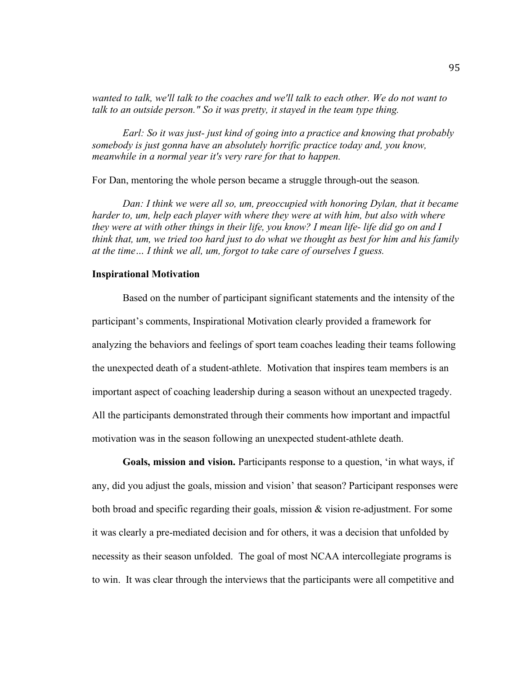*wanted to talk, we'll talk to the coaches and we'll talk to each other. We do not want to talk to an outside person." So it was pretty, it stayed in the team type thing.*

*Earl: So it was just- just kind of going into a practice and knowing that probably somebody is just gonna have an absolutely horrific practice today and, you know, meanwhile in a normal year it's very rare for that to happen.*

For Dan, mentoring the whole person became a struggle through-out the season*.*

*Dan: I think we were all so, um, preoccupied with honoring Dylan, that it became harder to, um, help each player with where they were at with him, but also with where they were at with other things in their life, you know? I mean life- life did go on and I think that, um, we tried too hard just to do what we thought as best for him and his family at the time… I think we all, um, forgot to take care of ourselves I guess.*

#### **Inspirational Motivation**

Based on the number of participant significant statements and the intensity of the participant's comments, Inspirational Motivation clearly provided a framework for analyzing the behaviors and feelings of sport team coaches leading their teams following the unexpected death of a student-athlete. Motivation that inspires team members is an important aspect of coaching leadership during a season without an unexpected tragedy. All the participants demonstrated through their comments how important and impactful motivation was in the season following an unexpected student-athlete death.

**Goals, mission and vision.** Participants response to a question, 'in what ways, if any, did you adjust the goals, mission and vision' that season? Participant responses were both broad and specific regarding their goals, mission & vision re-adjustment. For some it was clearly a pre-mediated decision and for others, it was a decision that unfolded by necessity as their season unfolded. The goal of most NCAA intercollegiate programs is to win. It was clear through the interviews that the participants were all competitive and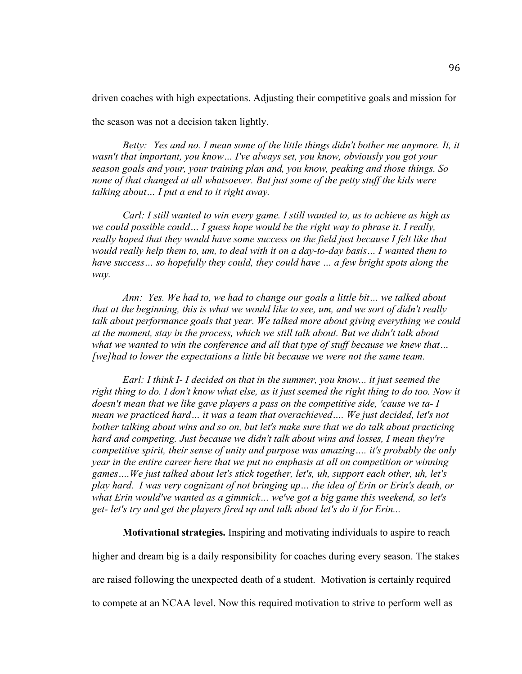driven coaches with high expectations. Adjusting their competitive goals and mission for

the season was not a decision taken lightly.

*Betty: Yes and no. I mean some of the little things didn't bother me anymore. It, it wasn't that important, you know… I've always set, you know, obviously you got your season goals and your, your training plan and, you know, peaking and those things. So none of that changed at all whatsoever. But just some of the petty stuff the kids were talking about… I put a end to it right away.*

*Carl: I still wanted to win every game. I still wanted to, us to achieve as high as we could possible could… I guess hope would be the right way to phrase it. I really,*  really hoped that they would have some success on the field just because I felt like that *would really help them to, um, to deal with it on a day-to-day basis… I wanted them to have success… so hopefully they could, they could have … a few bright spots along the way.* 

*Ann: Yes. We had to, we had to change our goals a little bit… we talked about that at the beginning, this is what we would like to see, um, and we sort of didn't really talk about performance goals that year. We talked more about giving everything we could at the moment, stay in the process, which we still talk about. But we didn't talk about what we wanted to win the conference and all that type of stuff because we knew that… [we]had to lower the expectations a little bit because we were not the same team.*

*Earl: I think I- I decided on that in the summer, you know... it just seemed the right thing to do. I don't know what else, as it just seemed the right thing to do too. Now it doesn't mean that we like gave players a pass on the competitive side, 'cause we ta- I mean we practiced hard… it was a team that overachieved…. We just decided, let's not bother talking about wins and so on, but let's make sure that we do talk about practicing hard and competing. Just because we didn't talk about wins and losses, I mean they're competitive spirit, their sense of unity and purpose was amazing…. it's probably the only year in the entire career here that we put no emphasis at all on competition or winning games….We just talked about let's stick together, let's, uh, support each other, uh, let's play hard. I was very cognizant of not bringing up… the idea of Erin or Erin's death, or what Erin would've wanted as a gimmick… we've got a big game this weekend, so let's get- let's try and get the players fired up and talk about let's do it for Erin...*

**Motivational strategies.** Inspiring and motivating individuals to aspire to reach

higher and dream big is a daily responsibility for coaches during every season. The stakes are raised following the unexpected death of a student. Motivation is certainly required to compete at an NCAA level. Now this required motivation to strive to perform well as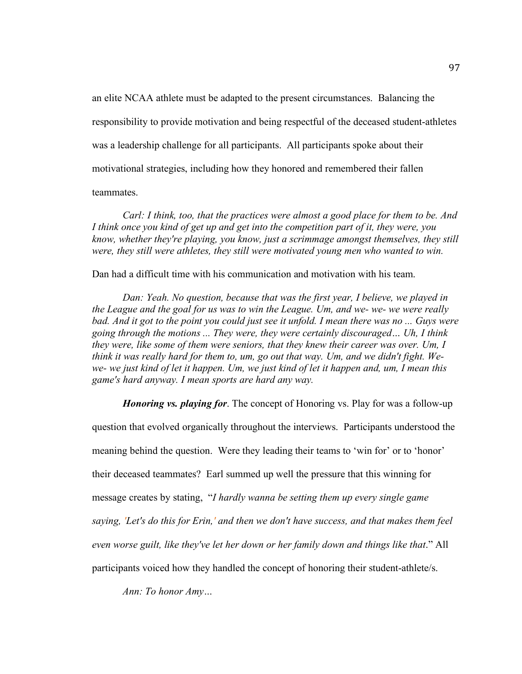an elite NCAA athlete must be adapted to the present circumstances. Balancing the responsibility to provide motivation and being respectful of the deceased student-athletes was a leadership challenge for all participants. All participants spoke about their motivational strategies, including how they honored and remembered their fallen

# teammates.

*Carl: I think, too, that the practices were almost a good place for them to be. And I think once you kind of get up and get into the competition part of it, they were, you know, whether they're playing, you know, just a scrimmage amongst themselves, they still were, they still were athletes, they still were motivated young men who wanted to win.*

Dan had a difficult time with his communication and motivation with his team.

*Dan: Yeah. No question, because that was the first year, I believe, we played in the League and the goal for us was to win the League. Um, and we- we- we were really bad. And it got to the point you could just see it unfold. I mean there was no ... Guys were going through the motions ... They were, they were certainly discouraged… Uh, I think they were, like some of them were seniors, that they knew their career was over. Um, I think it was really hard for them to, um, go out that way. Um, and we didn't fight. Wewe- we just kind of let it happen. Um, we just kind of let it happen and, um, I mean this game's hard anyway. I mean sports are hard any way.* 

*Honoring vs. playing for*. The concept of Honoring vs. Play for was a follow-up question that evolved organically throughout the interviews. Participants understood the meaning behind the question. Were they leading their teams to 'win for' or to 'honor' their deceased teammates? Earl summed up well the pressure that this winning for message creates by stating, "*I hardly wanna be setting them up every single game saying, 'Let's do this for Erin,' and then we don't have success, and that makes them feel even worse guilt, like they've let her down or her family down and things like that*." All participants voiced how they handled the concept of honoring their student-athlete/s.

*Ann: To honor Amy…*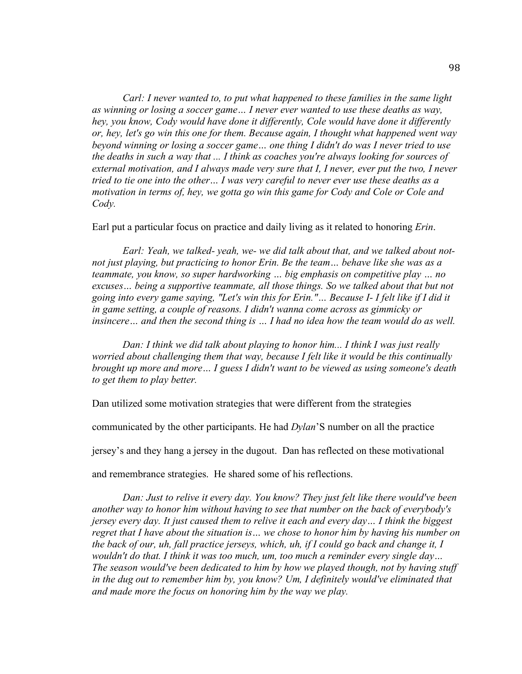*Carl: I never wanted to, to put what happened to these families in the same light as winning or losing a soccer game… I never ever wanted to use these deaths as way, hey, you know, Cody would have done it differently, Cole would have done it differently or, hey, let's go win this one for them. Because again, I thought what happened went way beyond winning or losing a soccer game… one thing I didn't do was I never tried to use the deaths in such a way that ... I think as coaches you're always looking for sources of external motivation, and I always made very sure that I, I never, ever put the two, I never tried to tie one into the other… I was very careful to never ever use these deaths as a motivation in terms of, hey, we gotta go win this game for Cody and Cole or Cole and Cody.*

Earl put a particular focus on practice and daily living as it related to honoring *Erin*.

*Earl: Yeah, we talked- yeah, we- we did talk about that, and we talked about notnot just playing, but practicing to honor Erin. Be the team… behave like she was as a teammate, you know, so super hardworking … big emphasis on competitive play … no excuses… being a supportive teammate, all those things. So we talked about that but not going into every game saying, "Let's win this for Erin."… Because I- I felt like if I did it in game setting, a couple of reasons. I didn't wanna come across as gimmicky or insincere… and then the second thing is … I had no idea how the team would do as well.*

*Dan: I think we did talk about playing to honor him... I think I was just really worried about challenging them that way, because I felt like it would be this continually brought up more and more… I guess I didn't want to be viewed as using someone's death to get them to play better.*

Dan utilized some motivation strategies that were different from the strategies

communicated by the other participants. He had *Dylan*'S number on all the practice

jersey's and they hang a jersey in the dugout. Dan has reflected on these motivational

and remembrance strategies. He shared some of his reflections.

*Dan: Just to relive it every day. You know? They just felt like there would've been another way to honor him without having to see that number on the back of everybody's jersey every day. It just caused them to relive it each and every day… I think the biggest regret that I have about the situation is… we chose to honor him by having his number on the back of our, uh, fall practice jerseys, which, uh, if I could go back and change it, I wouldn't do that. I think it was too much, um, too much a reminder every single day… The season would've been dedicated to him by how we played though, not by having stuff in the dug out to remember him by, you know? Um, I definitely would've eliminated that and made more the focus on honoring him by the way we play.*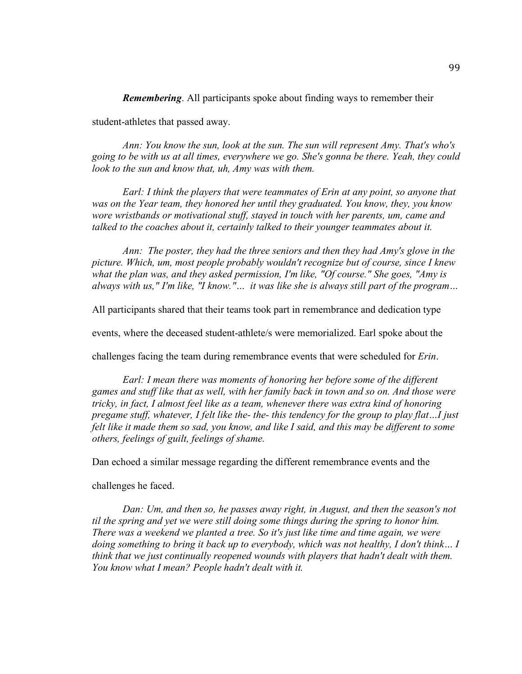*Remembering*. All participants spoke about finding ways to remember their

student-athletes that passed away.

*Ann: You know the sun, look at the sun. The sun will represent Amy. That's who's going to be with us at all times, everywhere we go. She's gonna be there. Yeah, they could look to the sun and know that, uh, Amy was with them.*

*Earl: I think the players that were teammates of Erin at any point, so anyone that was on the Year team, they honored her until they graduated. You know, they, you know wore wristbands or motivational stuff, stayed in touch with her parents, um, came and talked to the coaches about it, certainly talked to their younger teammates about it.*

*Ann: The poster, they had the three seniors and then they had Amy's glove in the picture. Which, um, most people probably wouldn't recognize but of course, since I knew what the plan was, and they asked permission, I'm like, "Of course." She goes, "Amy is always with us," I'm like, "I know."… it was like she is always still part of the program…*

All participants shared that their teams took part in remembrance and dedication type

events, where the deceased student-athlete/s were memorialized. Earl spoke about the

challenges facing the team during remembrance events that were scheduled for *Erin*.

*Earl: I mean there was moments of honoring her before some of the different games and stuff like that as well, with her family back in town and so on. And those were tricky, in fact, I almost feel like as a team, whenever there was extra kind of honoring pregame stuff, whatever, I felt like the- the- this tendency for the group to play flat…I just felt like it made them so sad, you know, and like I said, and this may be different to some others, feelings of guilt, feelings of shame.*

Dan echoed a similar message regarding the different remembrance events and the

challenges he faced.

*Dan: Um, and then so, he passes away right, in August, and then the season's not til the spring and yet we were still doing some things during the spring to honor him. There was a weekend we planted a tree. So it's just like time and time again, we were doing something to bring it back up to everybody, which was not healthy, I don't think… I think that we just continually reopened wounds with players that hadn't dealt with them. You know what I mean? People hadn't dealt with it.*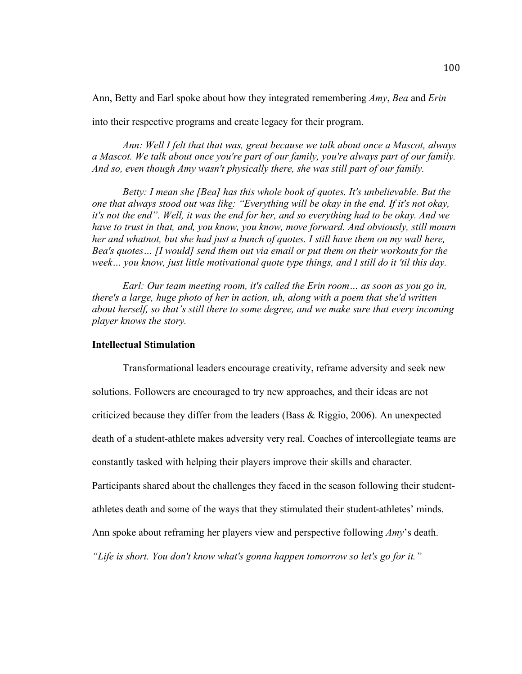Ann, Betty and Earl spoke about how they integrated remembering *Amy*, *Bea* and *Erin*

into their respective programs and create legacy for their program.

*Ann: Well I felt that that was, great because we talk about once a Mascot, always a Mascot. We talk about once you're part of our family, you're always part of our family. And so, even though Amy wasn't physically there, she was still part of our family.* 

*Betty: I mean she [Bea] has this whole book of quotes. It's unbelievable. But the one that always stood out was like: "Everything will be okay in the end. If it's not okay, it's not the end". Well, it was the end for her, and so everything had to be okay. And we have to trust in that, and, you know, you know, move forward. And obviously, still mourn her and whatnot, but she had just a bunch of quotes. I still have them on my wall here, Bea's quotes… [I would] send them out via email or put them on their workouts for the week… you know, just little motivational quote type things, and I still do it 'til this day.*

*Earl: Our team meeting room, it's called the Erin room… as soon as you go in, there's a large, huge photo of her in action, uh, along with a poem that she'd written about herself, so that's still there to some degree, and we make sure that every incoming player knows the story.* 

### **Intellectual Stimulation**

Transformational leaders encourage creativity, reframe adversity and seek new solutions. Followers are encouraged to try new approaches, and their ideas are not criticized because they differ from the leaders (Bass & Riggio, 2006). An unexpected death of a student-athlete makes adversity very real. Coaches of intercollegiate teams are constantly tasked with helping their players improve their skills and character. Participants shared about the challenges they faced in the season following their studentathletes death and some of the ways that they stimulated their student-athletes' minds. Ann spoke about reframing her players view and perspective following *Amy*'s death. *"Life is short. You don't know what's gonna happen tomorrow so let's go for it."*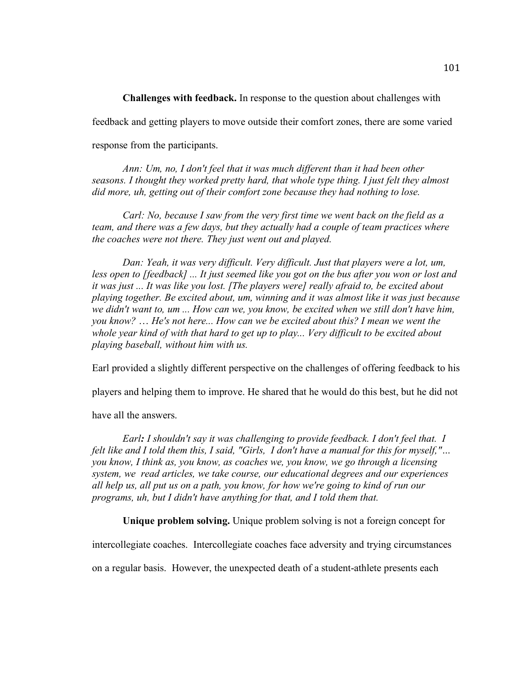**Challenges with feedback.** In response to the question about challenges with feedback and getting players to move outside their comfort zones, there are some varied response from the participants.

*Ann: Um, no, I don't feel that it was much different than it had been other seasons. I thought they worked pretty hard, that whole type thing. I just felt they almost did more, uh, getting out of their comfort zone because they had nothing to lose.*

*Carl: No, because I saw from the very first time we went back on the field as a team, and there was a few days, but they actually had a couple of team practices where the coaches were not there. They just went out and played.*

*Dan: Yeah, it was very difficult. Very difficult. Just that players were a lot, um, less open to [feedback] ... It just seemed like you got on the bus after you won or lost and it was just ... It was like you lost. [The players were] really afraid to, be excited about playing together. Be excited about, um, winning and it was almost like it was just because we didn't want to, um ... How can we, you know, be excited when we still don't have him, you know?* … *He's not here... How can we be excited about this? I mean we went the whole year kind of with that hard to get up to play... Very difficult to be excited about playing baseball, without him with us.* 

Earl provided a slightly different perspective on the challenges of offering feedback to his

players and helping them to improve. He shared that he would do this best, but he did not

have all the answers.

*Earl: I shouldn't say it was challenging to provide feedback. I don't feel that. I felt like and I told them this, I said, "Girls, I don't have a manual for this for myself,"… you know, I think as, you know, as coaches we, you know, we go through a licensing system, we read articles, we take course, our educational degrees and our experiences all help us, all put us on a path, you know, for how we're going to kind of run our programs, uh, but I didn't have anything for that, and I told them that.*

**Unique problem solving.** Unique problem solving is not a foreign concept for

intercollegiate coaches. Intercollegiate coaches face adversity and trying circumstances

on a regular basis. However, the unexpected death of a student-athlete presents each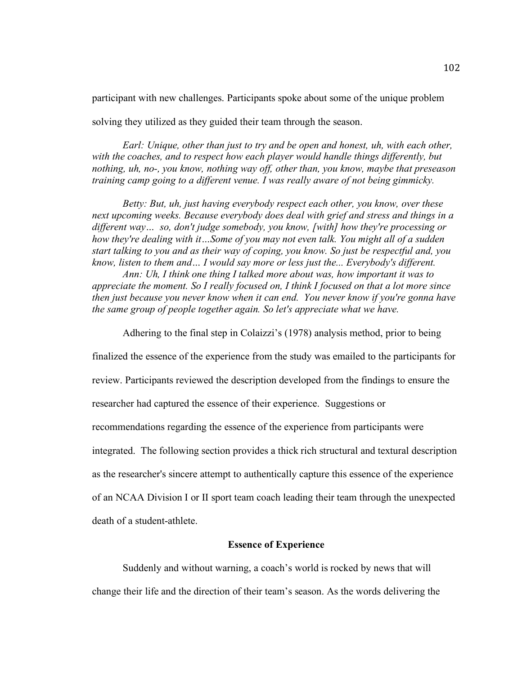participant with new challenges. Participants spoke about some of the unique problem

solving they utilized as they guided their team through the season.

*Earl: Unique, other than just to try and be open and honest, uh, with each other,* with the coaches, and to respect how each player would handle things differently, but *nothing, uh, no-, you know, nothing way off, other than, you know, maybe that preseason training camp going to a different venue. I was really aware of not being gimmicky.*

*Betty: But, uh, just having everybody respect each other, you know, over these next upcoming weeks. Because everybody does deal with grief and stress and things in a different way… so, don't judge somebody, you know, [with] how they're processing or how they're dealing with it…Some of you may not even talk. You might all of a sudden start talking to you and as their way of coping, you know. So just be respectful and, you know, listen to them and… I would say more or less just the... Everybody's different.* 

*Ann: Uh, I think one thing I talked more about was, how important it was to appreciate the moment. So I really focused on, I think I focused on that a lot more since then just because you never know when it can end. You never know if you're gonna have the same group of people together again. So let's appreciate what we have.* 

Adhering to the final step in Colaizzi's (1978) analysis method, prior to being

finalized the essence of the experience from the study was emailed to the participants for

review. Participants reviewed the description developed from the findings to ensure the

researcher had captured the essence of their experience. Suggestions or

recommendations regarding the essence of the experience from participants were

integrated. The following section provides a thick rich structural and textural description

as the researcher's sincere attempt to authentically capture this essence of the experience

of an NCAA Division I or II sport team coach leading their team through the unexpected

death of a student-athlete.

### **Essence of Experience**

Suddenly and without warning, a coach's world is rocked by news that will change their life and the direction of their team's season. As the words delivering the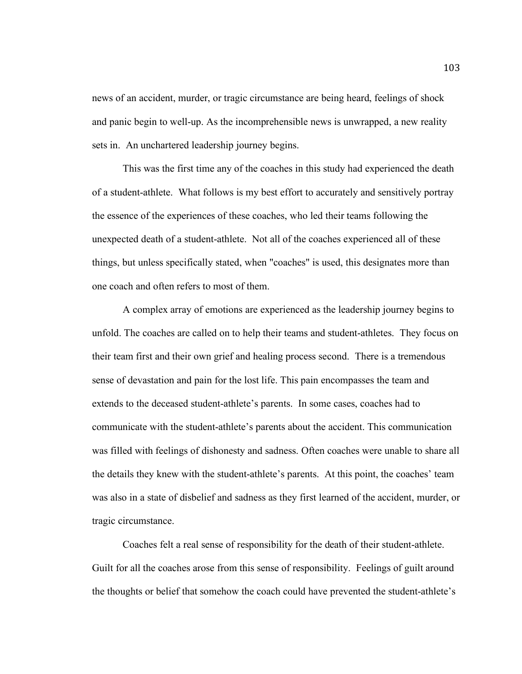news of an accident, murder, or tragic circumstance are being heard, feelings of shock and panic begin to well-up. As the incomprehensible news is unwrapped, a new reality sets in. An unchartered leadership journey begins.

This was the first time any of the coaches in this study had experienced the death of a student-athlete. What follows is my best effort to accurately and sensitively portray the essence of the experiences of these coaches, who led their teams following the unexpected death of a student-athlete. Not all of the coaches experienced all of these things, but unless specifically stated, when "coaches" is used, this designates more than one coach and often refers to most of them.

A complex array of emotions are experienced as the leadership journey begins to unfold. The coaches are called on to help their teams and student-athletes. They focus on their team first and their own grief and healing process second. There is a tremendous sense of devastation and pain for the lost life. This pain encompasses the team and extends to the deceased student-athlete's parents. In some cases, coaches had to communicate with the student-athlete's parents about the accident. This communication was filled with feelings of dishonesty and sadness. Often coaches were unable to share all the details they knew with the student-athlete's parents. At this point, the coaches' team was also in a state of disbelief and sadness as they first learned of the accident, murder, or tragic circumstance.

Coaches felt a real sense of responsibility for the death of their student-athlete. Guilt for all the coaches arose from this sense of responsibility. Feelings of guilt around the thoughts or belief that somehow the coach could have prevented the student-athlete's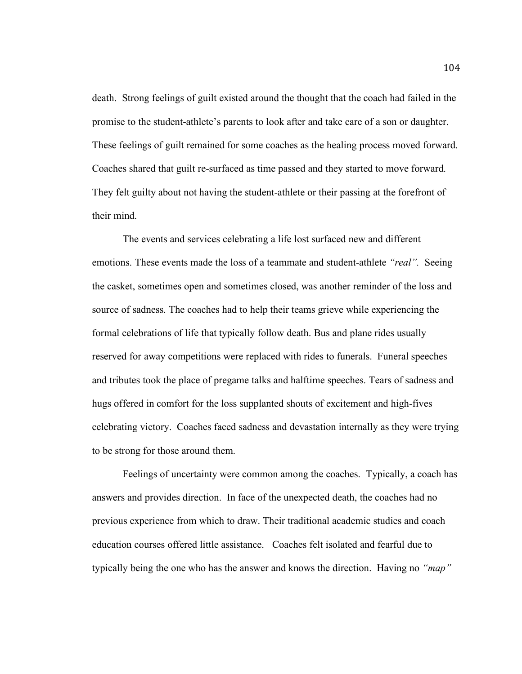death. Strong feelings of guilt existed around the thought that the coach had failed in the promise to the student-athlete's parents to look after and take care of a son or daughter. These feelings of guilt remained for some coaches as the healing process moved forward. Coaches shared that guilt re-surfaced as time passed and they started to move forward. They felt guilty about not having the student-athlete or their passing at the forefront of their mind.

The events and services celebrating a life lost surfaced new and different emotions. These events made the loss of a teammate and student-athlete *"real"*. Seeing the casket, sometimes open and sometimes closed, was another reminder of the loss and source of sadness. The coaches had to help their teams grieve while experiencing the formal celebrations of life that typically follow death. Bus and plane rides usually reserved for away competitions were replaced with rides to funerals. Funeral speeches and tributes took the place of pregame talks and halftime speeches. Tears of sadness and hugs offered in comfort for the loss supplanted shouts of excitement and high-fives celebrating victory. Coaches faced sadness and devastation internally as they were trying to be strong for those around them.

Feelings of uncertainty were common among the coaches. Typically, a coach has answers and provides direction. In face of the unexpected death, the coaches had no previous experience from which to draw. Their traditional academic studies and coach education courses offered little assistance. Coaches felt isolated and fearful due to typically being the one who has the answer and knows the direction. Having no *"map"*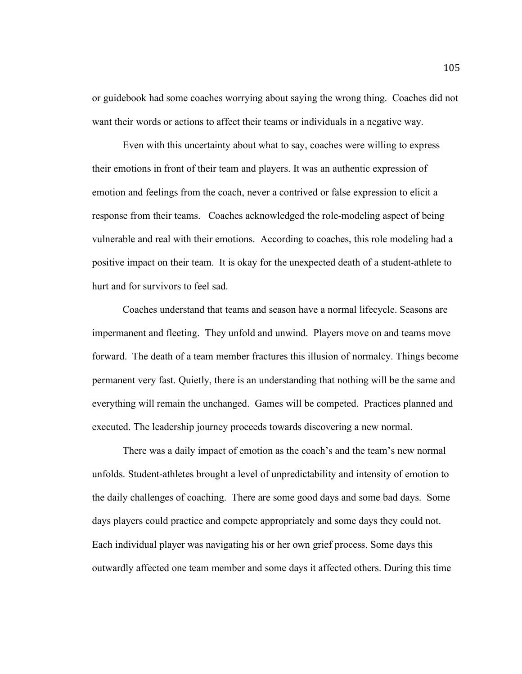or guidebook had some coaches worrying about saying the wrong thing. Coaches did not want their words or actions to affect their teams or individuals in a negative way.

Even with this uncertainty about what to say, coaches were willing to express their emotions in front of their team and players. It was an authentic expression of emotion and feelings from the coach, never a contrived or false expression to elicit a response from their teams. Coaches acknowledged the role-modeling aspect of being vulnerable and real with their emotions. According to coaches, this role modeling had a positive impact on their team. It is okay for the unexpected death of a student-athlete to hurt and for survivors to feel sad.

Coaches understand that teams and season have a normal lifecycle. Seasons are impermanent and fleeting. They unfold and unwind. Players move on and teams move forward. The death of a team member fractures this illusion of normalcy. Things become permanent very fast. Quietly, there is an understanding that nothing will be the same and everything will remain the unchanged. Games will be competed. Practices planned and executed. The leadership journey proceeds towards discovering a new normal.

There was a daily impact of emotion as the coach's and the team's new normal unfolds. Student-athletes brought a level of unpredictability and intensity of emotion to the daily challenges of coaching. There are some good days and some bad days. Some days players could practice and compete appropriately and some days they could not. Each individual player was navigating his or her own grief process. Some days this outwardly affected one team member and some days it affected others. During this time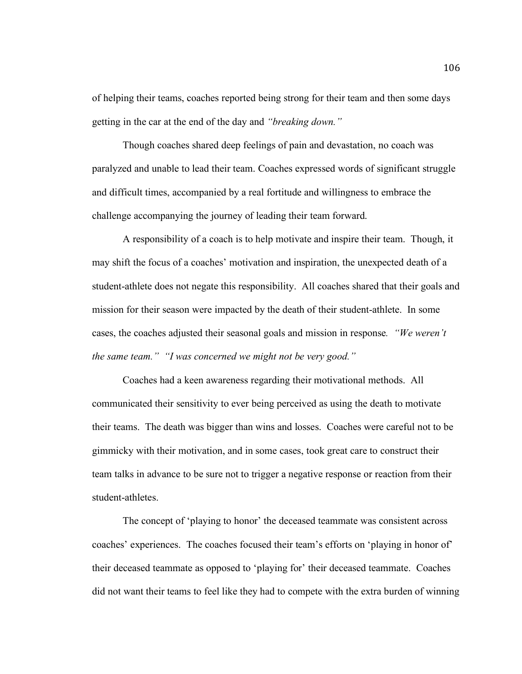of helping their teams, coaches reported being strong for their team and then some days getting in the car at the end of the day and *"breaking down."*

Though coaches shared deep feelings of pain and devastation, no coach was paralyzed and unable to lead their team. Coaches expressed words of significant struggle and difficult times, accompanied by a real fortitude and willingness to embrace the challenge accompanying the journey of leading their team forward.

A responsibility of a coach is to help motivate and inspire their team. Though, it may shift the focus of a coaches' motivation and inspiration, the unexpected death of a student-athlete does not negate this responsibility. All coaches shared that their goals and mission for their season were impacted by the death of their student-athlete. In some cases, the coaches adjusted their seasonal goals and mission in response*. "We weren't the same team." "I was concerned we might not be very good."* 

Coaches had a keen awareness regarding their motivational methods. All communicated their sensitivity to ever being perceived as using the death to motivate their teams. The death was bigger than wins and losses. Coaches were careful not to be gimmicky with their motivation, and in some cases, took great care to construct their team talks in advance to be sure not to trigger a negative response or reaction from their student-athletes.

The concept of 'playing to honor' the deceased teammate was consistent across coaches' experiences. The coaches focused their team's efforts on 'playing in honor of' their deceased teammate as opposed to 'playing for' their deceased teammate. Coaches did not want their teams to feel like they had to compete with the extra burden of winning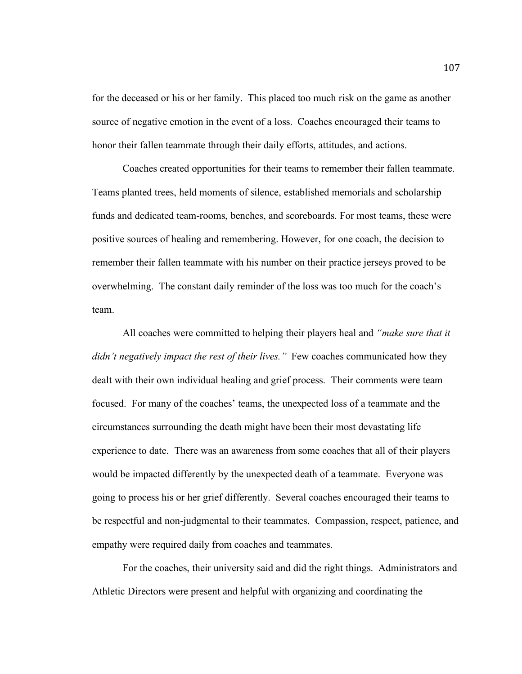for the deceased or his or her family. This placed too much risk on the game as another source of negative emotion in the event of a loss. Coaches encouraged their teams to honor their fallen teammate through their daily efforts, attitudes, and actions.

Coaches created opportunities for their teams to remember their fallen teammate. Teams planted trees, held moments of silence, established memorials and scholarship funds and dedicated team-rooms, benches, and scoreboards. For most teams, these were positive sources of healing and remembering. However, for one coach, the decision to remember their fallen teammate with his number on their practice jerseys proved to be overwhelming. The constant daily reminder of the loss was too much for the coach's team.

All coaches were committed to helping their players heal and *"make sure that it didn't negatively impact the rest of their lives.*" Few coaches communicated how they dealt with their own individual healing and grief process. Their comments were team focused. For many of the coaches' teams, the unexpected loss of a teammate and the circumstances surrounding the death might have been their most devastating life experience to date. There was an awareness from some coaches that all of their players would be impacted differently by the unexpected death of a teammate. Everyone was going to process his or her grief differently. Several coaches encouraged their teams to be respectful and non-judgmental to their teammates. Compassion, respect, patience, and empathy were required daily from coaches and teammates.

For the coaches, their university said and did the right things. Administrators and Athletic Directors were present and helpful with organizing and coordinating the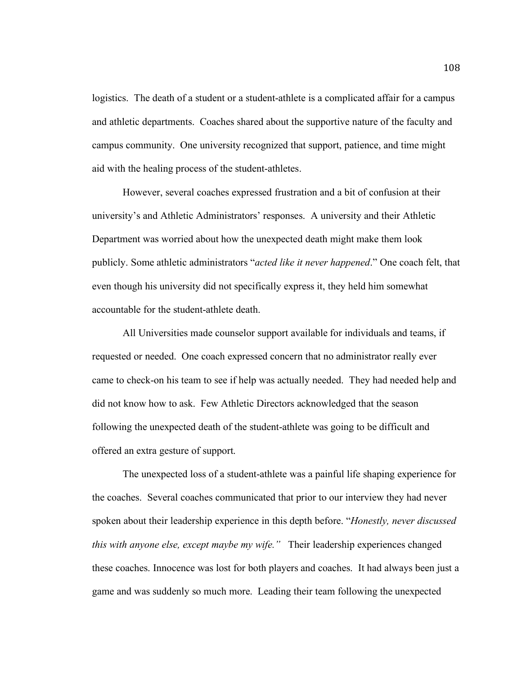logistics. The death of a student or a student-athlete is a complicated affair for a campus and athletic departments. Coaches shared about the supportive nature of the faculty and campus community. One university recognized that support, patience, and time might aid with the healing process of the student-athletes.

However, several coaches expressed frustration and a bit of confusion at their university's and Athletic Administrators' responses. A university and their Athletic Department was worried about how the unexpected death might make them look publicly. Some athletic administrators "*acted like it never happened*." One coach felt, that even though his university did not specifically express it, they held him somewhat accountable for the student-athlete death.

All Universities made counselor support available for individuals and teams, if requested or needed. One coach expressed concern that no administrator really ever came to check-on his team to see if help was actually needed. They had needed help and did not know how to ask. Few Athletic Directors acknowledged that the season following the unexpected death of the student-athlete was going to be difficult and offered an extra gesture of support.

The unexpected loss of a student-athlete was a painful life shaping experience for the coaches. Several coaches communicated that prior to our interview they had never spoken about their leadership experience in this depth before. "*Honestly, never discussed this with anyone else, except maybe my wife."* Their leadership experiences changed these coaches. Innocence was lost for both players and coaches. It had always been just a game and was suddenly so much more. Leading their team following the unexpected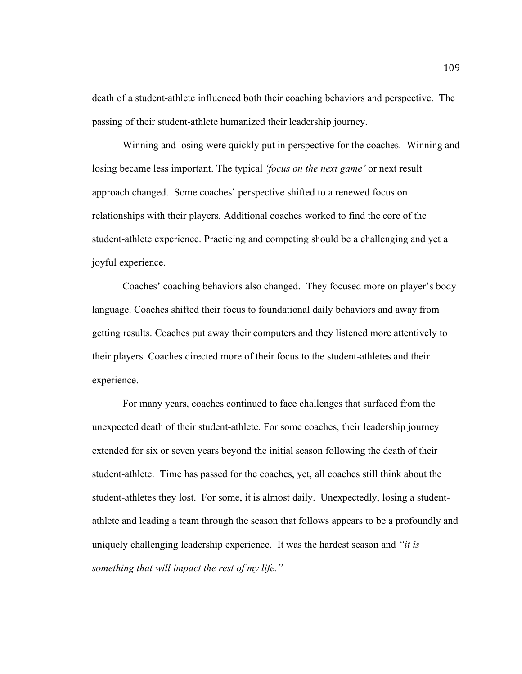death of a student-athlete influenced both their coaching behaviors and perspective. The passing of their student-athlete humanized their leadership journey.

Winning and losing were quickly put in perspective for the coaches. Winning and losing became less important. The typical *'focus on the next game'* or next result approach changed. Some coaches' perspective shifted to a renewed focus on relationships with their players. Additional coaches worked to find the core of the student-athlete experience. Practicing and competing should be a challenging and yet a joyful experience.

Coaches' coaching behaviors also changed. They focused more on player's body language. Coaches shifted their focus to foundational daily behaviors and away from getting results. Coaches put away their computers and they listened more attentively to their players. Coaches directed more of their focus to the student-athletes and their experience.

For many years, coaches continued to face challenges that surfaced from the unexpected death of their student-athlete. For some coaches, their leadership journey extended for six or seven years beyond the initial season following the death of their student-athlete. Time has passed for the coaches, yet, all coaches still think about the student-athletes they lost. For some, it is almost daily. Unexpectedly, losing a studentathlete and leading a team through the season that follows appears to be a profoundly and uniquely challenging leadership experience. It was the hardest season and *"it is something that will impact the rest of my life."*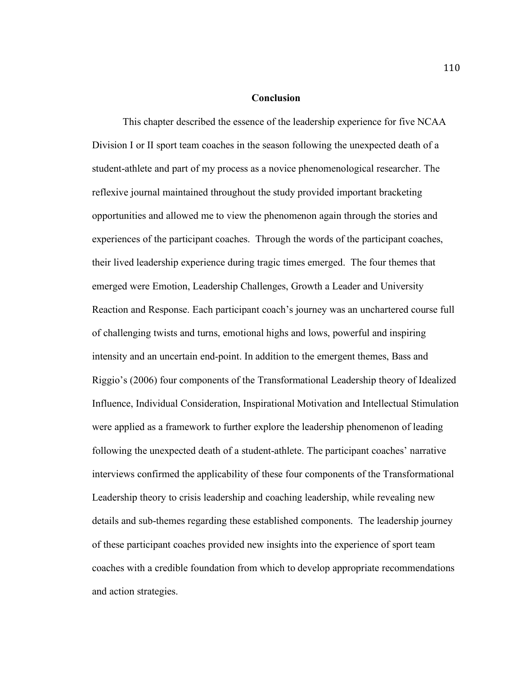### **Conclusion**

This chapter described the essence of the leadership experience for five NCAA Division I or II sport team coaches in the season following the unexpected death of a student-athlete and part of my process as a novice phenomenological researcher. The reflexive journal maintained throughout the study provided important bracketing opportunities and allowed me to view the phenomenon again through the stories and experiences of the participant coaches. Through the words of the participant coaches, their lived leadership experience during tragic times emerged. The four themes that emerged were Emotion, Leadership Challenges, Growth a Leader and University Reaction and Response. Each participant coach's journey was an unchartered course full of challenging twists and turns, emotional highs and lows, powerful and inspiring intensity and an uncertain end-point. In addition to the emergent themes, Bass and Riggio's (2006) four components of the Transformational Leadership theory of Idealized Influence, Individual Consideration, Inspirational Motivation and Intellectual Stimulation were applied as a framework to further explore the leadership phenomenon of leading following the unexpected death of a student-athlete. The participant coaches' narrative interviews confirmed the applicability of these four components of the Transformational Leadership theory to crisis leadership and coaching leadership, while revealing new details and sub-themes regarding these established components. The leadership journey of these participant coaches provided new insights into the experience of sport team coaches with a credible foundation from which to develop appropriate recommendations and action strategies.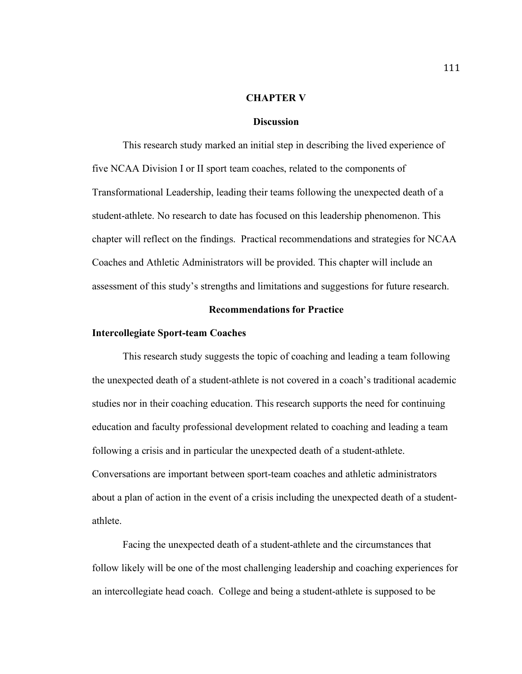#### **CHAPTER V**

### **Discussion**

This research study marked an initial step in describing the lived experience of five NCAA Division I or II sport team coaches, related to the components of Transformational Leadership, leading their teams following the unexpected death of a student-athlete. No research to date has focused on this leadership phenomenon. This chapter will reflect on the findings. Practical recommendations and strategies for NCAA Coaches and Athletic Administrators will be provided. This chapter will include an assessment of this study's strengths and limitations and suggestions for future research.

# **Recommendations for Practice**

### **Intercollegiate Sport-team Coaches**

This research study suggests the topic of coaching and leading a team following the unexpected death of a student-athlete is not covered in a coach's traditional academic studies nor in their coaching education. This research supports the need for continuing education and faculty professional development related to coaching and leading a team following a crisis and in particular the unexpected death of a student-athlete. Conversations are important between sport-team coaches and athletic administrators about a plan of action in the event of a crisis including the unexpected death of a studentathlete.

Facing the unexpected death of a student-athlete and the circumstances that follow likely will be one of the most challenging leadership and coaching experiences for an intercollegiate head coach. College and being a student-athlete is supposed to be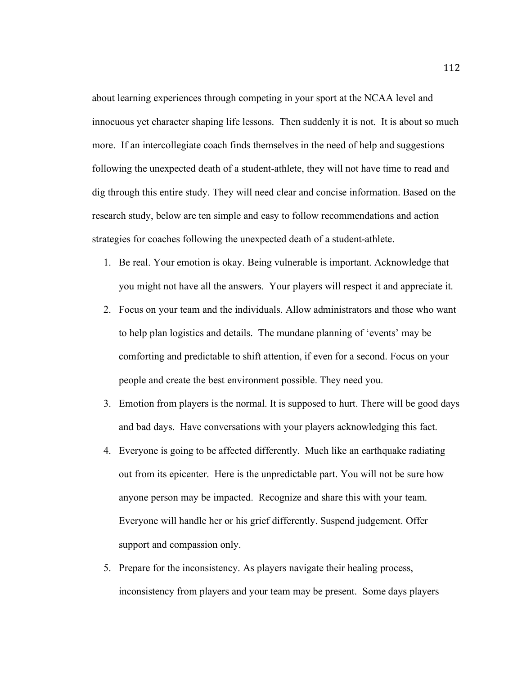about learning experiences through competing in your sport at the NCAA level and innocuous yet character shaping life lessons. Then suddenly it is not. It is about so much more. If an intercollegiate coach finds themselves in the need of help and suggestions following the unexpected death of a student-athlete, they will not have time to read and dig through this entire study. They will need clear and concise information. Based on the research study, below are ten simple and easy to follow recommendations and action strategies for coaches following the unexpected death of a student-athlete.

- 1. Be real. Your emotion is okay. Being vulnerable is important. Acknowledge that you might not have all the answers. Your players will respect it and appreciate it.
- 2. Focus on your team and the individuals. Allow administrators and those who want to help plan logistics and details. The mundane planning of 'events' may be comforting and predictable to shift attention, if even for a second. Focus on your people and create the best environment possible. They need you.
- 3. Emotion from players is the normal. It is supposed to hurt. There will be good days and bad days. Have conversations with your players acknowledging this fact.
- 4. Everyone is going to be affected differently. Much like an earthquake radiating out from its epicenter. Here is the unpredictable part. You will not be sure how anyone person may be impacted. Recognize and share this with your team. Everyone will handle her or his grief differently. Suspend judgement. Offer support and compassion only.
- 5. Prepare for the inconsistency. As players navigate their healing process, inconsistency from players and your team may be present. Some days players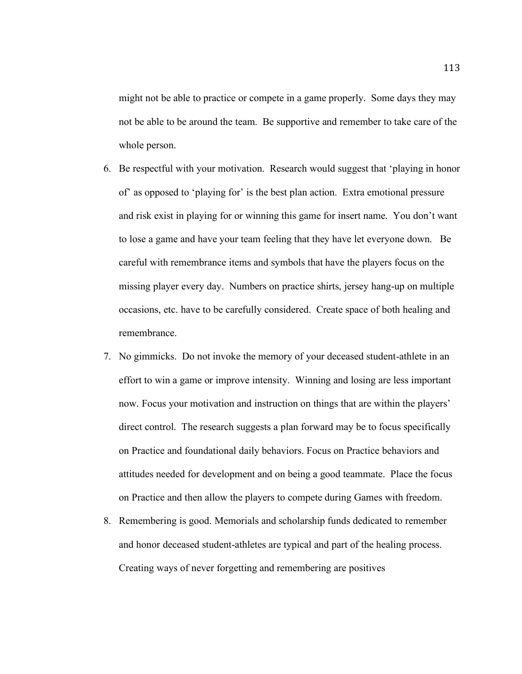might not be able to practice or compete in a game properly. Some days they may not be able to be around the team. Be supportive and remember to take care of the whole person.

- 6. Be respectful with your motivation. Research would suggest that 'playing in honor of' as opposed to 'playing for' is the best plan action. Extra emotional pressure and risk exist in playing for or winning this game for insert name. You don't want to lose a game and have your team feeling that they have let everyone down. Be careful with remembrance items and symbols that have the players focus on the missing player every day. Numbers on practice shirts, jersey hang-up on multiple occasions, etc. have to be carefully considered. Create space of both healing and remembrance.
- 7. No gimmicks. Do not invoke the memory of your deceased student-athlete in an effort to win a game or improve intensity. Winning and losing are less important now. Focus your motivation and instruction on things that are within the players' direct control. The research suggests a plan forward may be to focus specifically on Practice and foundational daily behaviors. Focus on Practice behaviors and attitudes needed for development and on being a good teammate. Place the focus on Practice and then allow the players to compete during Games with freedom.
- 8. Remembering is good. Memorials and scholarship funds dedicated to remember and honor deceased student-athletes are typical and part of the healing process. Creating ways of never forgetting and remembering are positives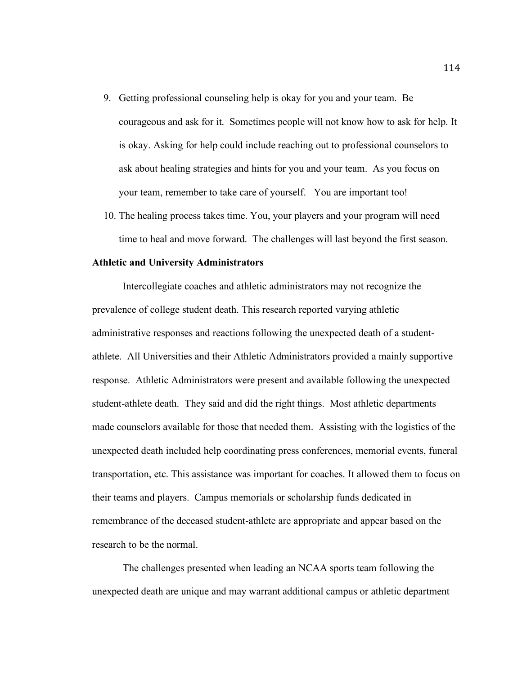- 9. Getting professional counseling help is okay for you and your team. Be courageous and ask for it. Sometimes people will not know how to ask for help. It is okay. Asking for help could include reaching out to professional counselors to ask about healing strategies and hints for you and your team. As you focus on your team, remember to take care of yourself. You are important too!
- 10. The healing process takes time. You, your players and your program will need time to heal and move forward. The challenges will last beyond the first season.

### **Athletic and University Administrators**

Intercollegiate coaches and athletic administrators may not recognize the prevalence of college student death. This research reported varying athletic administrative responses and reactions following the unexpected death of a studentathlete. All Universities and their Athletic Administrators provided a mainly supportive response. Athletic Administrators were present and available following the unexpected student-athlete death. They said and did the right things. Most athletic departments made counselors available for those that needed them. Assisting with the logistics of the unexpected death included help coordinating press conferences, memorial events, funeral transportation, etc. This assistance was important for coaches. It allowed them to focus on their teams and players. Campus memorials or scholarship funds dedicated in remembrance of the deceased student-athlete are appropriate and appear based on the research to be the normal.

The challenges presented when leading an NCAA sports team following the unexpected death are unique and may warrant additional campus or athletic department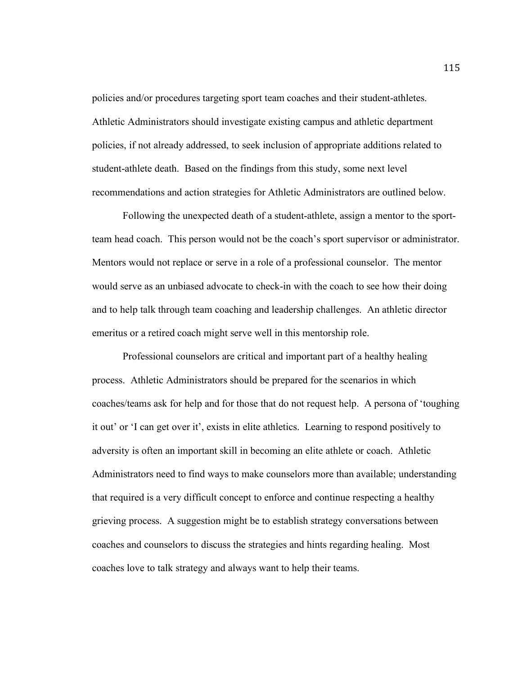policies and/or procedures targeting sport team coaches and their student-athletes. Athletic Administrators should investigate existing campus and athletic department policies, if not already addressed, to seek inclusion of appropriate additions related to student-athlete death. Based on the findings from this study, some next level recommendations and action strategies for Athletic Administrators are outlined below.

Following the unexpected death of a student-athlete, assign a mentor to the sportteam head coach. This person would not be the coach's sport supervisor or administrator. Mentors would not replace or serve in a role of a professional counselor. The mentor would serve as an unbiased advocate to check-in with the coach to see how their doing and to help talk through team coaching and leadership challenges. An athletic director emeritus or a retired coach might serve well in this mentorship role.

Professional counselors are critical and important part of a healthy healing process. Athletic Administrators should be prepared for the scenarios in which coaches/teams ask for help and for those that do not request help. A persona of 'toughing it out' or 'I can get over it', exists in elite athletics. Learning to respond positively to adversity is often an important skill in becoming an elite athlete or coach. Athletic Administrators need to find ways to make counselors more than available; understanding that required is a very difficult concept to enforce and continue respecting a healthy grieving process. A suggestion might be to establish strategy conversations between coaches and counselors to discuss the strategies and hints regarding healing. Most coaches love to talk strategy and always want to help their teams.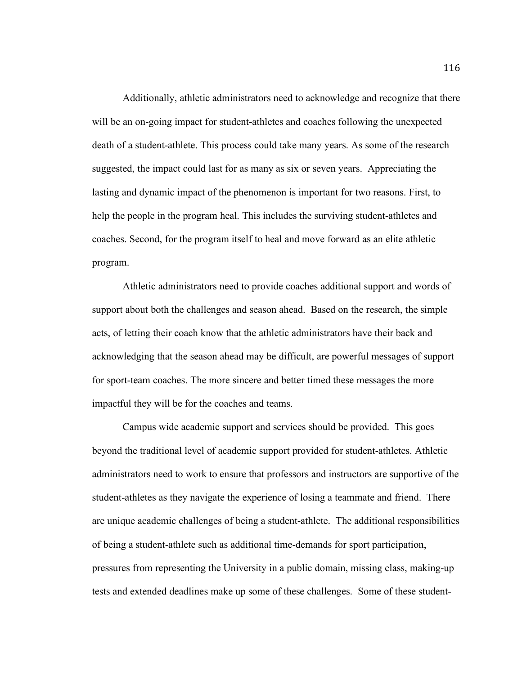Additionally, athletic administrators need to acknowledge and recognize that there will be an on-going impact for student-athletes and coaches following the unexpected death of a student-athlete. This process could take many years. As some of the research suggested, the impact could last for as many as six or seven years. Appreciating the lasting and dynamic impact of the phenomenon is important for two reasons. First, to help the people in the program heal. This includes the surviving student-athletes and coaches. Second, for the program itself to heal and move forward as an elite athletic program.

Athletic administrators need to provide coaches additional support and words of support about both the challenges and season ahead. Based on the research, the simple acts, of letting their coach know that the athletic administrators have their back and acknowledging that the season ahead may be difficult, are powerful messages of support for sport-team coaches. The more sincere and better timed these messages the more impactful they will be for the coaches and teams.

Campus wide academic support and services should be provided. This goes beyond the traditional level of academic support provided for student-athletes. Athletic administrators need to work to ensure that professors and instructors are supportive of the student-athletes as they navigate the experience of losing a teammate and friend. There are unique academic challenges of being a student-athlete. The additional responsibilities of being a student-athlete such as additional time-demands for sport participation, pressures from representing the University in a public domain, missing class, making-up tests and extended deadlines make up some of these challenges. Some of these student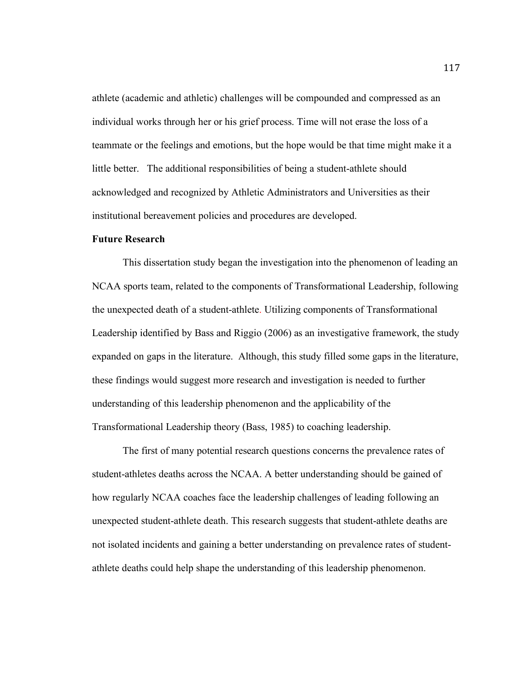athlete (academic and athletic) challenges will be compounded and compressed as an individual works through her or his grief process. Time will not erase the loss of a teammate or the feelings and emotions, but the hope would be that time might make it a little better. The additional responsibilities of being a student-athlete should acknowledged and recognized by Athletic Administrators and Universities as their institutional bereavement policies and procedures are developed.

## **Future Research**

This dissertation study began the investigation into the phenomenon of leading an NCAA sports team, related to the components of Transformational Leadership, following the unexpected death of a student-athlete. Utilizing components of Transformational Leadership identified by Bass and Riggio (2006) as an investigative framework, the study expanded on gaps in the literature. Although, this study filled some gaps in the literature, these findings would suggest more research and investigation is needed to further understanding of this leadership phenomenon and the applicability of the Transformational Leadership theory (Bass, 1985) to coaching leadership.

The first of many potential research questions concerns the prevalence rates of student-athletes deaths across the NCAA. A better understanding should be gained of how regularly NCAA coaches face the leadership challenges of leading following an unexpected student-athlete death. This research suggests that student-athlete deaths are not isolated incidents and gaining a better understanding on prevalence rates of studentathlete deaths could help shape the understanding of this leadership phenomenon.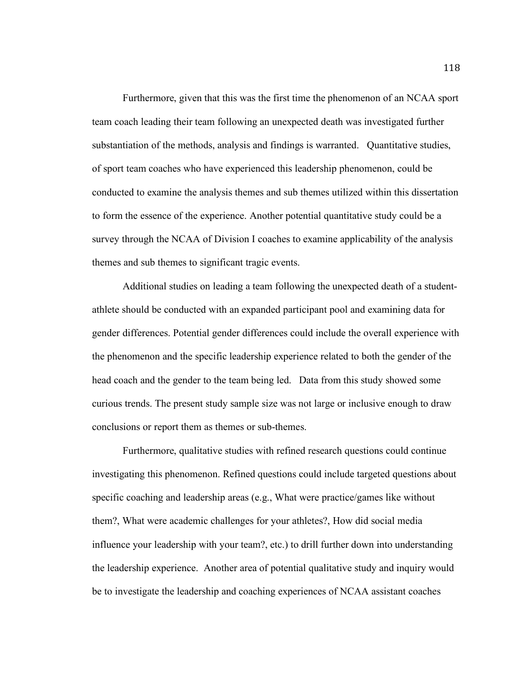Furthermore, given that this was the first time the phenomenon of an NCAA sport team coach leading their team following an unexpected death was investigated further substantiation of the methods, analysis and findings is warranted. Quantitative studies, of sport team coaches who have experienced this leadership phenomenon, could be conducted to examine the analysis themes and sub themes utilized within this dissertation to form the essence of the experience. Another potential quantitative study could be a survey through the NCAA of Division I coaches to examine applicability of the analysis themes and sub themes to significant tragic events.

Additional studies on leading a team following the unexpected death of a studentathlete should be conducted with an expanded participant pool and examining data for gender differences. Potential gender differences could include the overall experience with the phenomenon and the specific leadership experience related to both the gender of the head coach and the gender to the team being led. Data from this study showed some curious trends. The present study sample size was not large or inclusive enough to draw conclusions or report them as themes or sub-themes.

Furthermore, qualitative studies with refined research questions could continue investigating this phenomenon. Refined questions could include targeted questions about specific coaching and leadership areas (e.g., What were practice/games like without them?, What were academic challenges for your athletes?, How did social media influence your leadership with your team?, etc.) to drill further down into understanding the leadership experience. Another area of potential qualitative study and inquiry would be to investigate the leadership and coaching experiences of NCAA assistant coaches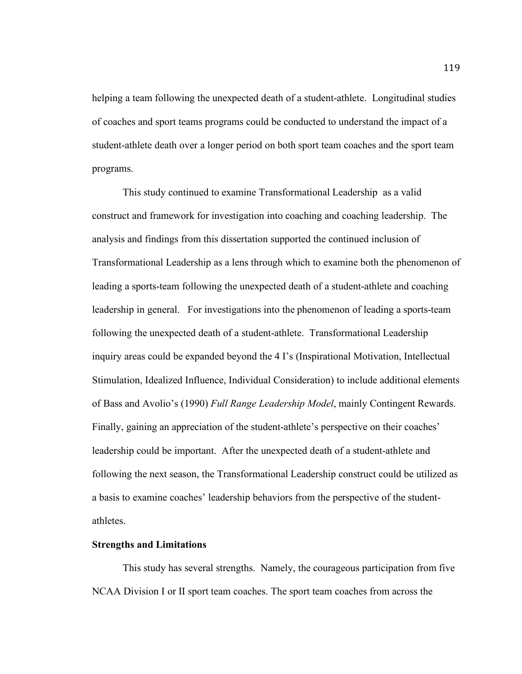helping a team following the unexpected death of a student-athlete. Longitudinal studies of coaches and sport teams programs could be conducted to understand the impact of a student-athlete death over a longer period on both sport team coaches and the sport team programs.

This study continued to examine Transformational Leadership as a valid construct and framework for investigation into coaching and coaching leadership. The analysis and findings from this dissertation supported the continued inclusion of Transformational Leadership as a lens through which to examine both the phenomenon of leading a sports-team following the unexpected death of a student-athlete and coaching leadership in general. For investigations into the phenomenon of leading a sports-team following the unexpected death of a student-athlete. Transformational Leadership inquiry areas could be expanded beyond the 4 I's (Inspirational Motivation, Intellectual Stimulation, Idealized Influence, Individual Consideration) to include additional elements of Bass and Avolio's (1990) *Full Range Leadership Model*, mainly Contingent Rewards. Finally, gaining an appreciation of the student-athlete's perspective on their coaches' leadership could be important. After the unexpected death of a student-athlete and following the next season, the Transformational Leadership construct could be utilized as a basis to examine coaches' leadership behaviors from the perspective of the studentathletes.

## **Strengths and Limitations**

This study has several strengths. Namely, the courageous participation from five NCAA Division I or II sport team coaches. The sport team coaches from across the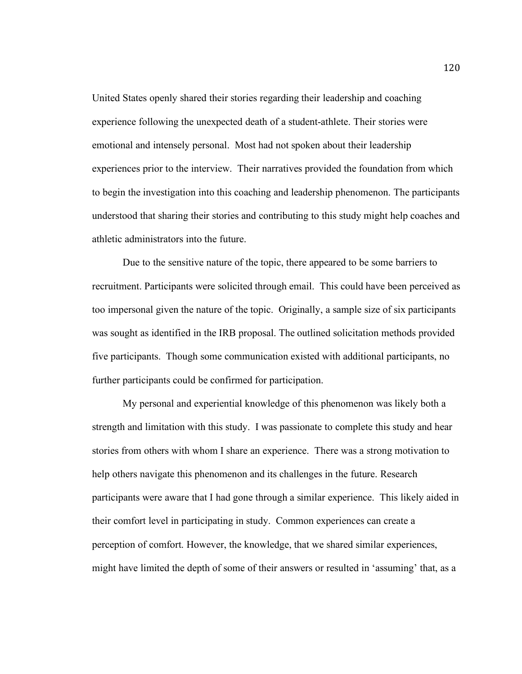United States openly shared their stories regarding their leadership and coaching experience following the unexpected death of a student-athlete. Their stories were emotional and intensely personal. Most had not spoken about their leadership experiences prior to the interview. Their narratives provided the foundation from which to begin the investigation into this coaching and leadership phenomenon. The participants understood that sharing their stories and contributing to this study might help coaches and athletic administrators into the future.

Due to the sensitive nature of the topic, there appeared to be some barriers to recruitment. Participants were solicited through email. This could have been perceived as too impersonal given the nature of the topic. Originally, a sample size of six participants was sought as identified in the IRB proposal. The outlined solicitation methods provided five participants. Though some communication existed with additional participants, no further participants could be confirmed for participation.

My personal and experiential knowledge of this phenomenon was likely both a strength and limitation with this study. I was passionate to complete this study and hear stories from others with whom I share an experience. There was a strong motivation to help others navigate this phenomenon and its challenges in the future. Research participants were aware that I had gone through a similar experience. This likely aided in their comfort level in participating in study. Common experiences can create a perception of comfort. However, the knowledge, that we shared similar experiences, might have limited the depth of some of their answers or resulted in 'assuming' that, as a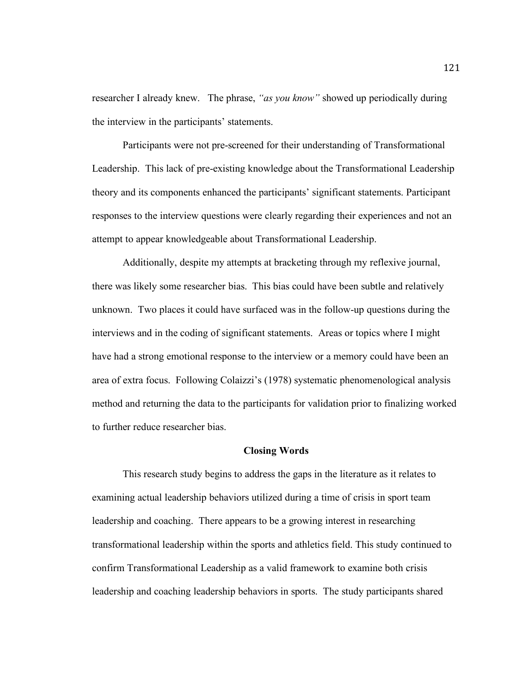researcher I already knew. The phrase, *"as you know"* showed up periodically during the interview in the participants' statements.

Participants were not pre-screened for their understanding of Transformational Leadership. This lack of pre-existing knowledge about the Transformational Leadership theory and its components enhanced the participants' significant statements. Participant responses to the interview questions were clearly regarding their experiences and not an attempt to appear knowledgeable about Transformational Leadership.

Additionally, despite my attempts at bracketing through my reflexive journal, there was likely some researcher bias. This bias could have been subtle and relatively unknown. Two places it could have surfaced was in the follow-up questions during the interviews and in the coding of significant statements. Areas or topics where I might have had a strong emotional response to the interview or a memory could have been an area of extra focus. Following Colaizzi's (1978) systematic phenomenological analysis method and returning the data to the participants for validation prior to finalizing worked to further reduce researcher bias.

#### **Closing Words**

This research study begins to address the gaps in the literature as it relates to examining actual leadership behaviors utilized during a time of crisis in sport team leadership and coaching. There appears to be a growing interest in researching transformational leadership within the sports and athletics field. This study continued to confirm Transformational Leadership as a valid framework to examine both crisis leadership and coaching leadership behaviors in sports. The study participants shared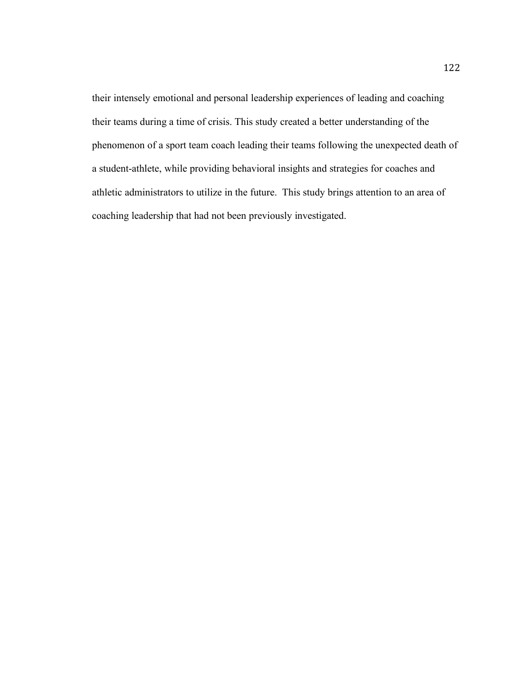their intensely emotional and personal leadership experiences of leading and coaching their teams during a time of crisis. This study created a better understanding of the phenomenon of a sport team coach leading their teams following the unexpected death of a student-athlete, while providing behavioral insights and strategies for coaches and athletic administrators to utilize in the future. This study brings attention to an area of coaching leadership that had not been previously investigated.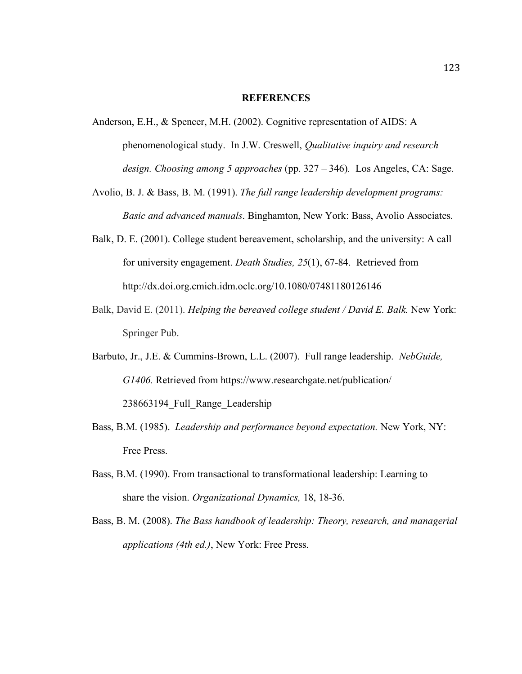#### **REFERENCES**

- Anderson, E.H., & Spencer, M.H. (2002). Cognitive representation of AIDS: A phenomenological study. In J.W. Creswell, *Qualitative inquiry and research design. Choosing among 5 approaches* (pp. 327 – 346)*.* Los Angeles, CA: Sage.
- Avolio, B. J. & Bass, B. M. (1991). *The full range leadership development programs: Basic and advanced manuals*. Binghamton, New York: Bass, Avolio Associates.
- Balk, D. E. (2001). College student bereavement, scholarship, and the university: A call for university engagement. *Death Studies, 25*(1), 67-84. Retrieved from http://dx.doi.org.cmich.idm.oclc.org/10.1080/07481180126146
- Balk, David E. (2011). *Helping the bereaved college student / David E. Balk.* New York: Springer Pub.
- Barbuto, Jr., J.E. & Cummins-Brown, L.L. (2007). Full range leadership. *NebGuide, G1406.* Retrieved from https://www.researchgate.net/publication/ 238663194\_Full\_Range\_Leadership
- Bass, B.M. (1985). *Leadership and performance beyond expectation.* New York, NY: Free Press.
- Bass, B.M. (1990). From transactional to transformational leadership: Learning to share the vision. *Organizational Dynamics,* 18, 18-36.
- Bass, B. M. (2008). *The Bass handbook of leadership: Theory, research, and managerial applications (4th ed.)*, New York: Free Press.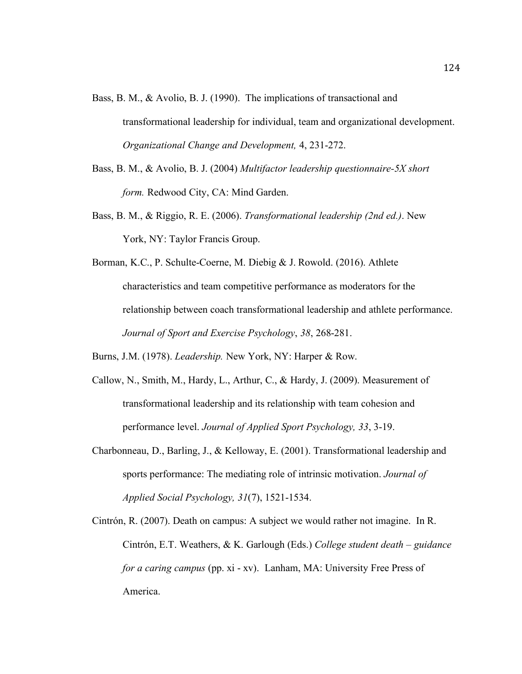- Bass, B. M., & Avolio, B. J. (1990). The implications of transactional and transformational leadership for individual, team and organizational development. *Organizational Change and Development,* 4, 231-272.
- Bass, B. M., & Avolio, B. J. (2004) *Multifactor leadership questionnaire-5X short form.* Redwood City, CA: Mind Garden.
- Bass, B. M., & Riggio, R. E. (2006). *Transformational leadership (2nd ed.)*. New York, NY: Taylor Francis Group.
- Borman, K.C., P. Schulte-Coerne, M. Diebig & J. Rowold. (2016). Athlete characteristics and team competitive performance as moderators for the relationship between coach transformational leadership and athlete performance. *Journal of Sport and Exercise Psychology*, *38*, 268-281.

Burns, J.M. (1978). *Leadership.* New York, NY: Harper & Row.

- Callow, N., Smith, M., Hardy, L., Arthur, C., & Hardy, J. (2009). Measurement of transformational leadership and its relationship with team cohesion and performance level. *Journal of Applied Sport Psychology, 33*, 3-19.
- Charbonneau, D., Barling, J., & Kelloway, E. (2001). Transformational leadership and sports performance: The mediating role of intrinsic motivation. *Journal of Applied Social Psychology, 31*(7), 1521-1534.
- Cintrón, R. (2007). Death on campus: A subject we would rather not imagine. In R. Cintrón, E.T. Weathers, & K. Garlough (Eds.) *College student death – guidance for a caring campus* (pp. xi - xv). Lanham, MA: University Free Press of America.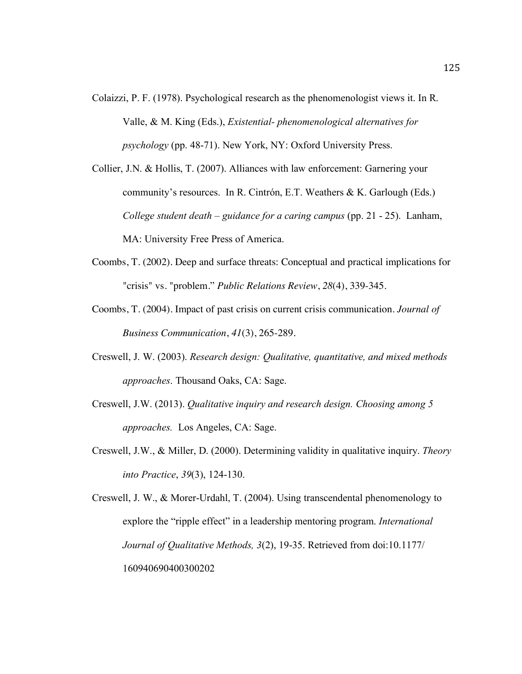- Colaizzi, P. F. (1978). Psychological research as the phenomenologist views it. In R. Valle, & M. King (Eds.), *Existential- phenomenological alternatives for psychology* (pp. 48-71). New York, NY: Oxford University Press.
- Collier, J.N. & Hollis, T. (2007). Alliances with law enforcement: Garnering your community's resources. In R. Cintrón, E.T. Weathers & K. Garlough (Eds.) *College student death – guidance for a caring campus* (pp. 21 - 25). Lanham, MA: University Free Press of America.
- Coombs, T. (2002). Deep and surface threats: Conceptual and practical implications for "crisis" vs. "problem." *Public Relations Review*, *28*(4), 339-345.
- Coombs, T. (2004). Impact of past crisis on current crisis communication. *Journal of Business Communication*, *41*(3), 265-289.
- Creswell, J. W. (2003). *Research design: Qualitative, quantitative, and mixed methods approaches*. Thousand Oaks, CA: Sage.
- Creswell, J.W. (2013). *Qualitative inquiry and research design. Choosing among 5 approaches.* Los Angeles, CA: Sage.
- Creswell, J.W., & Miller, D. (2000). Determining validity in qualitative inquiry. *Theory into Practice*, *39*(3), 124-130.

Creswell, J. W., & Morer-Urdahl, T. (2004). Using transcendental phenomenology to explore the "ripple effect" in a leadership mentoring program. *International Journal of Qualitative Methods, 3*(2), 19-35. Retrieved from doi:10.1177/ 160940690400300202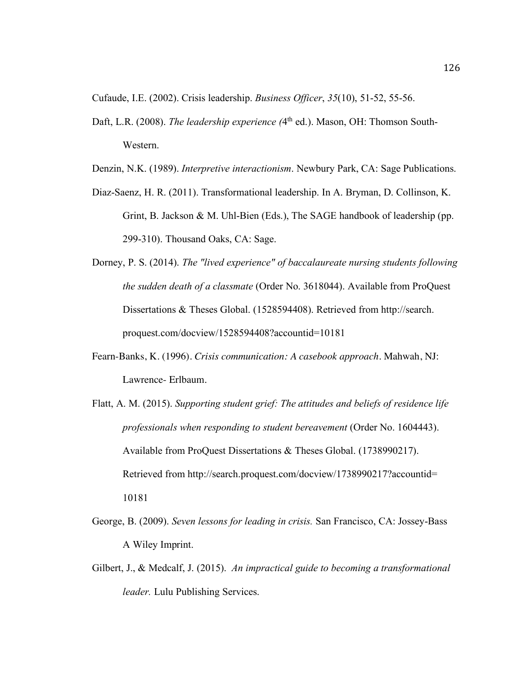Cufaude, I.E. (2002). Crisis leadership. *Business Officer*, *35*(10), 51-52, 55-56.

- Daft, L.R. (2008). *The leadership experience* (4<sup>th</sup> ed.). Mason, OH: Thomson South-Western.
- Denzin, N.K. (1989). *Interpretive interactionism*. Newbury Park, CA: Sage Publications.
- Diaz-Saenz, H. R. (2011). Transformational leadership. In A. Bryman, D. Collinson, K. Grint, B. Jackson & M. Uhl-Bien (Eds.), The SAGE handbook of leadership (pp. 299-310). Thousand Oaks, CA: Sage.
- Dorney, P. S. (2014). *The "lived experience" of baccalaureate nursing students following the sudden death of a classmate* (Order No. 3618044). Available from ProQuest Dissertations & Theses Global. (1528594408). Retrieved from http://search. proquest.com/docview/1528594408?accountid=10181
- Fearn-Banks, K. (1996). *Crisis communication: A casebook approach.* Mahwah, NJ: Lawrence- Erlbaum.
- Flatt, A. M. (2015). *Supporting student grief: The attitudes and beliefs of residence life professionals when responding to student bereavement* (Order No. 1604443). Available from ProQuest Dissertations & Theses Global. (1738990217). Retrieved from http://search.proquest.com/docview/1738990217?accountid= 10181
- George, B. (2009). *Seven lessons for leading in crisis.* San Francisco, CA: Jossey-Bass A Wiley Imprint.
- Gilbert, J., & Medcalf, J. (2015). *An impractical guide to becoming a transformational leader.* Lulu Publishing Services.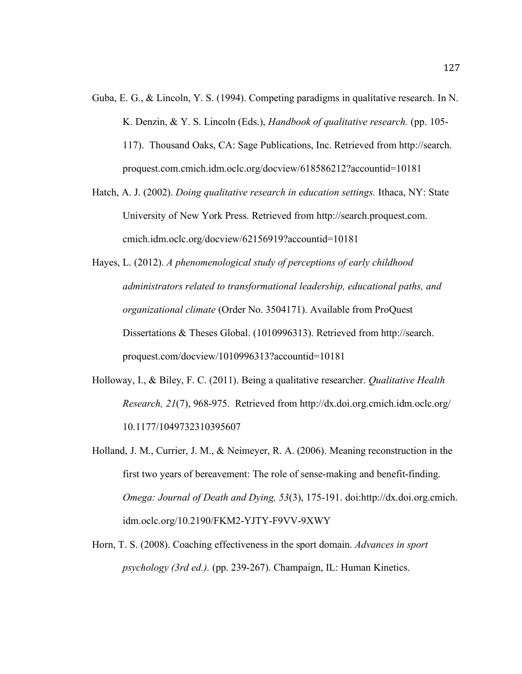- Guba, E. G., & Lincoln, Y. S. (1994). Competing paradigms in qualitative research. In N. K. Denzin, & Y. S. Lincoln (Eds.), *Handbook of qualitative research.* (pp. 105- 117). Thousand Oaks, CA: Sage Publications, Inc. Retrieved from http://search. proquest.com.cmich.idm.oclc.org/docview/618586212?accountid=10181
- Hatch, A. J. (2002). *Doing qualitative research in education settings.* Ithaca, NY: State University of New York Press. Retrieved from http://search.proquest.com. cmich.idm.oclc.org/docview/62156919?accountid=10181
- Hayes, L. (2012). *A phenomenological study of perceptions of early childhood administrators related to transformational leadership, educational paths, and organizational climate* (Order No. 3504171). Available from ProQuest Dissertations & Theses Global. (1010996313). Retrieved from http://search. proquest.com/docview/1010996313?accountid=10181
- Holloway, I., & Biley, F. C. (2011). Being a qualitative researcher. *Qualitative Health Research, 21*(7), 968-975. Retrieved from http://dx.doi.org.cmich.idm.oclc.org/ 10.1177/1049732310395607
- Holland, J. M., Currier, J. M., & Neimeyer, R. A. (2006). Meaning reconstruction in the first two years of bereavement: The role of sense-making and benefit-finding. *Omega: Journal of Death and Dying, 53*(3), 175-191. doi:http://dx.doi.org.cmich. idm.oclc.org/10.2190/FKM2-YJTY-F9VV-9XWY
- Horn, T. S. (2008). Coaching effectiveness in the sport domain. *Advances in sport psychology (3rd ed.).* (pp. 239-267). Champaign, IL: Human Kinetics.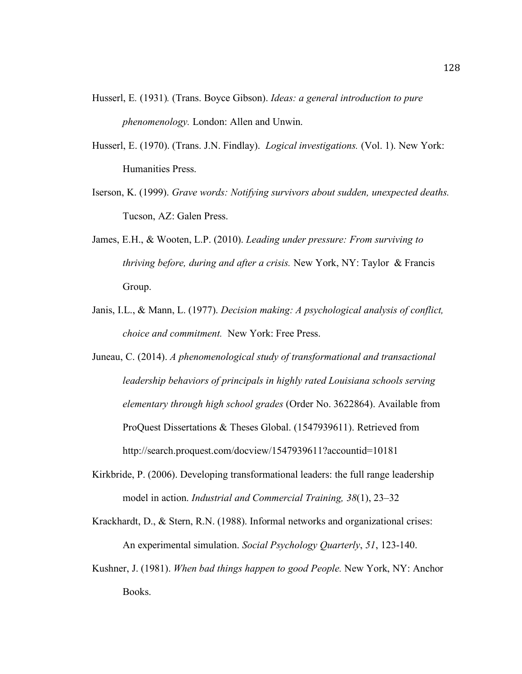- Husserl, E*.* (1931)*.* (Trans. Boyce Gibson). *Ideas: a general introduction to pure phenomenology.* London: Allen and Unwin.
- Husserl, E. (1970). (Trans. J.N. Findlay). *Logical investigations.* (Vol. 1). New York: Humanities Press.
- Iserson, K. (1999). *Grave words: Notifying survivors about sudden, unexpected deaths.*  Tucson, AZ: Galen Press.
- James, E.H., & Wooten, L.P. (2010). *Leading under pressure: From surviving to thriving before, during and after a crisis.* New York, NY: Taylor & Francis Group.
- Janis, I.L., & Mann, L. (1977). *Decision making: A psychological analysis of conflict, choice and commitment.* New York: Free Press.
- Juneau, C. (2014). *A phenomenological study of transformational and transactional leadership behaviors of principals in highly rated Louisiana schools serving elementary through high school grades* (Order No. 3622864). Available from ProQuest Dissertations & Theses Global. (1547939611). Retrieved from http://search.proquest.com/docview/1547939611?accountid=10181
- Kirkbride, P. (2006). Developing transformational leaders: the full range leadership model in action. *Industrial and Commercial Training, 38*(1), 23–32

Krackhardt, D., & Stern, R.N. (1988). Informal networks and organizational crises: An experimental simulation. *Social Psychology Quarterly*, *51*, 123-140.

Kushner, J. (1981). *When bad things happen to good People.* New York, NY: Anchor Books.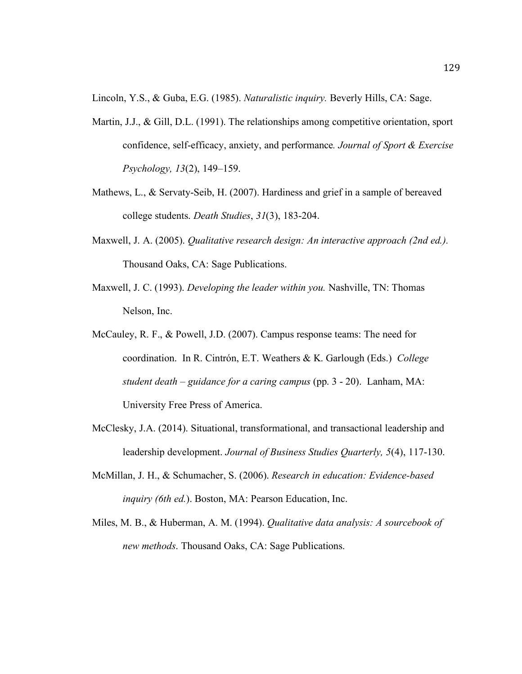Lincoln, Y.S., & Guba, E.G. (1985). *Naturalistic inquiry.* Beverly Hills, CA: Sage.

- Martin, J.J., & Gill, D.L. (1991). The relationships among competitive orientation, sport confidence, self-efficacy, anxiety, and performance*. Journal of Sport & Exercise Psychology, 13*(2), 149–159.
- Mathews, L., & Servaty-Seib, H. (2007). Hardiness and grief in a sample of bereaved college students. *Death Studies*, *31*(3), 183-204.
- Maxwell, J. A. (2005). *Qualitative research design: An interactive approach (2nd ed.).* Thousand Oaks, CA: Sage Publications.
- Maxwell, J. C. (1993). *Developing the leader within you.* Nashville, TN: Thomas Nelson, Inc.
- McCauley, R. F., & Powell, J.D. (2007). Campus response teams: The need for coordination. In R. Cintrón, E.T. Weathers & K. Garlough (Eds.) *College student death – guidance for a caring campus* (pp. 3 - 20). Lanham, MA: University Free Press of America.
- McClesky, J.A. (2014). Situational, transformational, and transactional leadership and leadership development. *Journal of Business Studies Quarterly, 5*(4), 117-130.
- McMillan, J. H., & Schumacher, S. (2006). *Research in education: Evidence-based inquiry (6th ed.*). Boston, MA: Pearson Education, Inc.
- Miles, M. B., & Huberman, A. M. (1994). *Qualitative data analysis: A sourcebook of new methods*. Thousand Oaks, CA: Sage Publications.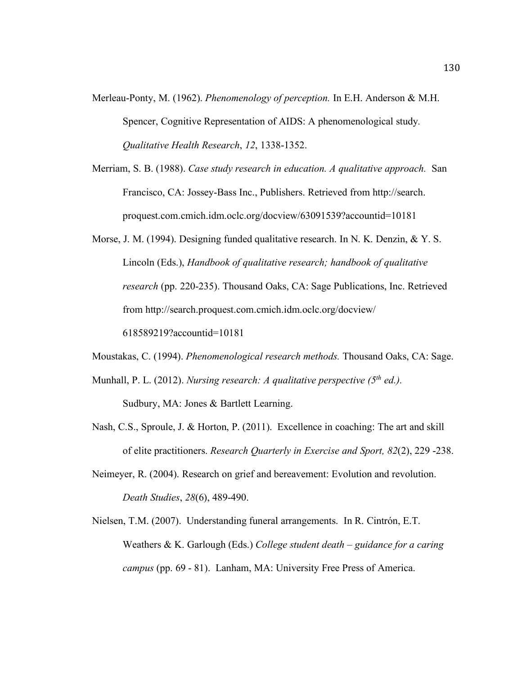- Merleau-Ponty, M. (1962). *Phenomenology of perception.* In E.H. Anderson & M.H. Spencer, Cognitive Representation of AIDS: A phenomenological study*. Qualitative Health Research*, *12*, 1338-1352.
- Merriam, S. B. (1988). *Case study research in education. A qualitative approach.* San Francisco, CA: Jossey-Bass Inc., Publishers. Retrieved from http://search. proquest.com.cmich.idm.oclc.org/docview/63091539?accountid=10181
- Morse, J. M. (1994). Designing funded qualitative research. In N. K. Denzin, & Y. S. Lincoln (Eds.), *Handbook of qualitative research; handbook of qualitative research* (pp. 220-235). Thousand Oaks, CA: Sage Publications, Inc. Retrieved from http://search.proquest.com.cmich.idm.oclc.org/docview/ 618589219?accountid=10181
- Moustakas, C. (1994). *Phenomenological research methods.* Thousand Oaks, CA: Sage.
- Munhall, P. L. (2012). *Nursing research: A qualitative perspective (5th ed.).* Sudbury, MA: Jones & Bartlett Learning.
- Nash, C.S., Sproule, J. & Horton, P. (2011). Excellence in coaching: The art and skill of elite practitioners. *Research Quarterly in Exercise and Sport, 82*(2), 229 -238.
- Neimeyer, R. (2004). Research on grief and bereavement: Evolution and revolution. *Death Studies*, *28*(6), 489-490.
- Nielsen, T.M. (2007). Understanding funeral arrangements. In R. Cintrón, E.T. Weathers & K. Garlough (Eds.) *College student death – guidance for a caring campus* (pp. 69 - 81). Lanham, MA: University Free Press of America.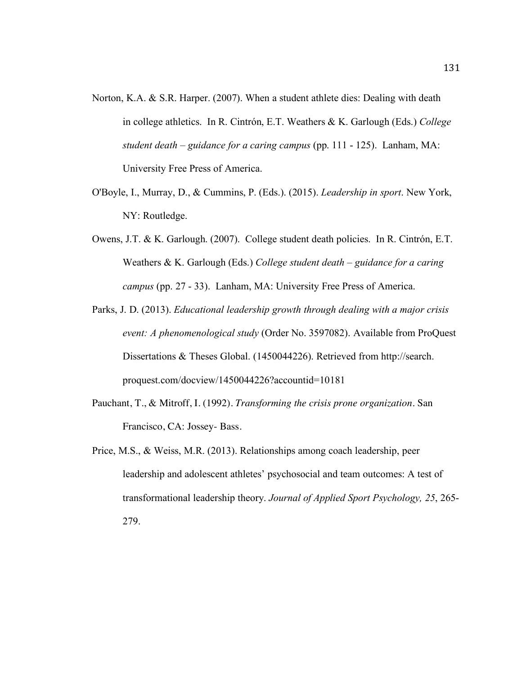- Norton, K.A. & S.R. Harper. (2007). When a student athlete dies: Dealing with death in college athletics. In R. Cintrón, E.T. Weathers & K. Garlough (Eds.) *College student death – guidance for a caring campus* (pp. 111 - 125). Lanham, MA: University Free Press of America.
- O'Boyle, I., Murray, D., & Cummins, P. (Eds.). (2015). *Leadership in sport*. New York, NY: Routledge.
- Owens, J.T. & K. Garlough. (2007). College student death policies. In R. Cintrón, E.T. Weathers & K. Garlough (Eds.) *College student death – guidance for a caring campus* (pp. 27 - 33). Lanham, MA: University Free Press of America.
- Parks, J. D. (2013). *Educational leadership growth through dealing with a major crisis event: A phenomenological study* (Order No. 3597082). Available from ProQuest Dissertations & Theses Global. (1450044226). Retrieved from http://search. proquest.com/docview/1450044226?accountid=10181
- Pauchant, T., & Mitroff, I. (1992). *Transforming the crisis prone organization.* San Francisco, CA: Jossey- Bass.
- Price, M.S., & Weiss, M.R. (2013). Relationships among coach leadership, peer leadership and adolescent athletes' psychosocial and team outcomes: A test of transformational leadership theory. *Journal of Applied Sport Psychology, 25*, 265- 279.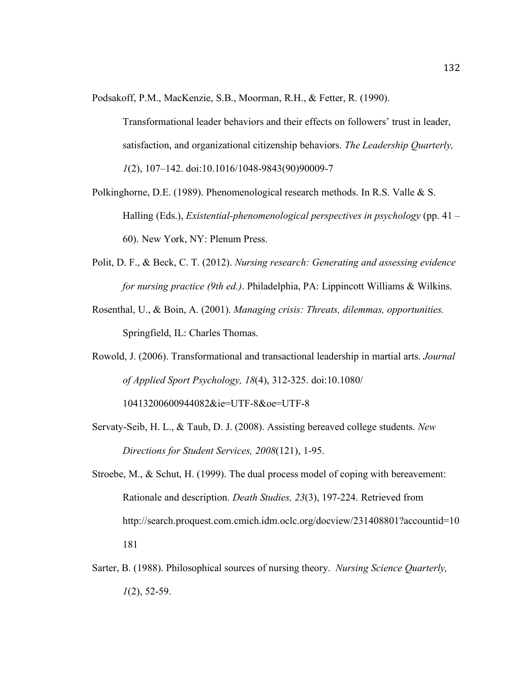Podsakoff, P.M., MacKenzie, S.B., Moorman, R.H., & Fetter, R. (1990).

Transformational leader behaviors and their effects on followers' trust in leader, satisfaction, and organizational citizenship behaviors. *The Leadership Quarterly, 1*(2), 107–142. doi:10.1016/1048-9843(90)90009-7

- Polkinghorne, D.E. (1989). Phenomenological research methods. In R.S. Valle & S. Halling (Eds.), *Existential-phenomenological perspectives in psychology* (pp. 41 – 60). New York, NY: Plenum Press.
- Polit, D. F., & Beck, C. T. (2012). *Nursing research: Generating and assessing evidence for nursing practice (9th ed.)*. Philadelphia, PA: Lippincott Williams & Wilkins.
- Rosenthal, U., & Boin, A. (2001). *Managing crisis: Threats, dilemmas, opportunities.*  Springfield, IL: Charles Thomas.
- Rowold, J. (2006). Transformational and transactional leadership in martial arts. *Journal of Applied Sport Psychology, 18*(4), 312-325. doi:10.1080/ 10413200600944082&ie=UTF-8&oe=UTF-8
- Servaty-Seib, H. L., & Taub, D. J. (2008). Assisting bereaved college students. *New Directions for Student Services, 2008*(121), 1-95.
- Stroebe, M., & Schut, H. (1999). The dual process model of coping with bereavement: Rationale and description. *Death Studies, 23*(3), 197-224. Retrieved from http://search.proquest.com.cmich.idm.oclc.org/docview/231408801?accountid=10 181
- Sarter, B. (1988). Philosophical sources of nursing theory. *Nursing Science Quarterly, 1*(2), 52-59.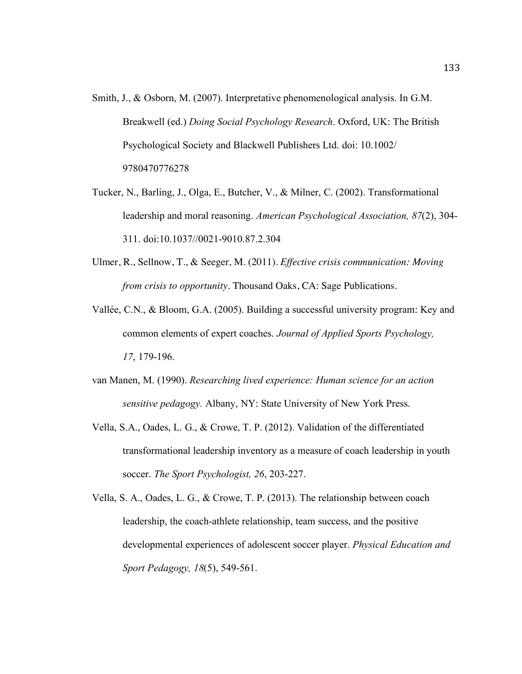- Smith, J., & Osborn, M. (2007). Interpretative phenomenological analysis. In G.M. Breakwell (ed.) *Doing Social Psychology Research*. Oxford, UK: The British Psychological Society and Blackwell Publishers Ltd. doi: 10.1002/ 9780470776278
- Tucker, N., Barling, J., Olga, E., Butcher, V., & Milner, C. (2002). Transformational leadership and moral reasoning. *American Psychological Association, 87*(2), 304- 311. doi:10.1037//0021-9010.87.2.304
- Ulmer, R., Sellnow, T., & Seeger, M. (2011). *Effective crisis communication: Moving from crisis to opportunity.* Thousand Oaks, CA: Sage Publications.
- Vallée, C.N., & Bloom, G.A. (2005). Building a successful university program: Key and common elements of expert coaches. *Journal of Applied Sports Psychology, 17*, 179-196.
- van Manen, M. (1990). *Researching lived experience: Human science for an action sensitive pedagogy.* Albany, NY: State University of New York Press.
- Vella, S.A., Oades, L. G., & Crowe, T. P. (2012). Validation of the differentiated transformational leadership inventory as a measure of coach leadership in youth soccer. *The Sport Psychologist, 26*, 203-227.
- Vella, S. A., Oades, L. G., & Crowe, T. P. (2013). The relationship between coach leadership, the coach-athlete relationship, team success, and the positive developmental experiences of adolescent soccer player. *Physical Education and Sport Pedagogy, 18*(5), 549-561.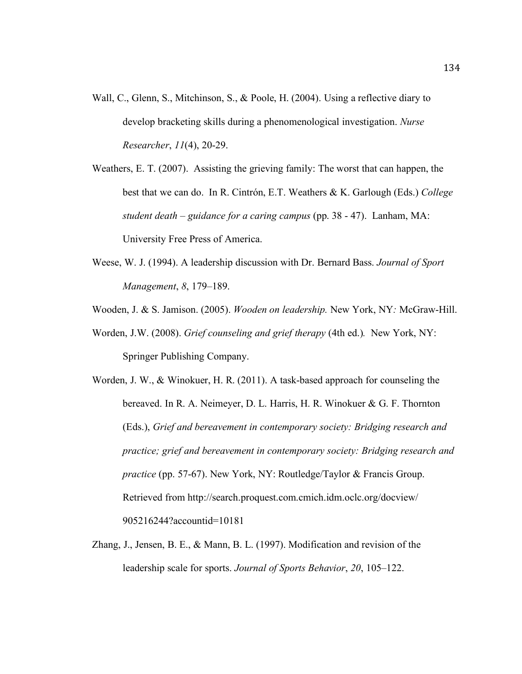- Wall, C., Glenn, S., Mitchinson, S., & Poole, H. (2004). Using a reflective diary to develop bracketing skills during a phenomenological investigation. *Nurse Researcher*, *11*(4), 20-29.
- Weathers, E. T. (2007). Assisting the grieving family: The worst that can happen, the best that we can do. In R. Cintrón, E.T. Weathers & K. Garlough (Eds.) *College student death – guidance for a caring campus* (pp. 38 - 47). Lanham, MA: University Free Press of America.
- Weese, W. J. (1994). A leadership discussion with Dr. Bernard Bass. *Journal of Sport Management*, *8*, 179–189.
- Wooden, J. & S. Jamison. (2005). *Wooden on leadership.* New York, NY*:* McGraw-Hill.
- Worden, J.W. (2008). *Grief counseling and grief therapy* (4th ed.)*.* New York, NY: Springer Publishing Company.

Worden, J. W., & Winokuer, H. R. (2011). A task-based approach for counseling the bereaved. In R. A. Neimeyer, D. L. Harris, H. R. Winokuer & G. F. Thornton (Eds.), *Grief and bereavement in contemporary society: Bridging research and practice; grief and bereavement in contemporary society: Bridging research and practice* (pp. 57-67). New York, NY: Routledge/Taylor & Francis Group. Retrieved from http://search.proquest.com.cmich.idm.oclc.org/docview/ 905216244?accountid=10181

Zhang, J., Jensen, B. E., & Mann, B. L. (1997). Modification and revision of the leadership scale for sports. *Journal of Sports Behavior*, *20*, 105–122.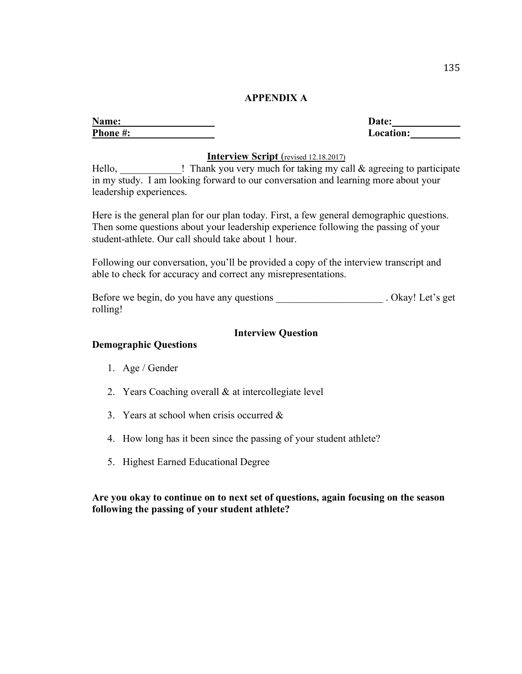### **APPENDIX A**

| Name:   | <b>Date:</b> |
|---------|--------------|
| Phone#: | ocat         |

**Phone #: Location:**

### **Interview Script** (revised 12.18.2017)

Hello,  $\blacksquare$  Thank you very much for taking my call  $\&$  agreeing to participate in my study. I am looking forward to our conversation and learning more about your leadership experiences.

Here is the general plan for our plan today. First, a few general demographic questions. Then some questions about your leadership experience following the passing of your student-athlete. Our call should take about 1 hour.

Following our conversation, you'll be provided a copy of the interview transcript and able to check for accuracy and correct any misrepresentations.

Before we begin, do you have any questions \_\_\_\_\_\_\_\_\_\_\_\_\_\_\_\_\_\_\_\_\_\_\_. Okay! Let's get rolling!

### **Interview Question**

### **Demographic Questions**

- 1. Age / Gender
- 2. Years Coaching overall & at intercollegiate level
- 3. Years at school when crisis occurred &
- 4. How long has it been since the passing of your student athlete?
- 5. Highest Earned Educational Degree

### **Are you okay to continue on to next set of questions, again focusing on the season following the passing of your student athlete?**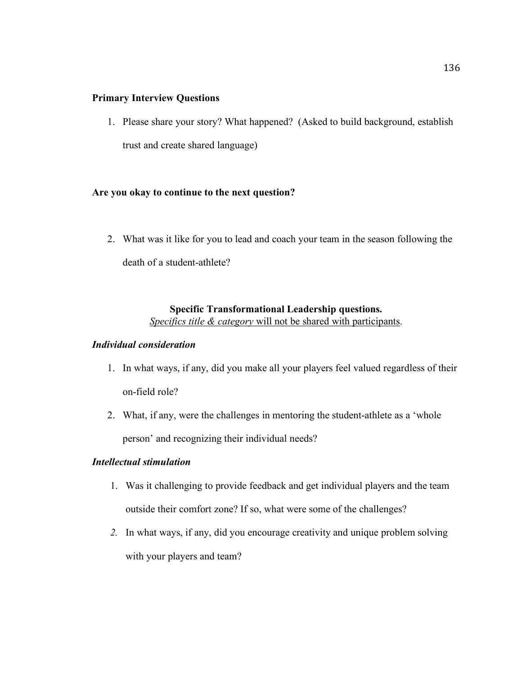## **Primary Interview Questions**

1. Please share your story? What happened? (Asked to build background, establish trust and create shared language)

# **Are you okay to continue to the next question?**

2. What was it like for you to lead and coach your team in the season following the death of a student-athlete?

# **Specific Transformational Leadership questions.**

*Specifics title & category* will not be shared with participants.

# *Individual consideration*

- 1. In what ways, if any, did you make all your players feel valued regardless of their on-field role?
- 2. What, if any, were the challenges in mentoring the student-athlete as a 'whole person' and recognizing their individual needs?

# *Intellectual stimulation*

- 1. Was it challenging to provide feedback and get individual players and the team outside their comfort zone? If so, what were some of the challenges?
- *2.* In what ways, if any, did you encourage creativity and unique problem solving with your players and team?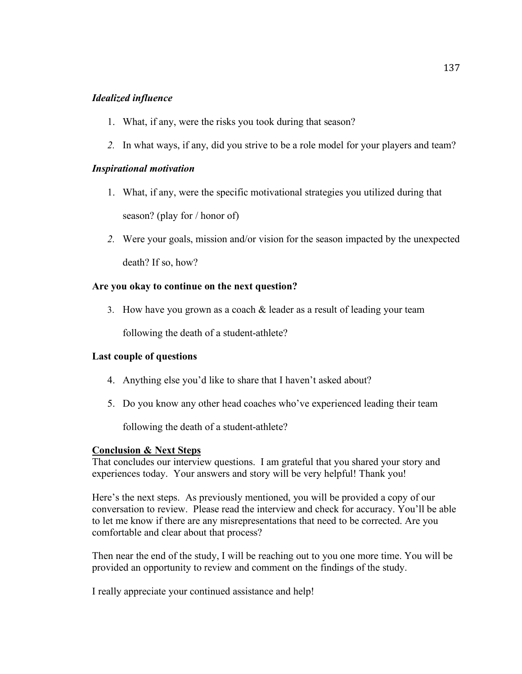## *Idealized influence*

- 1. What, if any, were the risks you took during that season?
- *2.* In what ways, if any, did you strive to be a role model for your players and team?

### *Inspirational motivation*

- 1. What, if any, were the specific motivational strategies you utilized during that season? (play for / honor of)
- *2.* Were your goals, mission and/or vision for the season impacted by the unexpected death? If so, how?

### **Are you okay to continue on the next question?**

3. How have you grown as a coach & leader as a result of leading your team

following the death of a student-athlete?

### **Last couple of questions**

- 4. Anything else you'd like to share that I haven't asked about?
- 5. Do you know any other head coaches who've experienced leading their team

following the death of a student-athlete?

#### **Conclusion & Next Steps**

That concludes our interview questions. I am grateful that you shared your story and experiences today. Your answers and story will be very helpful! Thank you!

Here's the next steps. As previously mentioned, you will be provided a copy of our conversation to review. Please read the interview and check for accuracy. You'll be able to let me know if there are any misrepresentations that need to be corrected. Are you comfortable and clear about that process?

Then near the end of the study, I will be reaching out to you one more time. You will be provided an opportunity to review and comment on the findings of the study.

I really appreciate your continued assistance and help!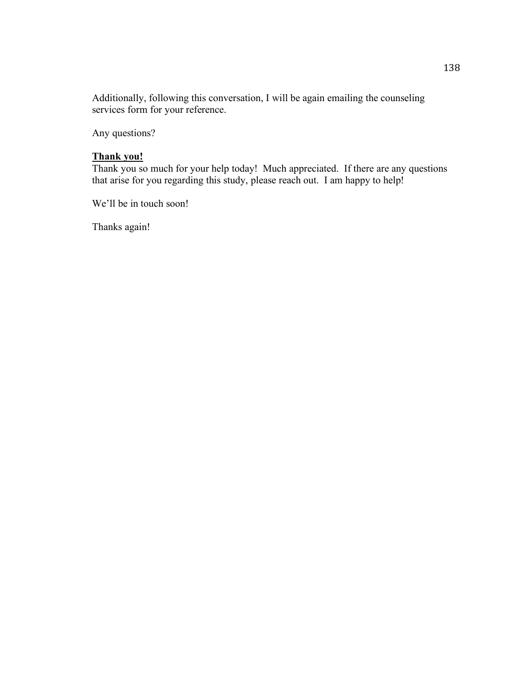Additionally, following this conversation, I will be again emailing the counseling services form for your reference.

Any questions?

# **Thank you!**

Thank you so much for your help today! Much appreciated. If there are any questions that arise for you regarding this study, please reach out. I am happy to help!

We'll be in touch soon!

Thanks again!